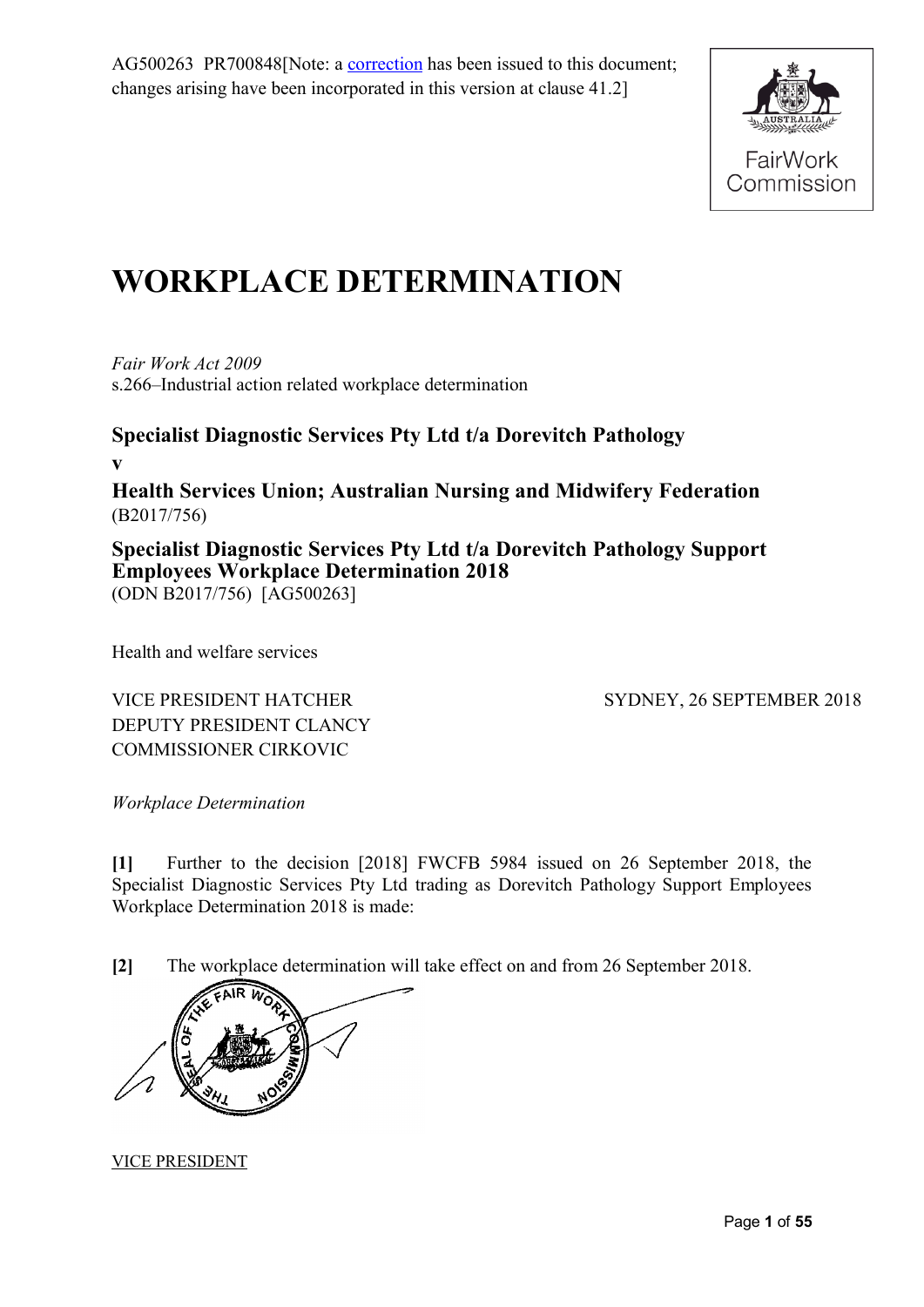AG500263 PR700848[Note: a [correction](https://www.fwc.gov.au/documents/awardsandorders/html/pr701757.htm) has been issued to this document; changes arising have been incorporated in this version at clause 41.2]



# **WORKPLACE DETERMINATION**

*Fair Work Act 2009*  s.266–Industrial action related workplace determination

**Specialist Diagnostic Services Pty Ltd t/a Dorevitch Pathology v Health Services Union; Australian Nursing and Midwifery Federation** (B2017/756) **Specialist Diagnostic Services Pty Ltd t/a Dorevitch Pathology Support** 

**Employees Workplace Determination 2018** 

(ODN B2017/756) [AG500263]

Health and welfare services

VICE PRESIDENT HATCHER DEPUTY PRESIDENT CLANCY COMMISSIONER CIRKOVIC

SYDNEY, 26 SEPTEMBER 2018

*Workplace Determination*

**[1]** Further to the decision [2018] FWCFB 5984 issued on 26 September 2018, the Specialist Diagnostic Services Pty Ltd trading as Dorevitch Pathology Support Employees Workplace Determination 2018 is made:

**[2]** The workplace determination will take effect on and from 26 September 2018.



VICE PRESIDENT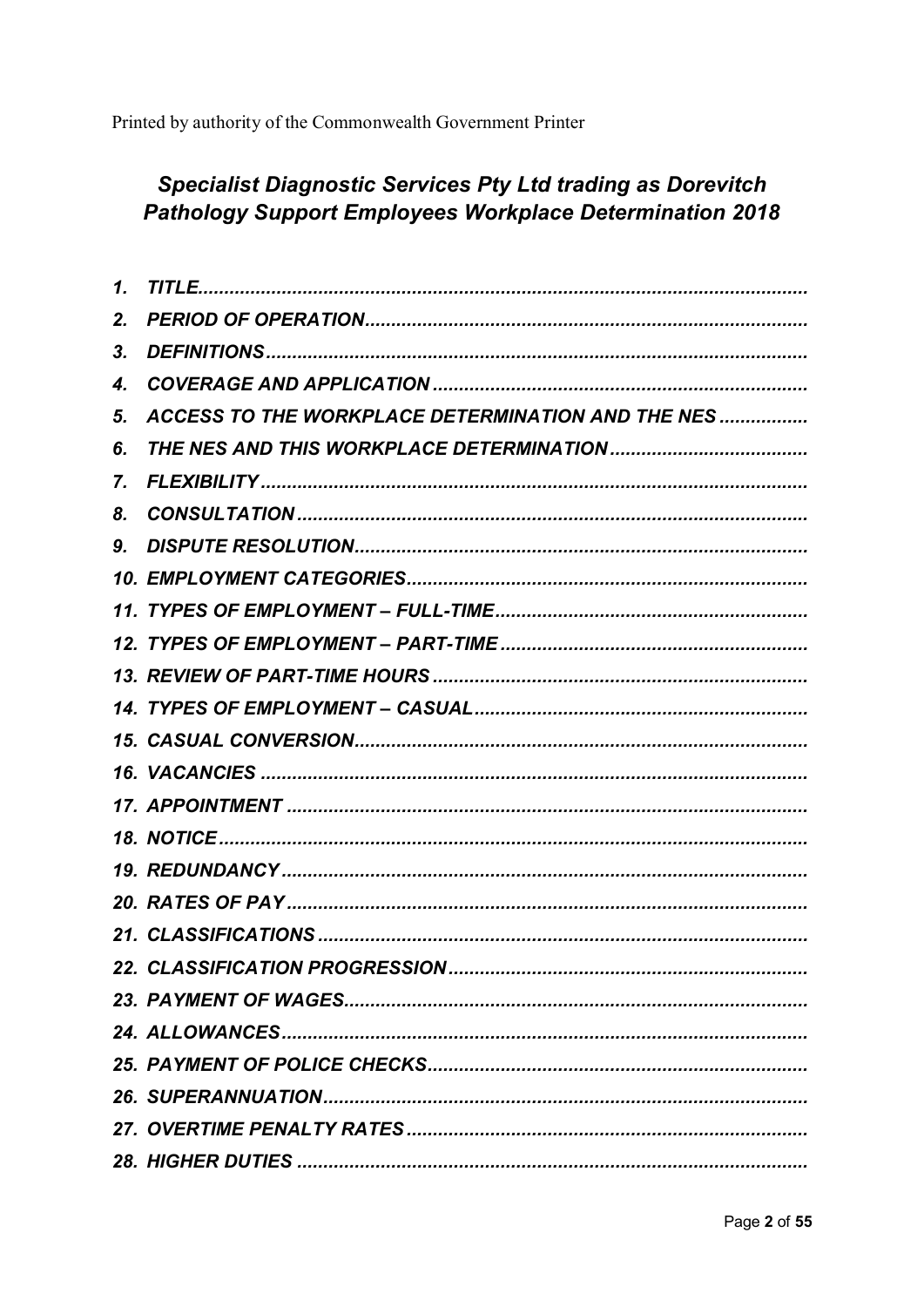Printed by authority of the Commonwealth Government Printer

## **Specialist Diagnostic Services Pty Ltd trading as Dorevitch Pathology Support Employees Workplace Determination 2018**

| 2. |                                                           |
|----|-----------------------------------------------------------|
| 3. |                                                           |
| 4. |                                                           |
| 5. | <b>ACCESS TO THE WORKPLACE DETERMINATION AND THE NES </b> |
| 6. |                                                           |
| 7. |                                                           |
| 8. |                                                           |
| 9. |                                                           |
|    |                                                           |
|    |                                                           |
|    |                                                           |
|    |                                                           |
|    |                                                           |
|    |                                                           |
|    |                                                           |
|    |                                                           |
|    |                                                           |
|    |                                                           |
|    |                                                           |
|    |                                                           |
|    |                                                           |
|    |                                                           |
|    |                                                           |
|    |                                                           |
|    |                                                           |
|    |                                                           |
|    |                                                           |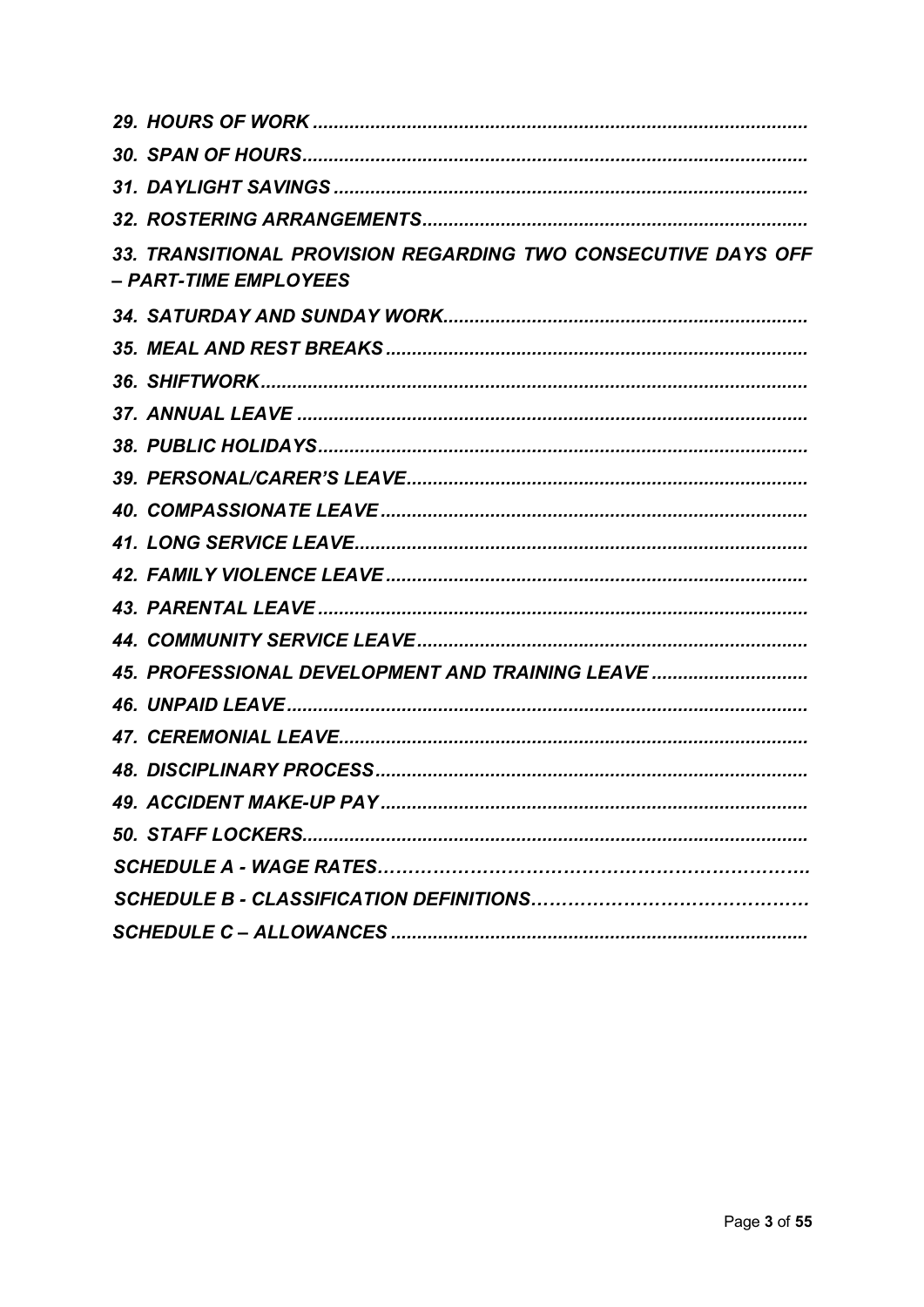| 33. TRANSITIONAL PROVISION REGARDING TWO CONSECUTIVE DAYS OFF<br>– PART-TIME EMPLOYEES |
|----------------------------------------------------------------------------------------|
|                                                                                        |
|                                                                                        |
|                                                                                        |
|                                                                                        |
|                                                                                        |
|                                                                                        |
|                                                                                        |
|                                                                                        |
|                                                                                        |
|                                                                                        |
|                                                                                        |
| 45. PROFESSIONAL DEVELOPMENT AND TRAINING LEAVE                                        |
|                                                                                        |
|                                                                                        |
|                                                                                        |
|                                                                                        |
|                                                                                        |
|                                                                                        |
|                                                                                        |
|                                                                                        |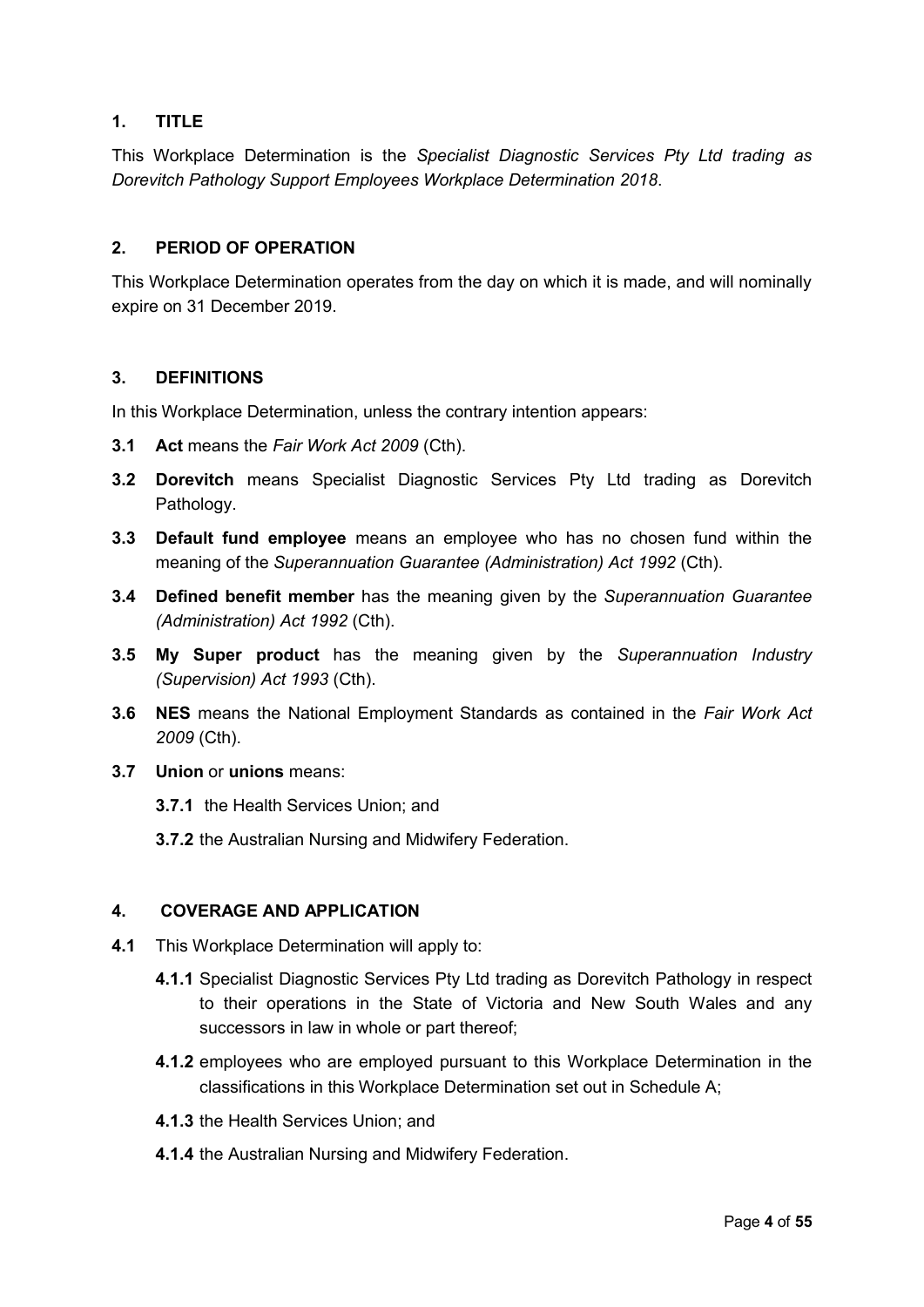## <span id="page-3-3"></span>**1. TITLE**

This Workplace Determination is the *Specialist Diagnostic Services Pty Ltd trading as Dorevitch Pathology Support Employees Workplace Determination 2018*.

## <span id="page-3-2"></span>**2. PERIOD OF OPERATION**

This Workplace Determination operates from the day on which it is made, and will nominally expire on 31 December 2019.

## <span id="page-3-1"></span>**3. DEFINITIONS**

In this Workplace Determination, unless the contrary intention appears:

- **3.1 Act** means the *Fair Work Act 2009* (Cth).
- **3.2 Dorevitch** means Specialist Diagnostic Services Pty Ltd trading as Dorevitch Pathology.
- **3.3 Default fund employee** means an employee who has no chosen fund within the meaning of the *Superannuation Guarantee (Administration) Act 1992* (Cth).
- **3.4 Defined benefit member** has the meaning given by the *Superannuation Guarantee (Administration) Act 1992* (Cth).
- **3.5 My Super product** has the meaning given by the *Superannuation Industry (Supervision) Act 1993* (Cth).
- **3.6 NES** means the National Employment Standards as contained in the *Fair Work Act 2009* (Cth).
- <span id="page-3-0"></span>**3.7 Union** or **unions** means:
	- **3.7.1** the Health Services Union; and
	- **3.7.2** the Australian Nursing and Midwifery Federation.

#### **4. COVERAGE AND APPLICATION**

- **4.1** This Workplace Determination will apply to:
	- **4.1.1** Specialist Diagnostic Services Pty Ltd trading as Dorevitch Pathology in respect to their operations in the State of Victoria and New South Wales and any successors in law in whole or part thereof;
	- **4.1.2** employees who are employed pursuant to this Workplace Determination in the classifications in this Workplace Determination set out in Schedule A;
	- **4.1.3** the Health Services Union; and
	- **4.1.4** the Australian Nursing and Midwifery Federation.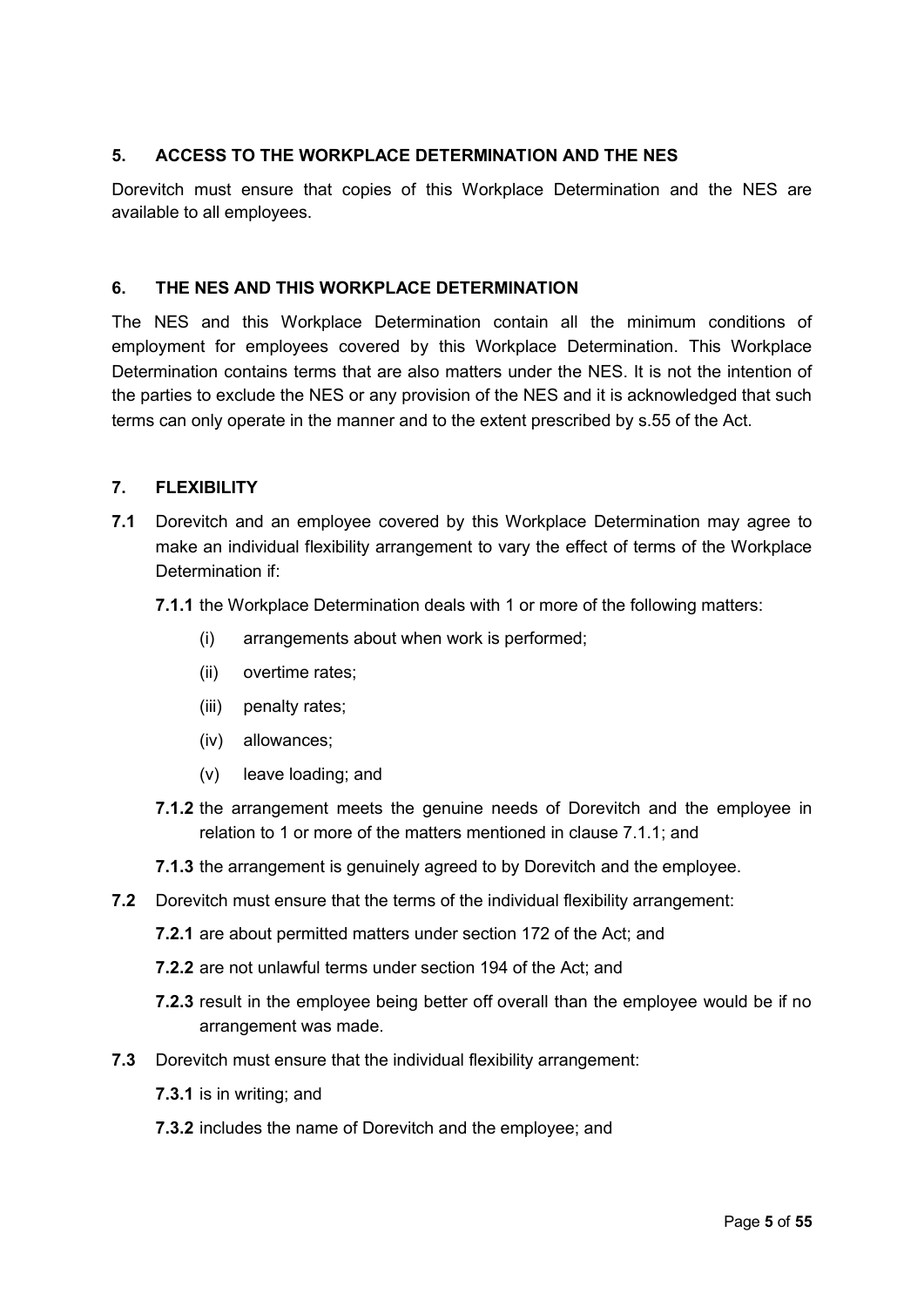## <span id="page-4-2"></span>**5. ACCESS TO THE WORKPLACE DETERMINATION AND THE NES**

Dorevitch must ensure that copies of this Workplace Determination and the NES are available to all employees.

#### <span id="page-4-1"></span>**6. THE NES AND THIS WORKPLACE DETERMINATION**

The NES and this Workplace Determination contain all the minimum conditions of employment for employees covered by this Workplace Determination. This Workplace Determination contains terms that are also matters under the NES. It is not the intention of the parties to exclude the NES or any provision of the NES and it is acknowledged that such terms can only operate in the manner and to the extent prescribed by s.55 of the Act.

#### <span id="page-4-0"></span>**7. FLEXIBILITY**

- <span id="page-4-3"></span>**7.1** Dorevitch and an employee covered by this Workplace Determination may agree to make an individual flexibility arrangement to vary the effect of terms of the Workplace Determination if:
	- **7.1.1** the Workplace Determination deals with 1 or more of the following matters:
		- (i) arrangements about when work is performed;
		- (ii) overtime rates;
		- (iii) penalty rates;
		- (iv) allowances;
		- (v) leave loading; and
	- **7.1.2** the arrangement meets the genuine needs of Dorevitch and the employee in relation to 1 or more of the matters mentioned in clause [7.1.1;](#page-4-3) and
	- **7.1.3** the arrangement is genuinely agreed to by Dorevitch and the employee.
- **7.2** Dorevitch must ensure that the terms of the individual flexibility arrangement:
	- **7.2.1** are about permitted matters under [section](http://www.austlii.edu.au/au/legis/cth/consol_act/fwa2009114/s172.html) 172 of the Act; and
	- **7.2.2** are not unlawful terms under [section](http://www.austlii.edu.au/au/legis/cth/consol_act/fwa2009114/s194.html) 194 of the [Act;](http://www.austlii.edu.au/au/legis/cth/consol_act/fwa2009114/) and
	- **7.2.3** result in the employee being better off overall than the employee would be if no arrangement was made.
- **7.3** Dorevitch must ensure that the individual flexibility arrangement:
	- **7.3.1** is in writing; and
	- **7.3.2** includes the name of Dorevitch and the employee; and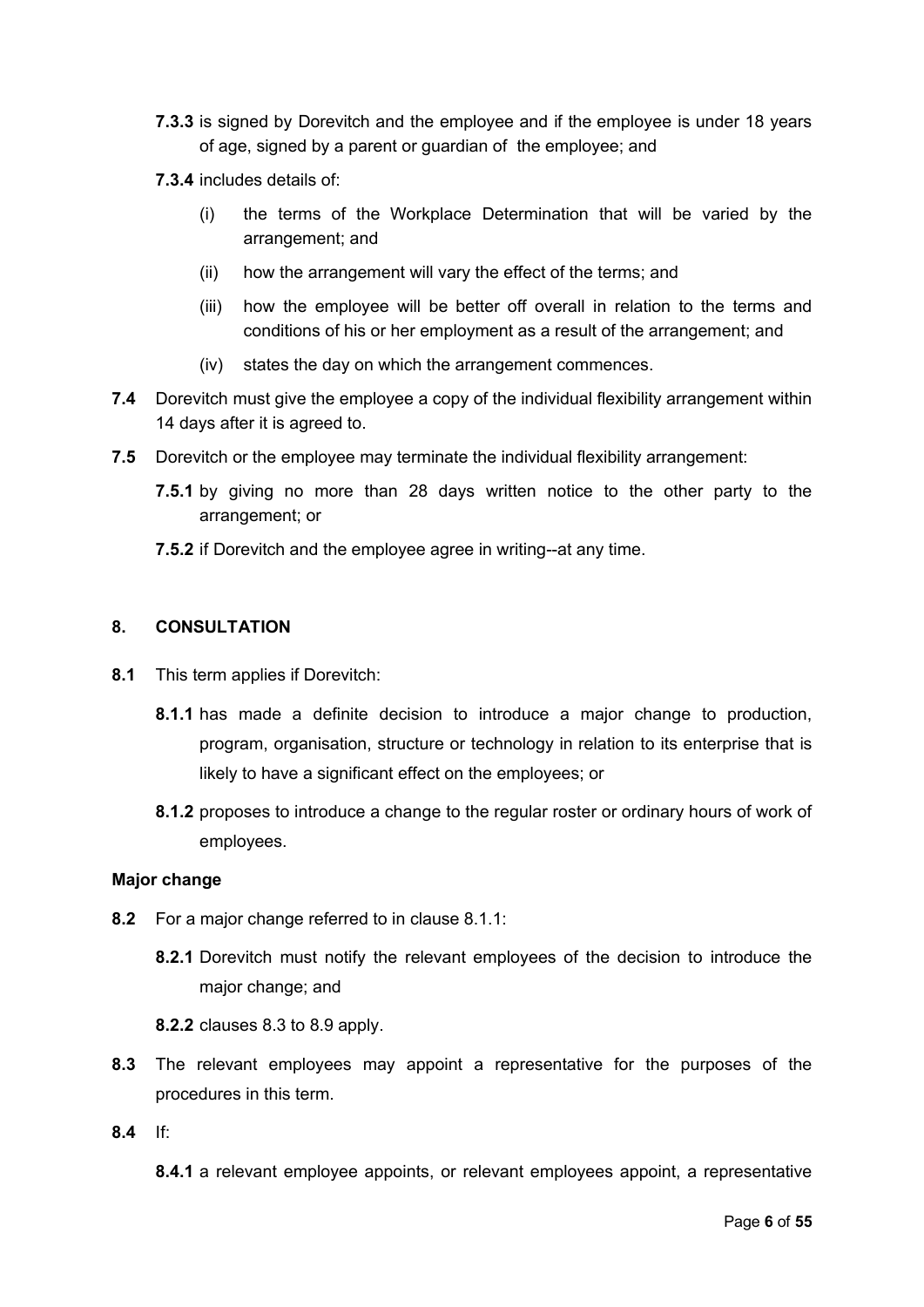- **7.3.3** is signed by Dorevitch and the employee and if the employee is under 18 years of age, signed by a parent or guardian of the employee; and
- **7.3.4** includes details of:
	- (i) the terms of the Workplace Determination that will be varied by the arrangement; and
	- (ii) how the arrangement will vary the effect of the terms; and
	- (iii) how the employee will be better off overall in relation to the terms and conditions of his or her employment as a result of the arrangement; and
	- (iv) states the day on which the arrangement commences.
- **7.4** Dorevitch must give the employee a copy of the individual flexibility arrangement within 14 days after it is agreed to.
- **7.5** Dorevitch or the employee may terminate the individual flexibility arrangement:
	- **7.5.1** by giving no more than 28 days written notice to the other party to the arrangement; or
	- **7.5.2** if Dorevitch and the employee agree in writing--at any time.

#### <span id="page-5-0"></span>**8. CONSULTATION**

- <span id="page-5-5"></span><span id="page-5-2"></span>**8.1** This term applies if Dorevitch:
	- **8.1.1** has made a definite decision to introduce a major change to production, program, organisation, structure or technology in relation to its enterprise that is likely to have a significant effect on the employees; or
	- **8.1.2** proposes to introduce a change to the regular roster or ordinary hours of work of employees.

#### <span id="page-5-4"></span>**Major change**

- <span id="page-5-3"></span>**8.2** For a major change referred to in clause [8.1.1:](#page-5-2)
	- **8.2.1** Dorevitch must notify the relevant employees of the decision to introduce the major change; and
	- **8.2.2** clauses [8.3](#page-5-1) to [8.9](#page-6-0) apply.
- <span id="page-5-1"></span>**8.3** The relevant employees may appoint a representative for the purposes of the procedures in this term.
- **8.4** If:

**8.4.1** a relevant employee appoints, or relevant employees appoint, a representative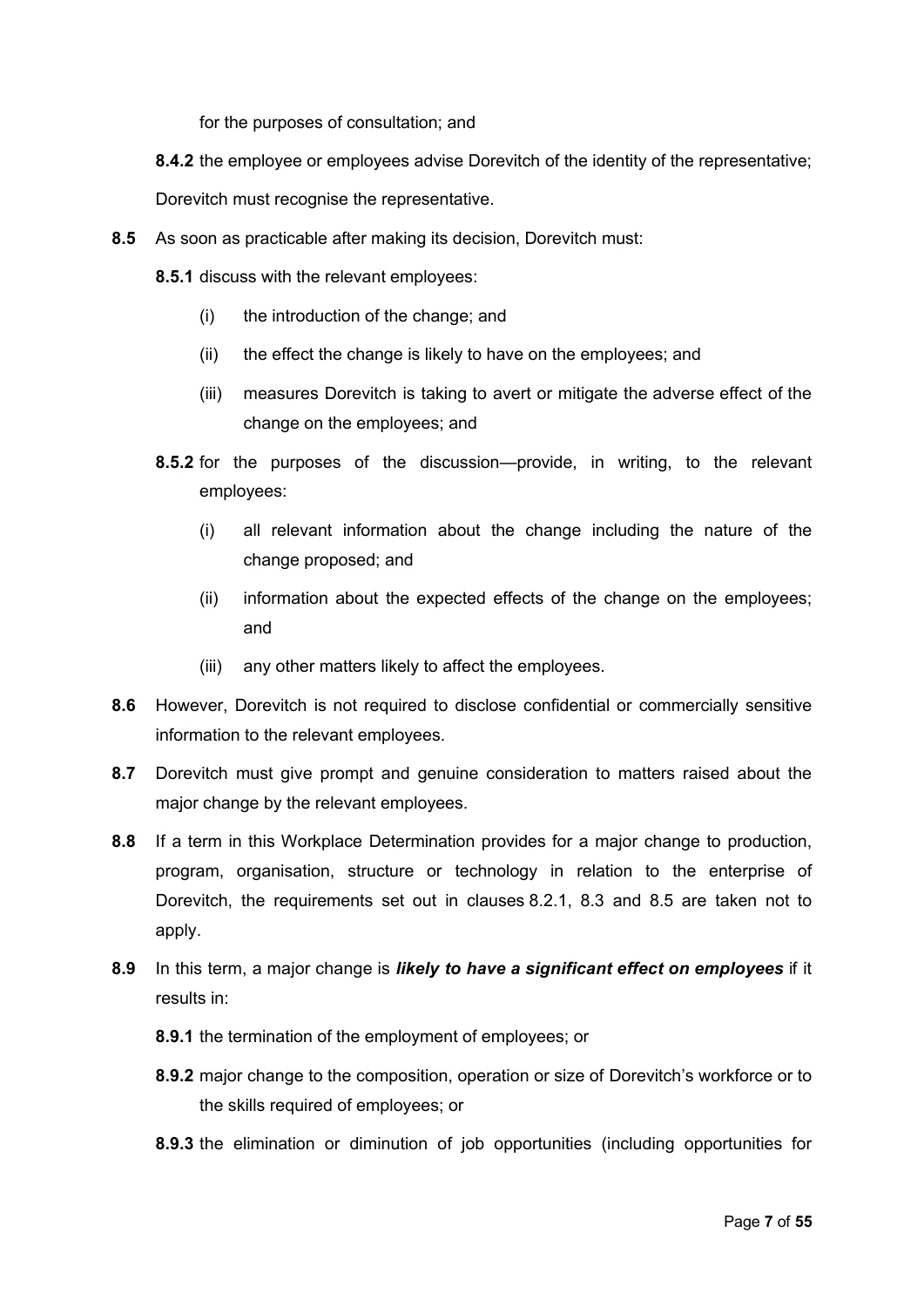for the purposes of consultation; and

**8.4.2** the employee or employees advise Dorevitch of the identity of the representative;

Dorevitch must recognise the representative.

- <span id="page-6-1"></span>**8.5** As soon as practicable after making its decision, Dorevitch must:
	- **8.5.1** discuss with the relevant employees:
		- (i) the introduction of the change; and
		- (ii) the effect the change is likely to have on the employees; and
		- (iii) measures Dorevitch is taking to avert or mitigate the adverse effect of the change on the employees; and
	- **8.5.2** for the purposes of the discussion—provide, in writing, to the relevant employees:
		- (i) all relevant information about the change including the nature of the change proposed; and
		- (ii) information about the expected effects of the change on the employees; and
		- (iii) any other matters likely to affect the employees.
- **8.6** However, Dorevitch is not required to disclose confidential or commercially sensitive information to the relevant employees.
- **8.7** Dorevitch must give prompt and genuine consideration to matters raised about the major change by the relevant employees.
- **8.8** If a term in this Workplace Determination provides for a major change to production, program, organisation, structure or technology in relation to the enterprise of Dorevitch, the requirements set out in clauses [8.2.1,](#page-5-3) [8.3](#page-5-1) and [8.5](#page-6-1) are taken not to apply.
- <span id="page-6-0"></span>**8.9** In this term, a major change is *likely to have a significant effect on employees* if it results in:
	- **8.9.1** the termination of the employment of employees; or
	- **8.9.2** major change to the composition, operation or size of Dorevitch's workforce or to the skills required of employees; or
	- **8.9.3** the elimination or diminution of job opportunities (including opportunities for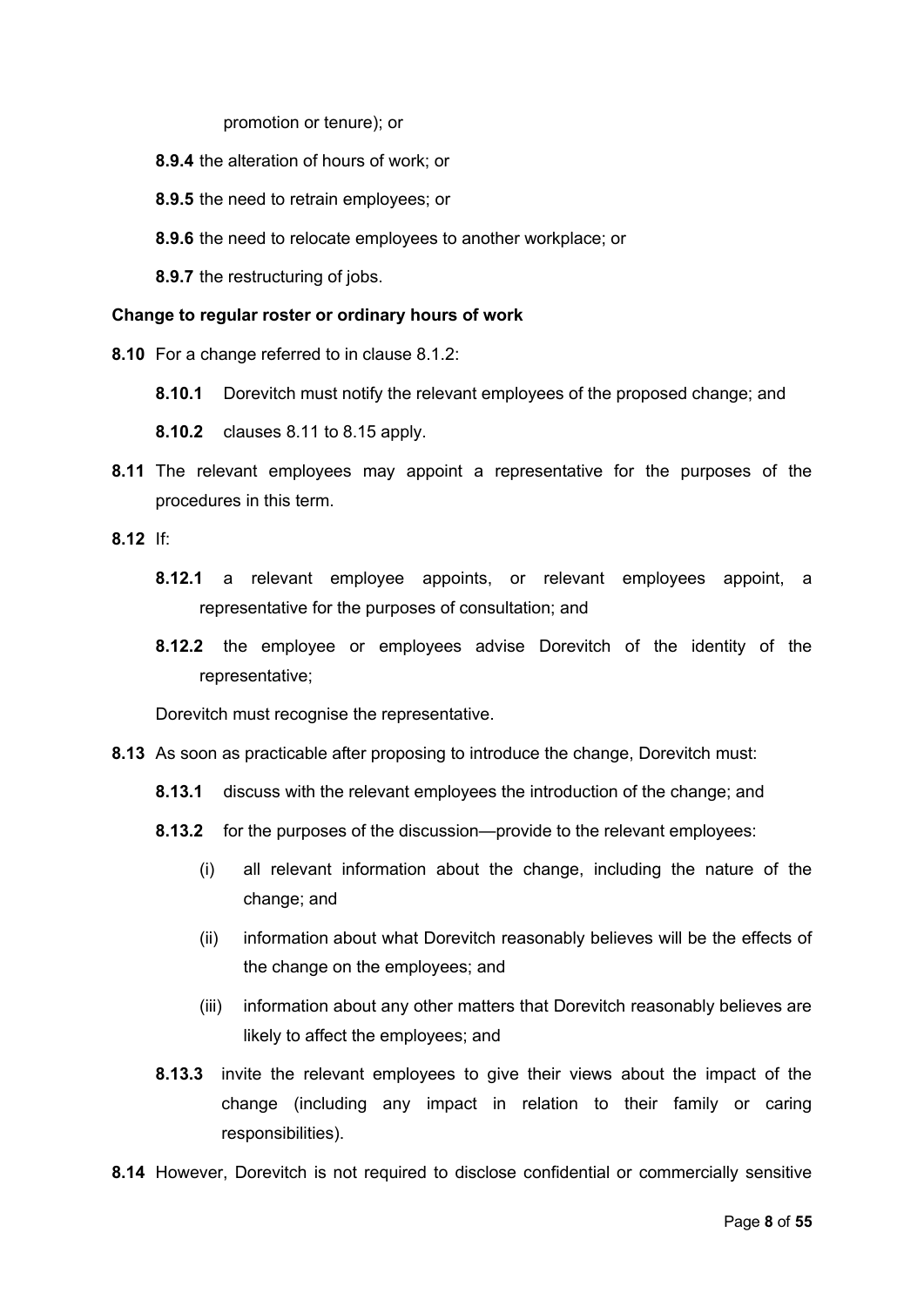promotion or tenure); or

- **8.9.4** the alteration of hours of work; or
- **8.9.5** the need to retrain employees; or
- **8.9.6** the need to relocate employees to another workplace; or

**8.9.7** the restructuring of jobs.

#### **Change to regular roster or ordinary hours of work**

- **8.10** For a change referred to in clause [8.1.2:](#page-5-4)
	- **8.10.1** Dorevitch must notify the relevant employees of the proposed change; and

**8.10.2** clauses [8.11](#page-7-0) to [8.15](#page-8-1) apply.

<span id="page-7-0"></span>**8.11** The relevant employees may appoint a representative for the purposes of the procedures in this term.

**8.12** If:

- **8.12.1** a relevant employee appoints, or relevant employees appoint, a representative for the purposes of consultation; and
- **8.12.2** the employee or employees advise Dorevitch of the identity of the representative;

Dorevitch must recognise the representative.

- **8.13** As soon as practicable after proposing to introduce the change, Dorevitch must:
	- **8.13.1** discuss with the relevant employees the introduction of the change; and
	- **8.13.2** for the purposes of the discussion—provide to the relevant employees:
		- (i) all relevant information about the change, including the nature of the change; and
		- (ii) information about what Dorevitch reasonably believes will be the effects of the change on the employees; and
		- (iii) information about any other matters that Dorevitch reasonably believes are likely to affect the employees; and
	- **8.13.3** invite the relevant employees to give their views about the impact of the change (including any impact in relation to their family or caring responsibilities).
- **8.14** However, Dorevitch is not required to disclose confidential or commercially sensitive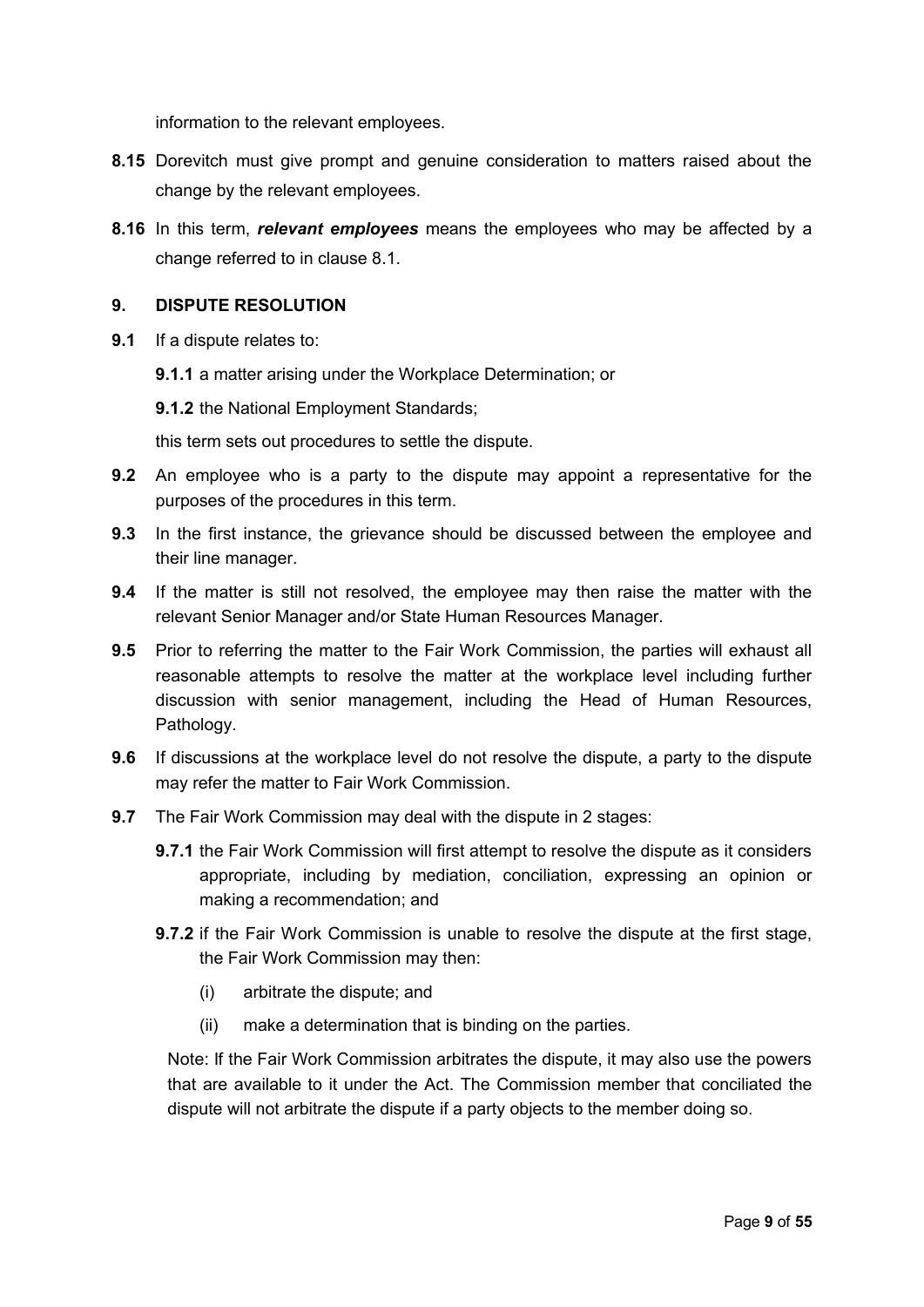information to the relevant employees.

- <span id="page-8-1"></span>**8.15** Dorevitch must give prompt and genuine consideration to matters raised about the change by the relevant employees.
- **8.16** In this term, *relevant employees* means the employees who may be affected by a change referred to in clause [8.1.](#page-5-5)

#### <span id="page-8-0"></span>**9. DISPUTE RESOLUTION**

- **9.1** If a dispute relates to:
	- **9.1.1** a matter arising under the Workplace Determination; or

**9.1.2** the National Employment Standards;

this term sets out procedures to settle the dispute.

- **9.2** An employee who is a party to the dispute may appoint a representative for the purposes of the procedures in this term.
- **9.3** In the first instance, the grievance should be discussed between the employee and their line manager.
- **9.4** If the matter is still not resolved, the employee may then raise the matter with the relevant Senior Manager and/or State Human Resources Manager.
- **9.5** Prior to referring the matter to the Fair Work Commission, the parties will exhaust all reasonable attempts to resolve the matter at the workplace level including further discussion with senior management, including the Head of Human Resources, Pathology.
- **9.6** If discussions at the workplace level do not resolve the dispute, a party to the dispute may refer the matter to Fair Work Commission.
- **9.7** The Fair Work Commission may deal with the dispute in 2 stages:
	- **9.7.1** the Fair Work Commission will first attempt to resolve the dispute as it considers appropriate, including by mediation, conciliation, expressing an opinion or making a recommendation; and
	- **9.7.2** if the Fair Work Commission is unable to resolve the dispute at the first stage, the Fair Work Commission may then:
		- (i) arbitrate the dispute; and
		- (ii) make a determination that is binding on the parties.

Note: If the Fair Work Commission arbitrates the dispute, it may also use the powers that are available to it under the Act. The Commission member that conciliated the dispute will not arbitrate the dispute if a party objects to the member doing so.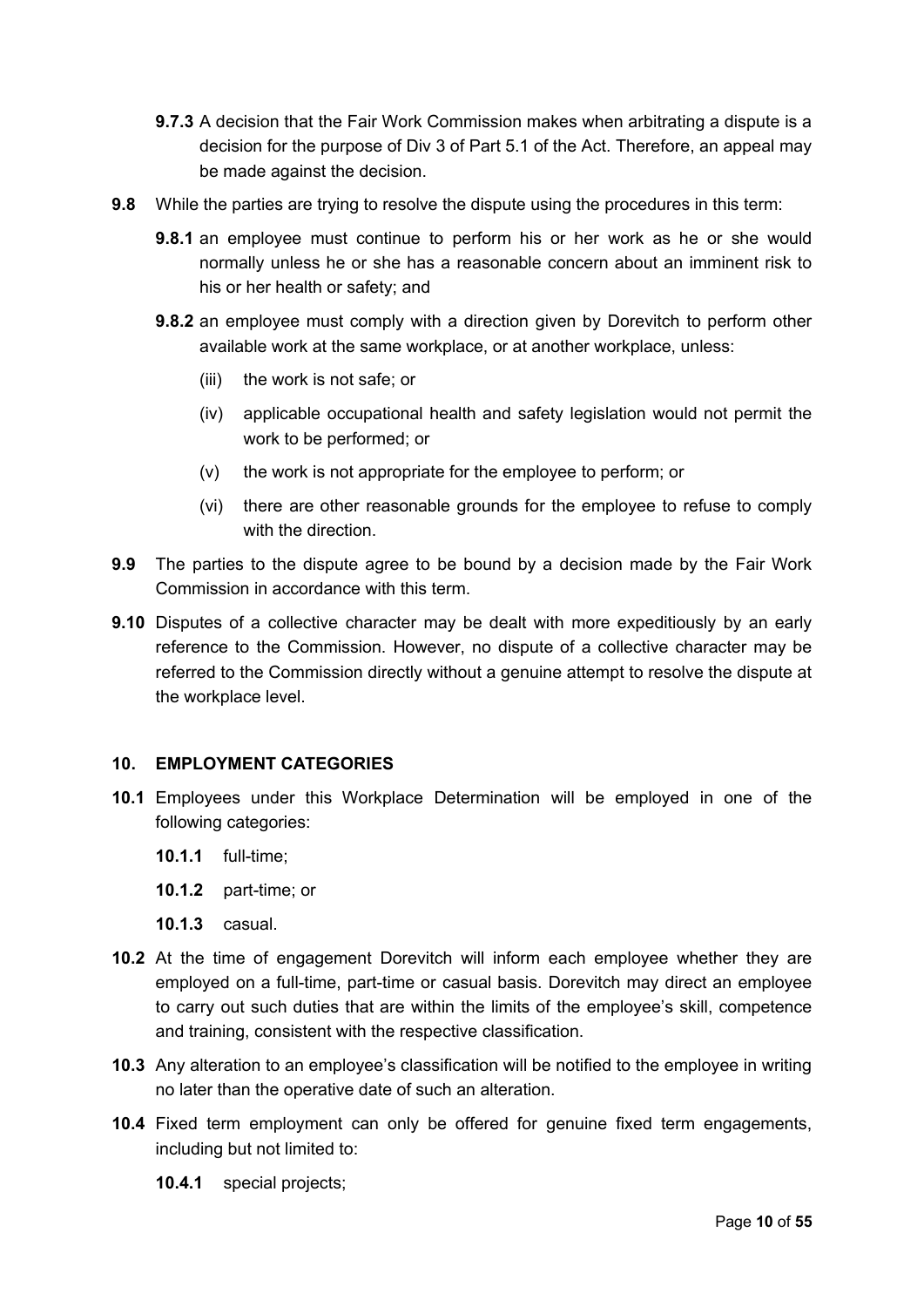- **9.7.3** A decision that the Fair Work Commission makes when arbitrating a dispute is a decision for the purpose of Div 3 of Part 5.1 of the Act. Therefore, an appeal may be made against the decision.
- **9.8** While the parties are trying to resolve the dispute using the procedures in this term:
	- **9.8.1** an employee must continue to perform his or her work as he or she would normally unless he or she has a reasonable concern about an imminent risk to his or her health or safety; and
	- **9.8.2** an employee must comply with a direction given by Dorevitch to perform other available work at the same workplace, or at another workplace, unless:
		- (iii) the work is not safe; or
		- (iv) applicable occupational health and safety legislation would not permit the work to be performed; or
		- (v) the work is not appropriate for the employee to perform; or
		- (vi) there are other reasonable grounds for the employee to refuse to comply with the direction.
- **9.9** The parties to the dispute agree to be bound by a decision made by the Fair Work Commission in accordance with this term.
- **9.10** Disputes of a collective character may be dealt with more expeditiously by an early reference to the Commission. However, no dispute of a collective character may be referred to the Commission directly without a genuine attempt to resolve the dispute at the workplace level.

## <span id="page-9-0"></span>**10. EMPLOYMENT CATEGORIES**

- **10.1** Employees under this Workplace Determination will be employed in one of the following categories:
	- **10.1.1** full-time;
	- **10.1.2** part-time; or
	- **10.1.3** casual.
- **10.2** At the time of engagement Dorevitch will inform each employee whether they are employed on a full-time, part-time or casual basis. Dorevitch may direct an employee to carry out such duties that are within the limits of the employee's skill, competence and training, consistent with the respective classification.
- **10.3** Any alteration to an employee's classification will be notified to the employee in writing no later than the operative date of such an alteration.
- **10.4** Fixed term employment can only be offered for genuine fixed term engagements, including but not limited to:
	- **10.4.1** special projects;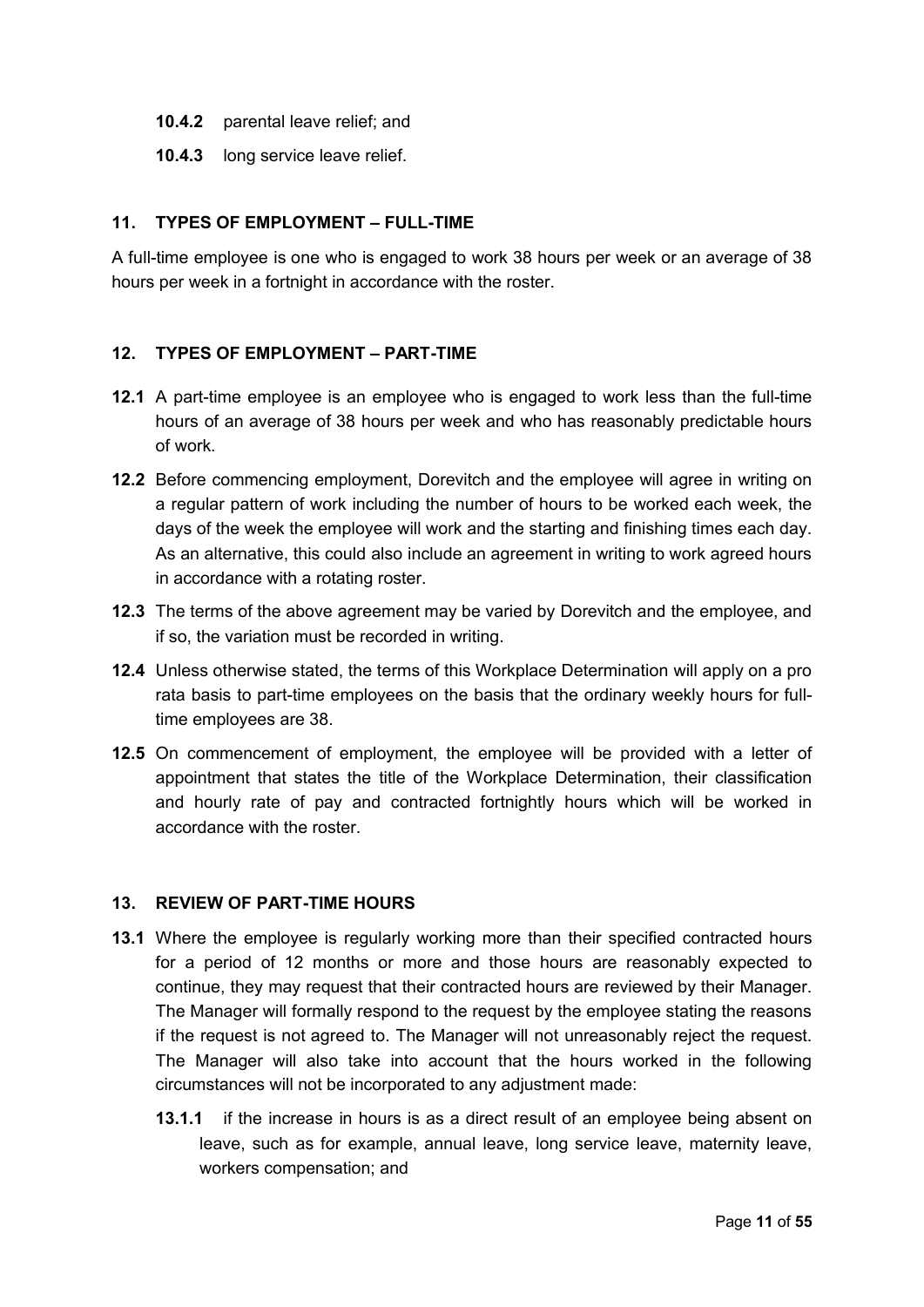- **10.4.2** parental leave relief; and
- **10.4.3** long service leave relief.

## <span id="page-10-2"></span>**11. TYPES OF EMPLOYMENT – FULL-TIME**

A full-time employee is one who is engaged to work 38 hours per week or an average of 38 hours per week in a fortnight in accordance with the roster.

#### <span id="page-10-1"></span>**12. TYPES OF EMPLOYMENT – PART-TIME**

- **12.1** A part-time employee is an employee who is engaged to work less than the full-time hours of an average of 38 hours per week and who has reasonably predictable hours of work.
- **12.2** Before commencing employment, Dorevitch and the employee will agree in writing on a regular pattern of work including the number of hours to be worked each week, the days of the week the employee will work and the starting and finishing times each day. As an alternative, this could also include an agreement in writing to work agreed hours in accordance with a rotating roster.
- **12.3** The terms of the above agreement may be varied by Dorevitch and the employee, and if so, the variation must be recorded in writing.
- **12.4** Unless otherwise stated, the terms of this Workplace Determination will apply on a pro rata basis to part-time employees on the basis that the ordinary weekly hours for fulltime employees are 38.
- **12.5** On commencement of employment, the employee will be provided with a letter of appointment that states the title of the Workplace Determination, their classification and hourly rate of pay and contracted fortnightly hours which will be worked in accordance with the roster.

#### <span id="page-10-0"></span>**13. REVIEW OF PART-TIME HOURS**

- **13.1** Where the employee is regularly working more than their specified contracted hours for a period of 12 months or more and those hours are reasonably expected to continue, they may request that their contracted hours are reviewed by their Manager. The Manager will formally respond to the request by the employee stating the reasons if the request is not agreed to. The Manager will not unreasonably reject the request. The Manager will also take into account that the hours worked in the following circumstances will not be incorporated to any adjustment made:
	- **13.1.1** if the increase in hours is as a direct result of an employee being absent on leave, such as for example, annual leave, long service leave, maternity leave, workers compensation; and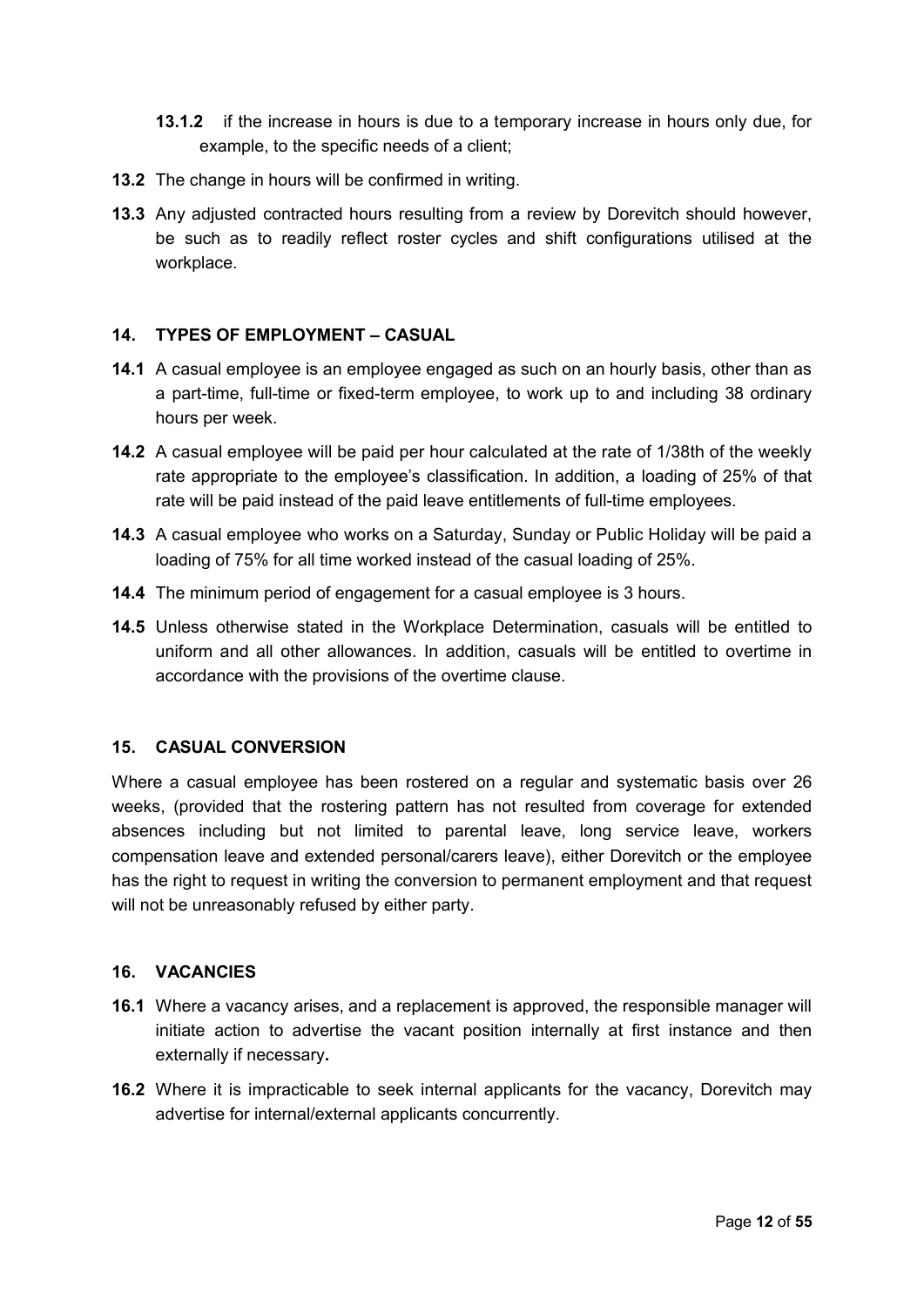- **13.1.2** if the increase in hours is due to a temporary increase in hours only due, for example, to the specific needs of a client;
- **13.2** The change in hours will be confirmed in writing.
- **13.3** Any adjusted contracted hours resulting from a review by Dorevitch should however, be such as to readily reflect roster cycles and shift configurations utilised at the workplace.

#### <span id="page-11-2"></span>**14. TYPES OF EMPLOYMENT – CASUAL**

- **14.1** A casual employee is an employee engaged as such on an hourly basis, other than as a part-time, full-time or fixed-term employee, to work up to and including 38 ordinary hours per week.
- **14.2** A casual employee will be paid per hour calculated at the rate of 1/38th of the weekly rate appropriate to the employee's classification. In addition, a loading of 25% of that rate will be paid instead of the paid leave entitlements of full-time employees.
- **14.3** A casual employee who works on a Saturday, Sunday or Public Holiday will be paid a loading of 75% for all time worked instead of the casual loading of 25%.
- **14.4** The minimum period of engagement for a casual employee is 3 hours.
- **14.5** Unless otherwise stated in the Workplace Determination, casuals will be entitled to uniform and all other allowances. In addition, casuals will be entitled to overtime in accordance with the provisions of the overtime clause.

#### <span id="page-11-1"></span>**15. CASUAL CONVERSION**

Where a casual employee has been rostered on a regular and systematic basis over 26 weeks, (provided that the rostering pattern has not resulted from coverage for extended absences including but not limited to parental leave, long service leave, workers compensation leave and extended personal/carers leave), either Dorevitch or the employee has the right to request in writing the conversion to permanent employment and that request will not be unreasonably refused by either party.

#### <span id="page-11-0"></span>**16. VACANCIES**

- **16.1** Where a vacancy arises, and a replacement is approved, the responsible manager will initiate action to advertise the vacant position internally at first instance and then externally if necessary**.**
- **16.2** Where it is impracticable to seek internal applicants for the vacancy, Dorevitch may advertise for internal/external applicants concurrently.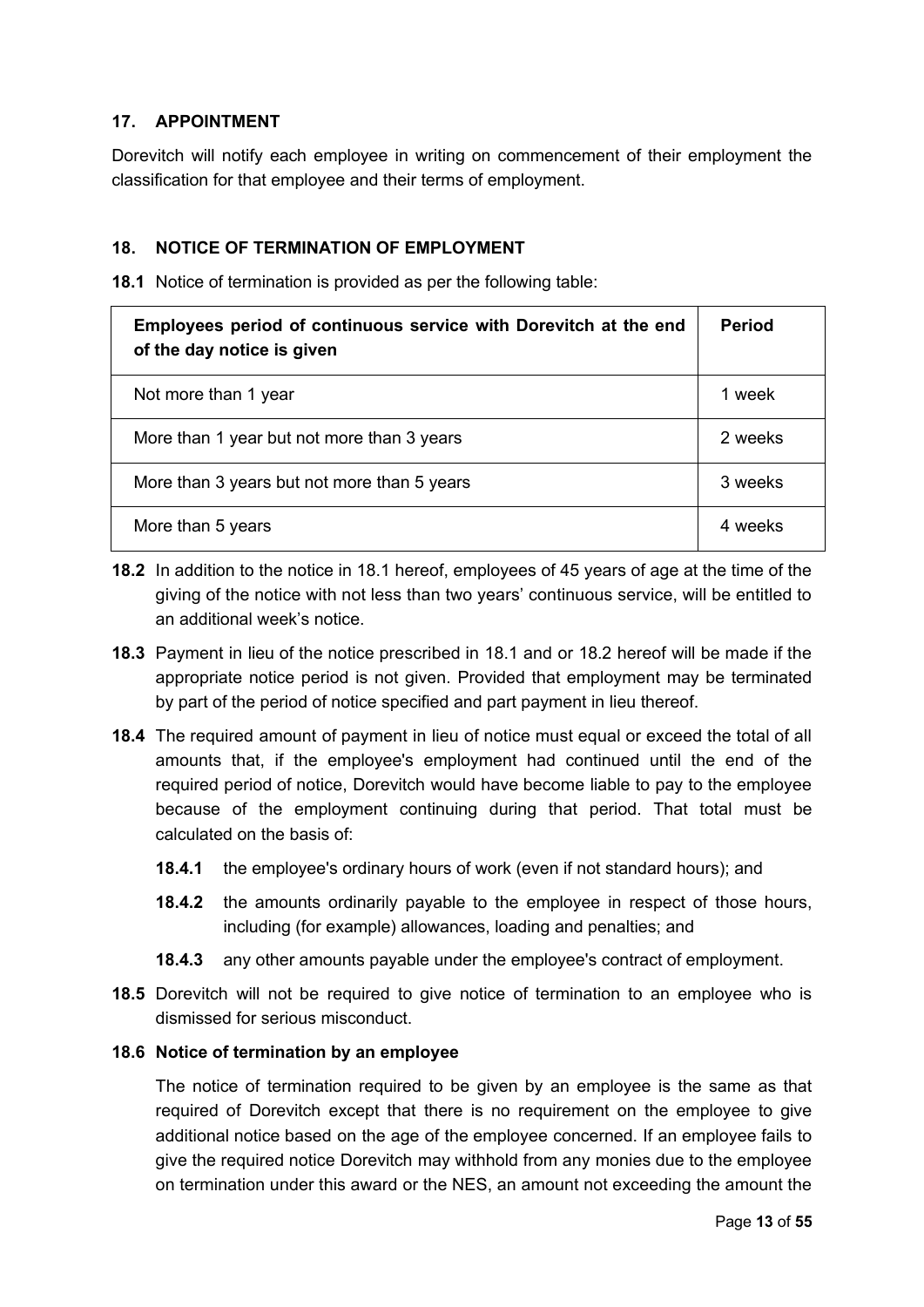## **17. APPOINTMENT**

Dorevitch will notify each employee in writing on commencement of their employment the classification for that employee and their terms of employment.

## <span id="page-12-0"></span>**18. NOTICE OF TERMINATION OF EMPLOYMENT**

<span id="page-12-2"></span>**18.1** Notice of termination is provided as per the following table:

| Employees period of continuous service with Dorevitch at the end<br>of the day notice is given | <b>Period</b> |
|------------------------------------------------------------------------------------------------|---------------|
| Not more than 1 year                                                                           | 1 week        |
| More than 1 year but not more than 3 years                                                     | 2 weeks       |
| More than 3 years but not more than 5 years                                                    | 3 weeks       |
| More than 5 years                                                                              | 4 weeks       |

- <span id="page-12-1"></span>**18.2** In addition to the notice in [18.1](#page-12-2) hereof, employees of 45 years of age at the time of the giving of the notice with not less than two years' continuous service, will be entitled to an additional week's notice.
- **18.3** Payment in lieu of the notice prescribed in [18.1](#page-12-2) and or [18.2](#page-12-1) hereof will be made if the appropriate notice period is not given. Provided that employment may be terminated by part of the period of notice specified and part payment in lieu thereof.
- **18.4** The required amount of payment in lieu of notice must equal or exceed the total of all amounts that, if the employee's employment had continued until the end of the required period of notice, Dorevitch would have become liable to pay to the employee because of the employment continuing during that period. That total must be calculated on the basis of:
	- **18.4.1** the employee's ordinary hours of work (even if not standard hours); and
	- **18.4.2** the amounts ordinarily payable to the employee in respect of those hours, including (for example) allowances, loading and penalties; and
	- **18.4.3** any other amounts payable under the employee's contract of employment.
- **18.5** Dorevitch will not be required to give notice of termination to an employee who is dismissed for serious misconduct.

#### **18.6 Notice of termination by an employee**

The notice of termination required to be given by an employee is the same as that required of Dorevitch except that there is no requirement on the employee to give additional notice based on the age of the employee concerned. If an employee fails to give the required notice Dorevitch may withhold from any monies due to the employee on termination under this award or the NES, an amount not exceeding the amount the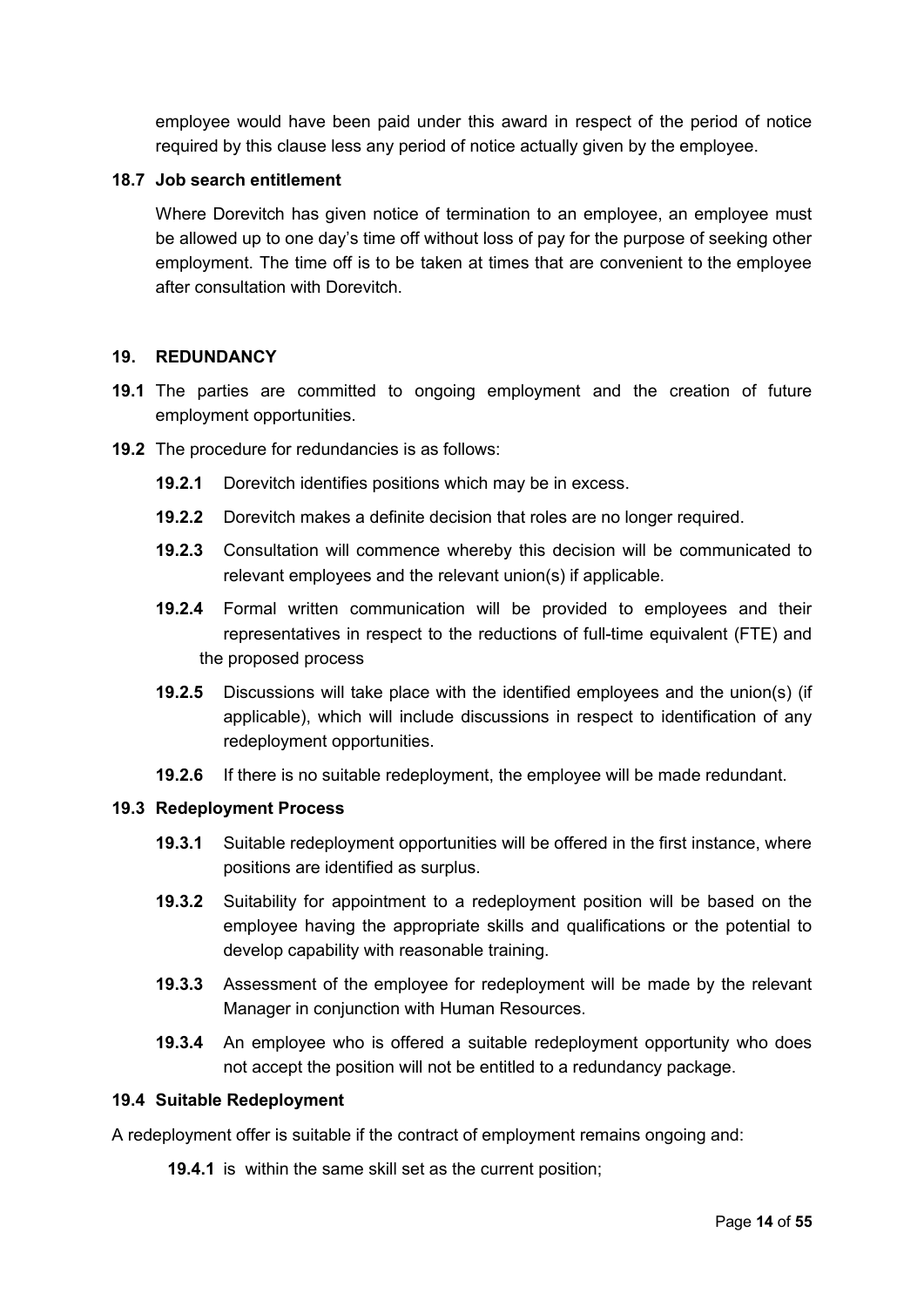employee would have been paid under this award in respect of the period of notice required by this clause less any period of notice actually given by the employee.

#### <span id="page-13-1"></span>**18.7 Job search entitlement**

Where Dorevitch has given notice of termination to an employee, an employee must be allowed up to one day's time off without loss of pay for the purpose of seeking other employment. The time off is to be taken at times that are convenient to the employee after consultation with Dorevitch.

## <span id="page-13-0"></span>**19. REDUNDANCY**

- **19.1** The parties are committed to ongoing employment and the creation of future employment opportunities.
- **19.2** The procedure for redundancies is as follows:
	- **19.2.1** Dorevitch identifies positions which may be in excess.
	- **19.2.2** Dorevitch makes a definite decision that roles are no longer required.
	- **19.2.3** Consultation will commence whereby this decision will be communicated to relevant employees and the relevant union(s) if applicable.
	- **19.2.4** Formal written communication will be provided to employees and their representatives in respect to the reductions of full-time equivalent (FTE) and the proposed process
	- **19.2.5** Discussions will take place with the identified employees and the union(s) (if applicable), which will include discussions in respect to identification of any redeployment opportunities.
	- **19.2.6** If there is no suitable redeployment, the employee will be made redundant.

#### **19.3 Redeployment Process**

- **19.3.1** Suitable redeployment opportunities will be offered in the first instance, where positions are identified as surplus.
- **19.3.2** Suitability for appointment to a redeployment position will be based on the employee having the appropriate skills and qualifications or the potential to develop capability with reasonable training.
- **19.3.3** Assessment of the employee for redeployment will be made by the relevant Manager in conjunction with Human Resources.
- **19.3.4** An employee who is offered a suitable redeployment opportunity who does not accept the position will not be entitled to a redundancy package.

#### **19.4 Suitable Redeployment**

A redeployment offer is suitable if the contract of employment remains ongoing and:

**19.4.1** is within the same skill set as the current position;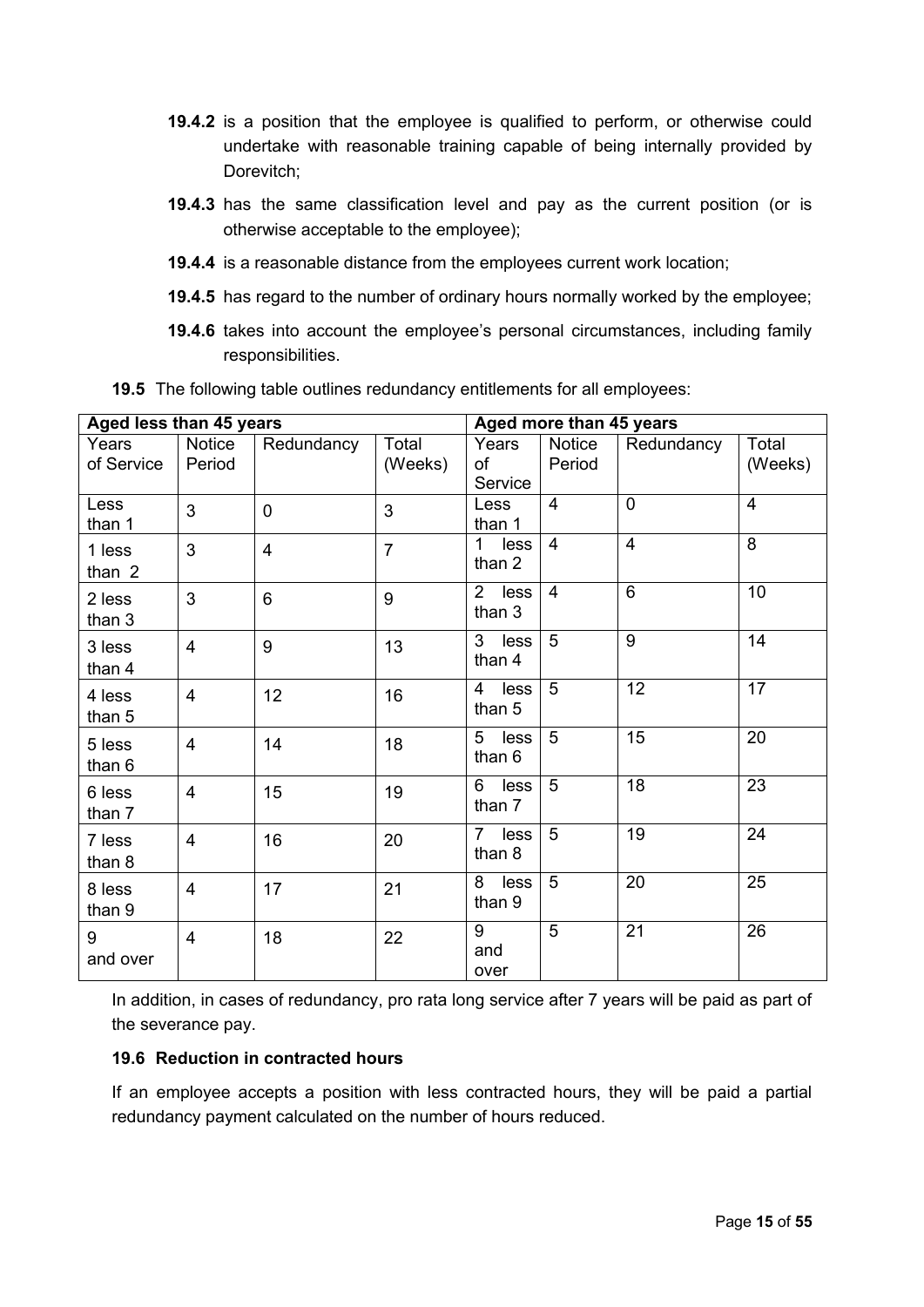- **19.4.2** is a position that the employee is qualified to perform, or otherwise could undertake with reasonable training capable of being internally provided by Dorevitch;
- **19.4.3** has the same classification level and pay as the current position (or is otherwise acceptable to the employee);
- **19.4.4** is a reasonable distance from the employees current work location;
- **19.4.5** has regard to the number of ordinary hours normally worked by the employee;
- **19.4.6** takes into account the employee's personal circumstances, including family responsibilities.

| Aged less than 45 years |                         |                |                  | Aged more than 45 years          |                         |                |                  |
|-------------------------|-------------------------|----------------|------------------|----------------------------------|-------------------------|----------------|------------------|
| Years<br>of Service     | <b>Notice</b><br>Period | Redundancy     | Total<br>(Weeks) | Years<br>of<br>Service           | <b>Notice</b><br>Period | Redundancy     | Total<br>(Weeks) |
| Less<br>than 1          | 3                       | $\overline{0}$ | 3                | Less<br>than 1                   | $\overline{4}$          | $\mathbf 0$    | $\overline{4}$   |
| 1 less<br>than 2        | 3                       | $\overline{4}$ | $\overline{7}$   | less<br>$\mathbf 1$<br>than 2    | $\overline{4}$          | $\overline{4}$ | 8                |
| 2 less<br>than 3        | 3                       | 6              | 9                | $\overline{2}$<br>less<br>than 3 | $\overline{4}$          | 6              | 10               |
| 3 less<br>than 4        | $\overline{4}$          | 9              | 13               | $\overline{3}$<br>less<br>than 4 | $\overline{5}$          | $\overline{9}$ | 14               |
| 4 less<br>than 5        | $\overline{\mathbf{4}}$ | 12             | 16               | less<br>4<br>than 5              | $\overline{5}$          | 12             | 17               |
| 5 less<br>than 6        | $\overline{\mathbf{4}}$ | 14             | 18               | 5<br>less<br>than 6              | 5                       | 15             | 20               |
| 6 less<br>than 7        | 4                       | 15             | 19               | 6<br>less<br>than 7              | 5                       | 18             | 23               |
| 7 less<br>than 8        | $\overline{4}$          | 16             | 20               | less<br>$7^{\circ}$<br>than 8    | 5                       | 19             | 24               |
| 8 less<br>than 9        | $\overline{\mathbf{4}}$ | 17             | 21               | less<br>8<br>than 9              | 5                       | 20             | 25               |
| 9<br>and over           | $\overline{4}$          | 18             | 22               | 9<br>and<br>over                 | 5                       | 21             | 26               |

**19.5** The following table outlines redundancy entitlements for all employees:

In addition, in cases of redundancy, pro rata long service after 7 years will be paid as part of the severance pay.

#### **19.6 Reduction in contracted hours**

If an employee accepts a position with less contracted hours, they will be paid a partial redundancy payment calculated on the number of hours reduced.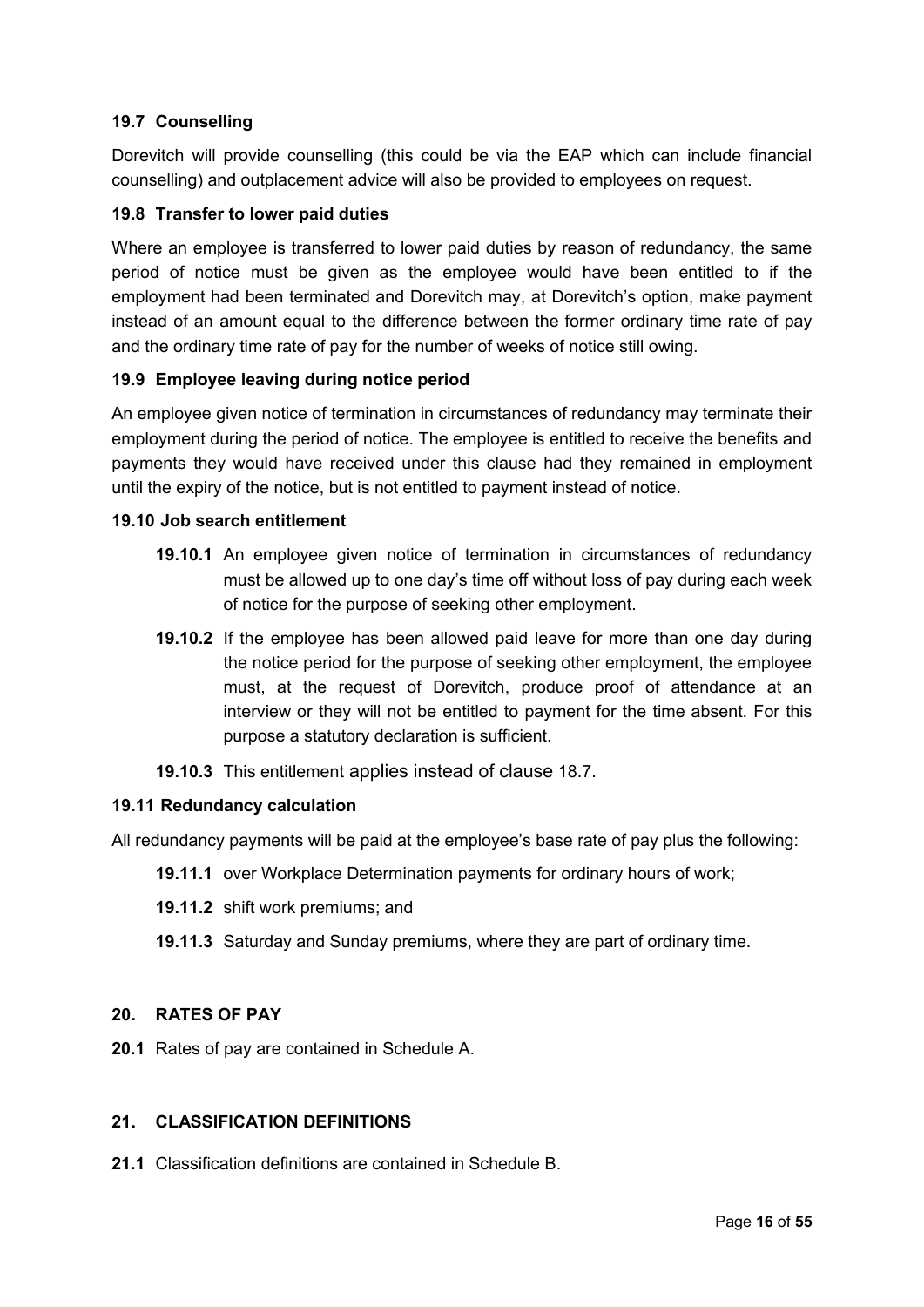## **19.7 Counselling**

Dorevitch will provide counselling (this could be via the EAP which can include financial counselling) and outplacement advice will also be provided to employees on request.

## **19.8 Transfer to lower paid duties**

Where an employee is transferred to lower paid duties by reason of redundancy, the same period of notice must be given as the employee would have been entitled to if the employment had been terminated and Dorevitch may, at Dorevitch's option, make payment instead of an amount equal to the difference between the former ordinary time rate of pay and the ordinary time rate of pay for the number of weeks of notice still owing.

## **19.9 Employee leaving during notice period**

An employee given notice of termination in circumstances of redundancy may terminate their employment during the period of notice. The employee is entitled to receive the benefits and payments they would have received under this clause had they remained in employment until the expiry of the notice, but is not entitled to payment instead of notice.

#### **19.10 Job search entitlement**

- **19.10.1** An employee given notice of termination in circumstances of redundancy must be allowed up to one day's time off without loss of pay during each week of notice for the purpose of seeking other employment.
- **19.10.2** If the employee has been allowed paid leave for more than one day during the notice period for the purpose of seeking other employment, the employee must, at the request of Dorevitch, produce proof of attendance at an interview or they will not be entitled to payment for the time absent. For this purpose a statutory declaration is sufficient.

## **19.10.3** This entitlement applies instead of clause [18.7.](#page-13-1)

#### **19.11 Redundancy calculation**

All redundancy payments will be paid at the employee's base rate of pay plus the following:

- **19.11.1** over Workplace Determination payments for ordinary hours of work;
- **19.11.2** shift work premiums; and
- **19.11.3** Saturday and Sunday premiums, where they are part of ordinary time.

#### <span id="page-15-0"></span>**20. RATES OF PAY**

**20.1** Rates of pay are contained in Schedule A.

## **21. CLASSIFICATION DEFINITIONS**

**21.1** Classification definitions are contained in Schedule B.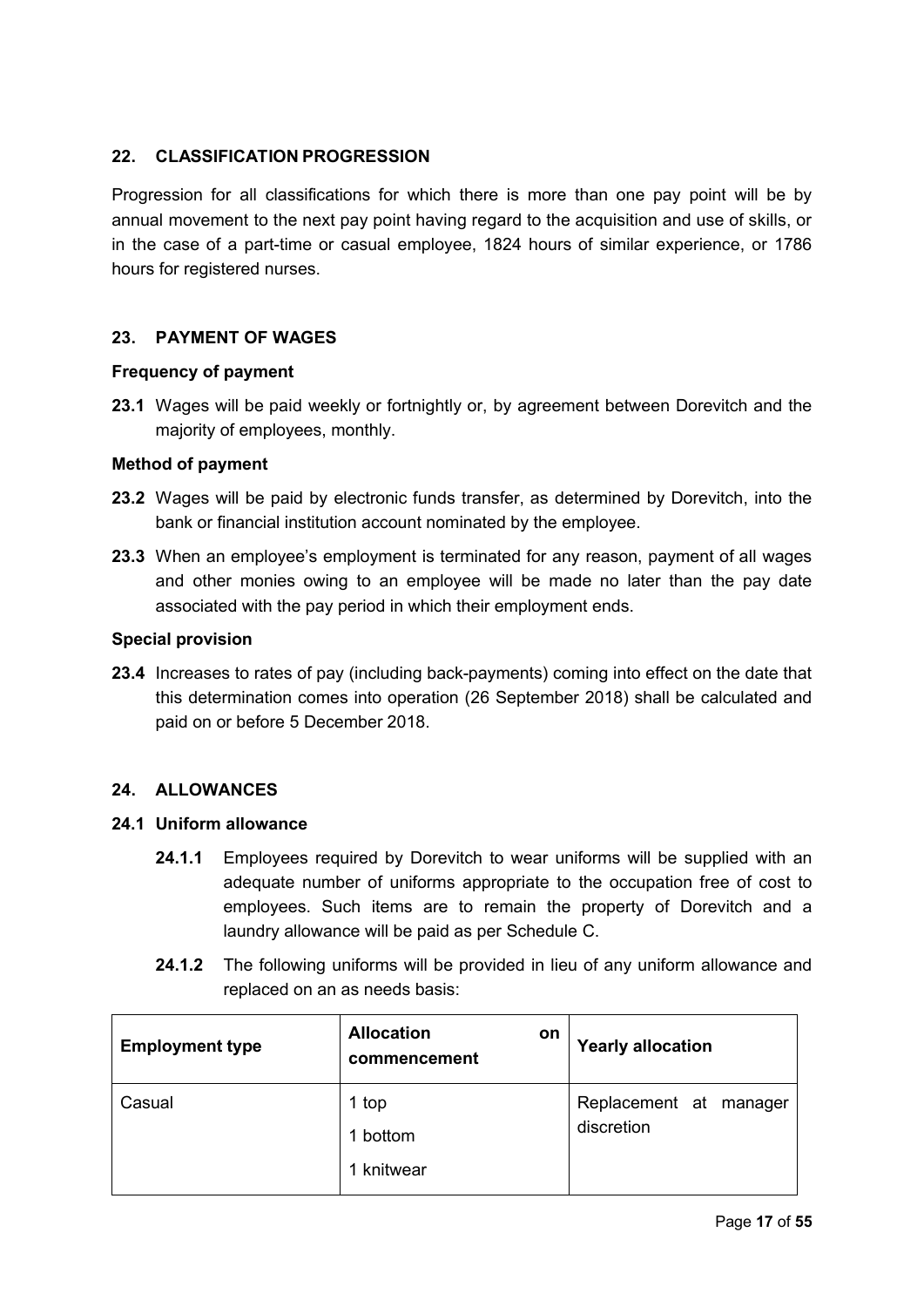## <span id="page-16-2"></span>**22. CLASSIFICATION PROGRESSION**

Progression for all classifications for which there is more than one pay point will be by annual movement to the next pay point having regard to the acquisition and use of skills, or in the case of a part-time or casual employee, 1824 hours of similar experience, or 1786 hours for registered nurses.

## <span id="page-16-1"></span>**23. PAYMENT OF WAGES**

#### **Frequency of payment**

**23.1** Wages will be paid weekly or fortnightly or, by agreement between Dorevitch and the majority of employees, monthly.

#### **Method of payment**

- **23.2** Wages will be paid by electronic funds transfer, as determined by Dorevitch, into the bank or financial institution account nominated by the employee.
- **23.3** When an employee's employment is terminated for any reason, payment of all wages and other monies owing to an employee will be made no later than the pay date associated with the pay period in which their employment ends.

#### **Special provision**

**23.4** Increases to rates of pay (including back-payments) coming into effect on the date that this determination comes into operation (26 September 2018) shall be calculated and paid on or before 5 December 2018.

#### <span id="page-16-0"></span>**24. ALLOWANCES**

#### **24.1 Uniform allowance**

- **24.1.1** Employees required by Dorevitch to wear uniforms will be supplied with an adequate number of uniforms appropriate to the occupation free of cost to employees. Such items are to remain the property of Dorevitch and a laundry allowance will be paid as per Schedule C.
- **24.1.2** The following uniforms will be provided in lieu of any uniform allowance and replaced on an as needs basis:

| <b>Employment type</b> | <b>Allocation</b><br>on<br>commencement | <b>Yearly allocation</b>                |
|------------------------|-----------------------------------------|-----------------------------------------|
| Casual                 | 1 top<br>1 bottom<br>1 knitwear         | Replacement at<br>manager<br>discretion |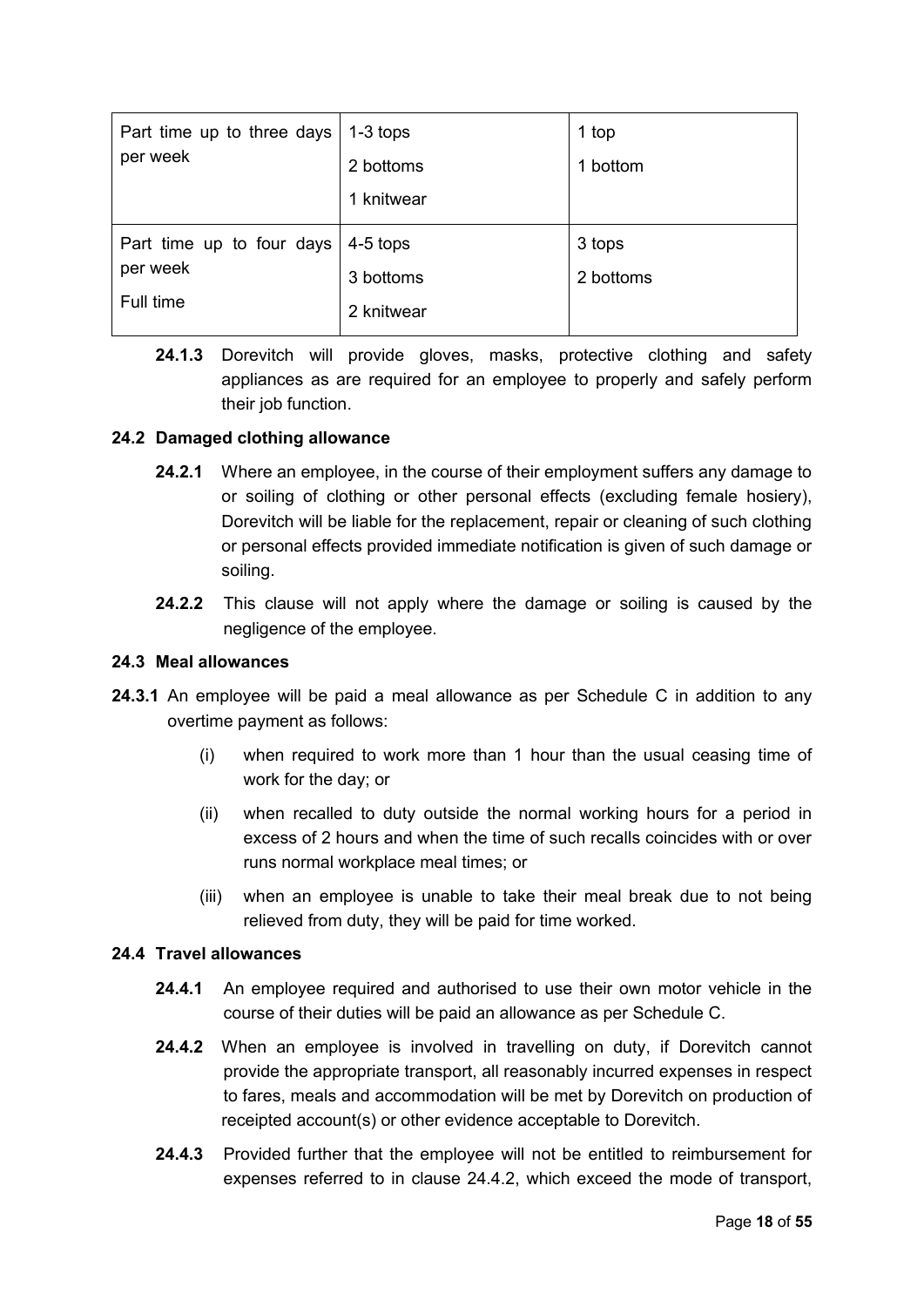| Part time up to three days<br>per week             | $1-3$ tops<br>2 bottoms<br>1 knitwear | 1 top<br>1 bottom   |
|----------------------------------------------------|---------------------------------------|---------------------|
| Part time up to four days<br>per week<br>Full time | $4-5$ tops<br>3 bottoms<br>2 knitwear | 3 tops<br>2 bottoms |

**24.1.3** Dorevitch will provide gloves, masks, protective clothing and safety appliances as are required for an employee to properly and safely perform their job function.

## **24.2 Damaged clothing allowance**

- **24.2.1** Where an employee, in the course of their employment suffers any damage to or soiling of clothing or other personal effects (excluding female hosiery), Dorevitch will be liable for the replacement, repair or cleaning of such clothing or personal effects provided immediate notification is given of such damage or soiling.
- **24.2.2** This clause will not apply where the damage or soiling is caused by the negligence of the employee.

#### **24.3 Meal allowances**

- **24.3.1** An employee will be paid a meal allowance as per Schedule C in addition to any overtime payment as follows:
	- (i) when required to work more than 1 hour than the usual ceasing time of work for the day; or
	- (ii) when recalled to duty outside the normal working hours for a period in excess of 2 hours and when the time of such recalls coincides with or over runs normal workplace meal times; or
	- (iii) when an employee is unable to take their meal break due to not being relieved from duty, they will be paid for time worked.

#### <span id="page-17-0"></span>**24.4 Travel allowances**

- **24.4.1** An employee required and authorised to use their own motor vehicle in the course of their duties will be paid an allowance as per Schedule C.
- **24.4.2** When an employee is involved in travelling on duty, if Dorevitch cannot provide the appropriate transport, all reasonably incurred expenses in respect to fares, meals and accommodation will be met by Dorevitch on production of receipted account(s) or other evidence acceptable to Dorevitch.
- **24.4.3** Provided further that the employee will not be entitled to reimbursement for expenses referred to in clause [24.4.2,](#page-17-0) which exceed the mode of transport,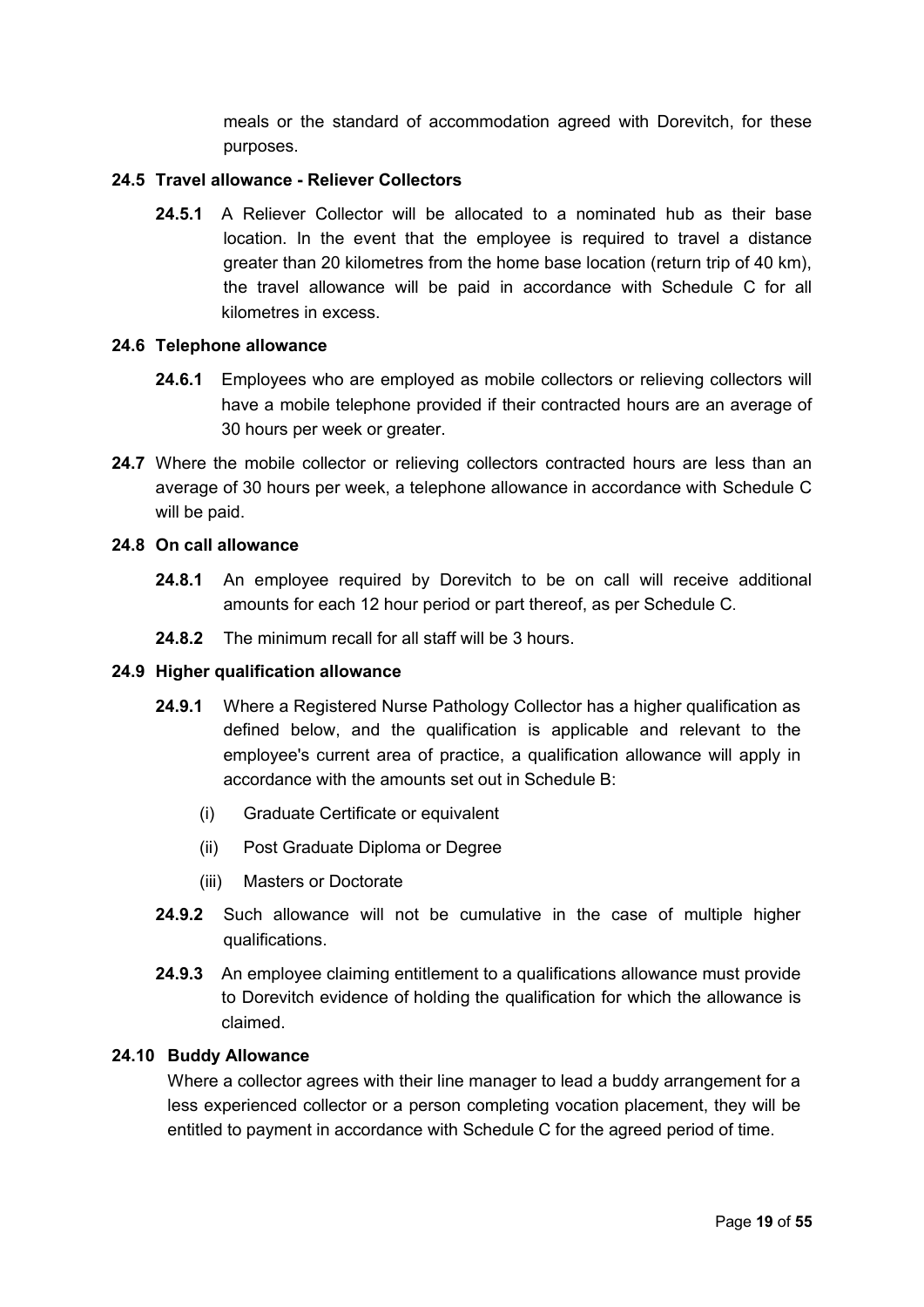meals or the standard of accommodation agreed with Dorevitch, for these purposes.

### **24.5 Travel allowance - Reliever Collectors**

**24.5.1** A Reliever Collector will be allocated to a nominated hub as their base location. In the event that the employee is required to travel a distance greater than 20 kilometres from the home base location (return trip of 40 km), the travel allowance will be paid in accordance with Schedule C for all kilometres in excess.

#### **24.6 Telephone allowance**

- **24.6.1** Employees who are employed as mobile collectors or relieving collectors will have a mobile telephone provided if their contracted hours are an average of 30 hours per week or greater.
- 24.7 Where the mobile collector or relieving collectors contracted hours are less than an average of 30 hours per week, a telephone allowance in accordance with Schedule C will be paid.

#### **24.8 On call allowance**

- **24.8.1** An employee required by Dorevitch to be on call will receive additional amounts for each 12 hour period or part thereof, as per Schedule C.
- **24.8.2** The minimum recall for all staff will be 3 hours.

#### **24.9 Higher qualification allowance**

- **24.9.1** Where a Registered Nurse Pathology Collector has a higher qualification as defined below, and the qualification is applicable and relevant to the employee's current area of practice, a qualification allowance will apply in accordance with the amounts set out in Schedule B:
	- (i) Graduate Certificate or equivalent
	- (ii) Post Graduate Diploma or Degree
	- (iii) Masters or Doctorate
- **24.9.2** Such allowance will not be cumulative in the case of multiple higher qualifications.
- **24.9.3** An employee claiming entitlement to a qualifications allowance must provide to Dorevitch evidence of holding the qualification for which the allowance is claimed.

#### **24.10 Buddy Allowance**

Where a collector agrees with their line manager to lead a buddy arrangement for a less experienced collector or a person completing vocation placement, they will be entitled to payment in accordance with Schedule C for the agreed period of time.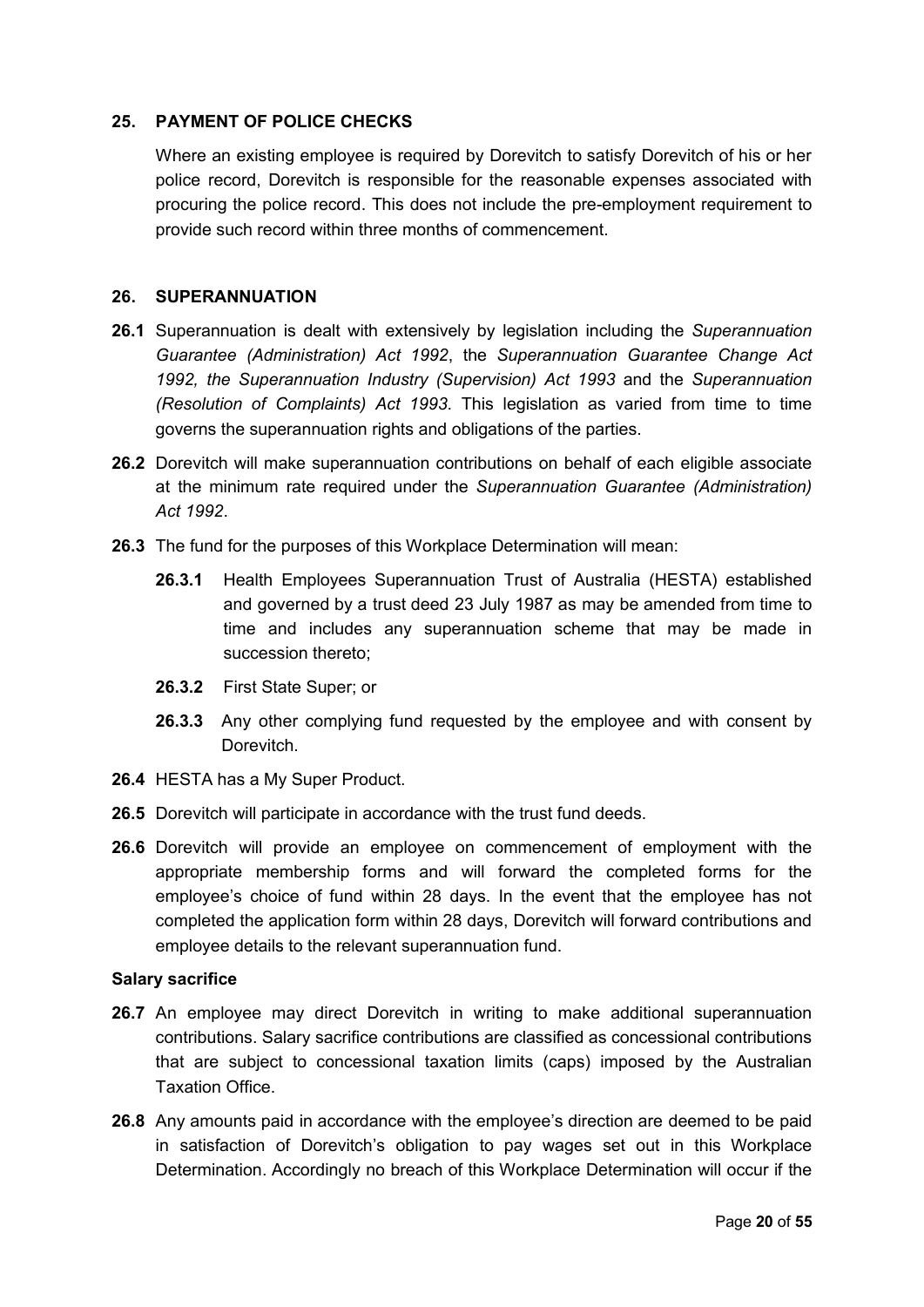### <span id="page-19-1"></span>**25. PAYMENT OF POLICE CHECKS**

Where an existing employee is required by Dorevitch to satisfy Dorevitch of his or her police record, Dorevitch is responsible for the reasonable expenses associated with procuring the police record. This does not include the pre-employment requirement to provide such record within three months of commencement.

#### <span id="page-19-0"></span>**26. SUPERANNUATION**

- **26.1** Superannuation is dealt with extensively by legislation including the *Superannuation Guarantee (Administration) Act 1992*, the *Superannuation Guarantee Change Act 1992, the Superannuation Industry (Supervision) Act 1993* and the *Superannuation (Resolution of Complaints) Act 1993*. This legislation as varied from time to time governs the superannuation rights and obligations of the parties.
- **26.2** Dorevitch will make superannuation contributions on behalf of each eligible associate at the minimum rate required under the *Superannuation Guarantee (Administration) Act 1992*.
- **26.3** The fund for the purposes of this Workplace Determination will mean:
	- **26.3.1** Health Employees Superannuation Trust of Australia (HESTA) established and governed by a trust deed 23 July 1987 as may be amended from time to time and includes any superannuation scheme that may be made in succession thereto;
	- **26.3.2** First State Super; or
	- **26.3.3** Any other complying fund requested by the employee and with consent by Dorevitch.
- **26.4** HESTA has a My Super Product.
- **26.5** Dorevitch will participate in accordance with the trust fund deeds.
- **26.6** Dorevitch will provide an employee on commencement of employment with the appropriate membership forms and will forward the completed forms for the employee's choice of fund within 28 days. In the event that the employee has not completed the application form within 28 days, Dorevitch will forward contributions and employee details to the relevant superannuation fund.

#### **Salary sacrifice**

- **26.7** An employee may direct Dorevitch in writing to make additional superannuation contributions. Salary sacrifice contributions are classified as concessional contributions that are subject to concessional taxation limits (caps) imposed by the Australian Taxation Office.
- **26.8** Any amounts paid in accordance with the employee's direction are deemed to be paid in satisfaction of Dorevitch's obligation to pay wages set out in this Workplace Determination. Accordingly no breach of this Workplace Determination will occur if the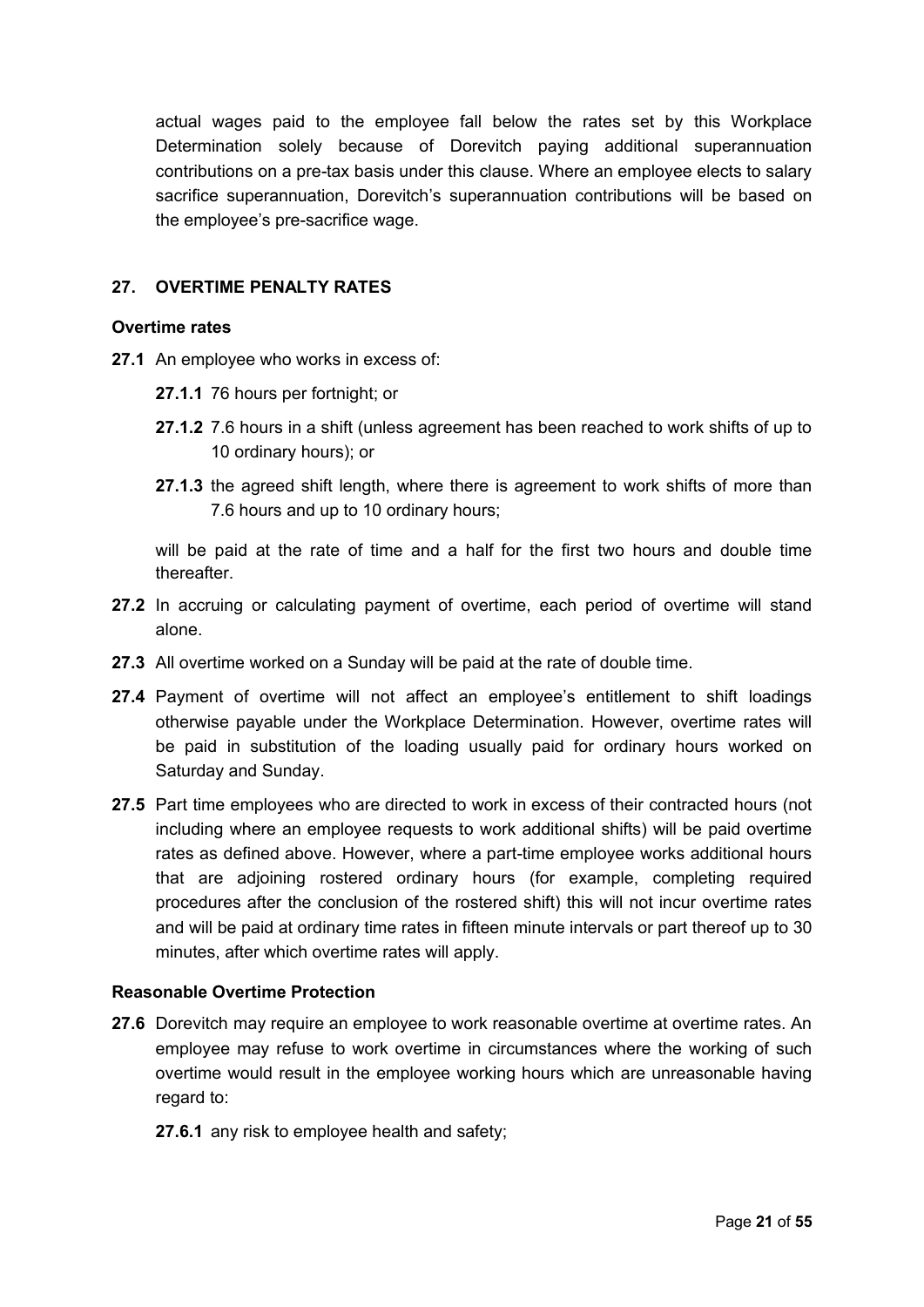actual wages paid to the employee fall below the rates set by this Workplace Determination solely because of Dorevitch paying additional superannuation contributions on a pre-tax basis under this clause. Where an employee elects to salary sacrifice superannuation, Dorevitch's superannuation contributions will be based on the employee's pre-sacrifice wage.

## <span id="page-20-0"></span>**27. OVERTIME PENALTY RATES**

#### **Overtime rates**

- **27.1** An employee who works in excess of:
	- **27.1.1** 76 hours per fortnight; or
	- **27.1.2** 7.6 hours in a shift (unless agreement has been reached to work shifts of up to 10 ordinary hours); or
	- **27.1.3** the agreed shift length, where there is agreement to work shifts of more than 7.6 hours and up to 10 ordinary hours;

will be paid at the rate of time and a half for the first two hours and double time thereafter.

- **27.2** In accruing or calculating payment of overtime, each period of overtime will stand alone.
- **27.3** All overtime worked on a Sunday will be paid at the rate of double time.
- **27.4** Payment of overtime will not affect an employee's entitlement to shift loadings otherwise payable under the Workplace Determination. However, overtime rates will be paid in substitution of the loading usually paid for ordinary hours worked on Saturday and Sunday.
- **27.5** Part time employees who are directed to work in excess of their contracted hours (not including where an employee requests to work additional shifts) will be paid overtime rates as defined above. However, where a part-time employee works additional hours that are adjoining rostered ordinary hours (for example, completing required procedures after the conclusion of the rostered shift) this will not incur overtime rates and will be paid at ordinary time rates in fifteen minute intervals or part thereof up to 30 minutes, after which overtime rates will apply.

#### **Reasonable Overtime Protection**

- **27.6** Dorevitch may require an employee to work reasonable overtime at overtime rates. An employee may refuse to work overtime in circumstances where the working of such overtime would result in the employee working hours which are unreasonable having regard to:
	- **27.6.1** any risk to employee health and safety;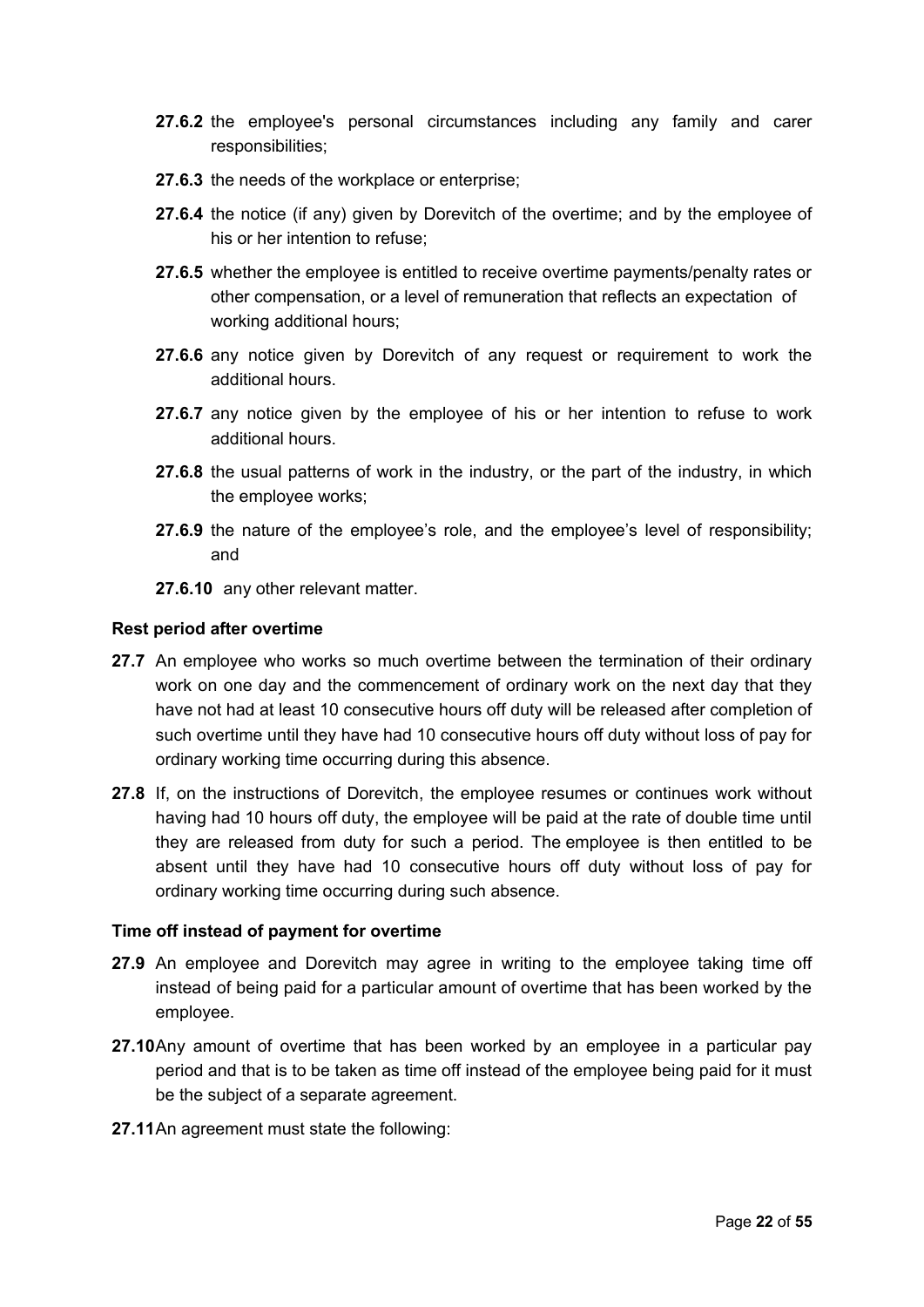- **27.6.2** the employee's personal circumstances including any family and carer responsibilities;
- **27.6.3** the needs of the workplace or enterprise;
- **27.6.4** the notice (if any) given by Dorevitch of the overtime; and by the employee of his or her intention to refuse;
- **27.6.5** whether the employee is entitled to receive overtime payments/penalty rates or other compensation, or a level of remuneration that reflects an expectation of working additional hours;
- **27.6.6** any notice given by Dorevitch of any request or requirement to work the additional hours.
- **27.6.7** any notice given by the employee of his or her intention to refuse to work additional hours.
- **27.6.8** the usual patterns of work in the industry, or the part of the industry, in which the employee works;
- **27.6.9** the nature of the employee's role, and the employee's level of responsibility; and
- **27.6.10** any other relevant matter.

#### **Rest period after overtime**

- **27.7** An employee who works so much overtime between the termination of their ordinary work on one day and the commencement of ordinary work on the next day that they have not had at least 10 consecutive hours off duty will be released after completion of such overtime until they have had 10 consecutive hours off duty without loss of pay for ordinary working time occurring during this absence.
- **27.8** If, on the instructions of Dorevitch, the employee resumes or continues work without having had 10 hours off duty, the employee will be paid at the rate of double time until they are released from duty for such a period. The employee is then entitled to be absent until they have had 10 consecutive hours off duty without loss of pay for ordinary working time occurring during such absence.

#### **Time off instead of payment for overtime**

- **27.9** An employee and Dorevitch may agree in writing to the employee taking time off instead of being paid for a particular amount of overtime that has been worked by the employee.
- **27.10**Any amount of overtime that has been worked by an employee in a particular pay period and that is to be taken as time off instead of the employee being paid for it must be the subject of a separate agreement.
- **27.11**An agreement must state the following: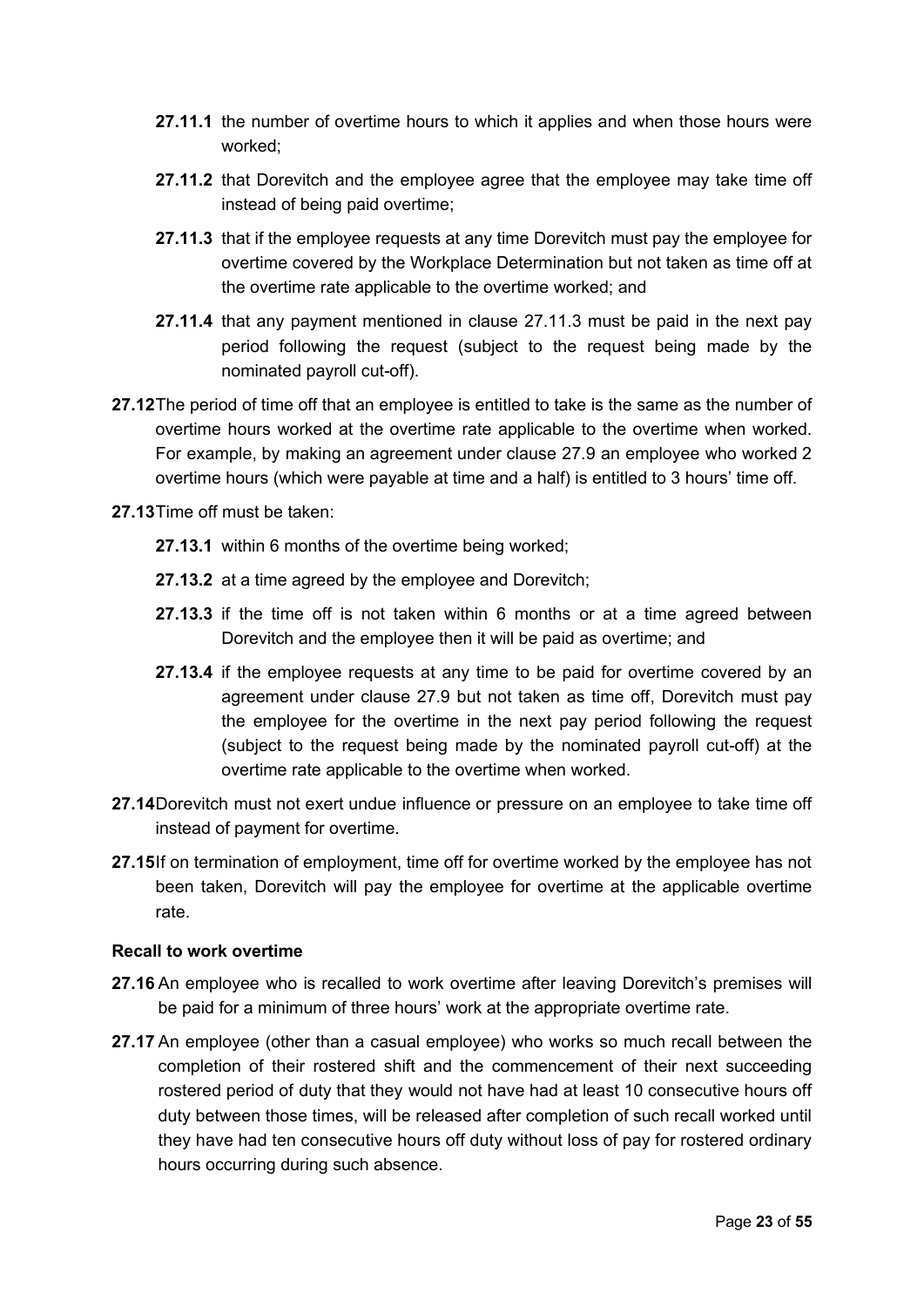- **27.11.1** the number of overtime hours to which it applies and when those hours were worked;
- **27.11.2** that Dorevitch and the employee agree that the employee may take time off instead of being paid overtime;
- **27.11.3** that if the employee requests at any time Dorevitch must pay the employee for overtime covered by the Workplace Determination but not taken as time off at the overtime rate applicable to the overtime worked; and
- **27.11.4** that any payment mentioned in clause 27.11.3 must be paid in the next pay period following the request (subject to the request being made by the nominated payroll cut-off).
- **27.12**The period of time off that an employee is entitled to take is the same as the number of overtime hours worked at the overtime rate applicable to the overtime when worked. For example, by making an agreement under clause 27.9 an employee who worked 2 overtime hours (which were payable at time and a half) is entitled to 3 hours' time off.
- **27.13**Time off must be taken:
	- **27.13.1** within 6 months of the overtime being worked;
	- **27.13.2** at a time agreed by the employee and Dorevitch;
	- **27.13.3** if the time off is not taken within 6 months or at a time agreed between Dorevitch and the employee then it will be paid as overtime; and
	- **27.13.4** if the employee requests at any time to be paid for overtime covered by an agreement under clause 27.9 but not taken as time off, Dorevitch must pay the employee for the overtime in the next pay period following the request (subject to the request being made by the nominated payroll cut-off) at the overtime rate applicable to the overtime when worked.
- **27.14**Dorevitch must not exert undue influence or pressure on an employee to take time off instead of payment for overtime.
- **27.15**If on termination of employment, time off for overtime worked by the employee has not been taken, Dorevitch will pay the employee for overtime at the applicable overtime rate.

#### **Recall to work overtime**

- **27.16** An employee who is recalled to work overtime after leaving Dorevitch's premises will be paid for a minimum of three hours' work at the appropriate overtime rate.
- **27.17** An employee (other than a casual employee) who works so much recall between the completion of their rostered shift and the commencement of their next succeeding rostered period of duty that they would not have had at least 10 consecutive hours off duty between those times, will be released after completion of such recall worked until they have had ten consecutive hours off duty without loss of pay for rostered ordinary hours occurring during such absence.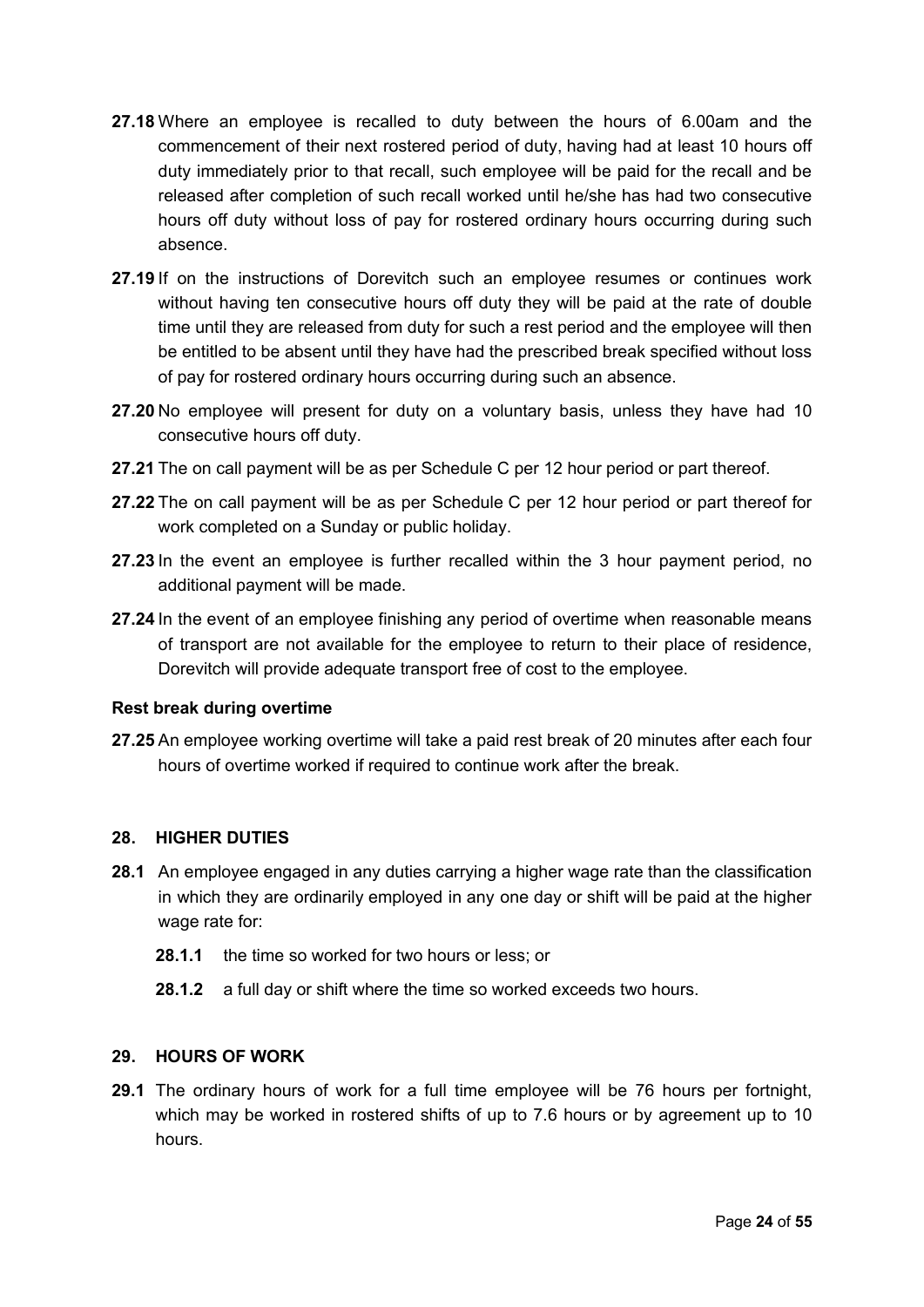- **27.18** Where an employee is recalled to duty between the hours of 6.00am and the commencement of their next rostered period of duty, having had at least 10 hours off duty immediately prior to that recall, such employee will be paid for the recall and be released after completion of such recall worked until he/she has had two consecutive hours off duty without loss of pay for rostered ordinary hours occurring during such absence.
- **27.19** If on the instructions of Dorevitch such an employee resumes or continues work without having ten consecutive hours off duty they will be paid at the rate of double time until they are released from duty for such a rest period and the employee will then be entitled to be absent until they have had the prescribed break specified without loss of pay for rostered ordinary hours occurring during such an absence.
- **27.20** No employee will present for duty on a voluntary basis, unless they have had 10 consecutive hours off duty.
- **27.21** The on call payment will be as per Schedule C per 12 hour period or part thereof.
- **27.22** The on call payment will be as per Schedule C per 12 hour period or part thereof for work completed on a Sunday or public holiday.
- **27.23** In the event an employee is further recalled within the 3 hour payment period, no additional payment will be made.
- **27.24** In the event of an employee finishing any period of overtime when reasonable means of transport are not available for the employee to return to their place of residence, Dorevitch will provide adequate transport free of cost to the employee.

#### **Rest break during overtime**

**27.25** An employee working overtime will take a paid rest break of 20 minutes after each four hours of overtime worked if required to continue work after the break.

#### **28. HIGHER DUTIES**

- **28.1** An employee engaged in any duties carrying a higher wage rate than the classification in which they are ordinarily employed in any one day or shift will be paid at the higher wage rate for:
	- **28.1.1** the time so worked for two hours or less; or
	- **28.1.2** a full day or shift where the time so worked exceeds two hours.

#### **29. HOURS OF WORK**

**29.1** The ordinary hours of work for a full time employee will be 76 hours per fortnight, which may be worked in rostered shifts of up to 7.6 hours or by agreement up to 10 hours.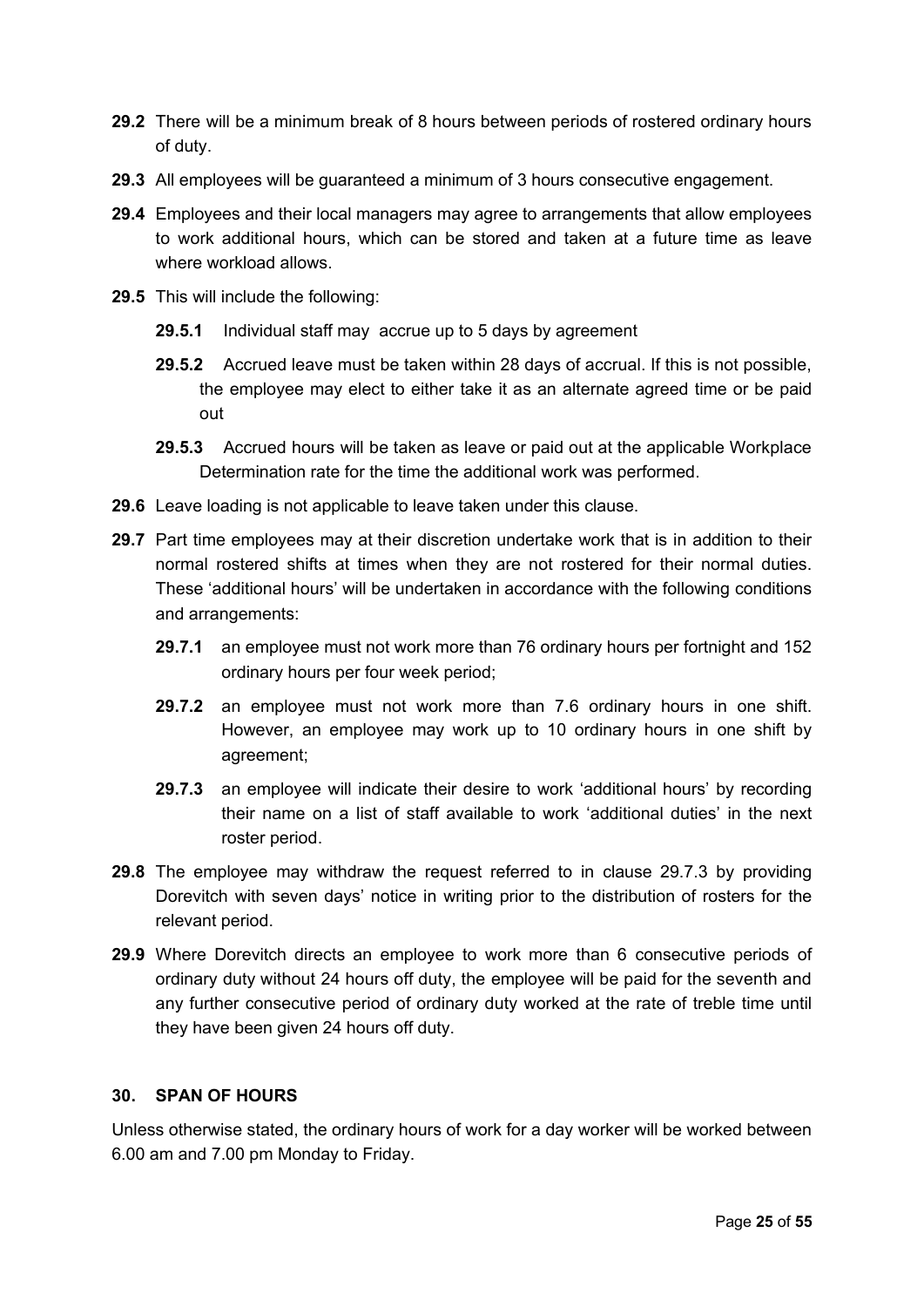- **29.2** There will be a minimum break of 8 hours between periods of rostered ordinary hours of duty.
- **29.3** All employees will be guaranteed a minimum of 3 hours consecutive engagement.
- **29.4** Employees and their local managers may agree to arrangements that allow employees to work additional hours, which can be stored and taken at a future time as leave where workload allows.
- **29.5** This will include the following:
	- **29.5.1** Individual staff may accrue up to 5 days by agreement
	- **29.5.2** Accrued leave must be taken within 28 days of accrual. If this is not possible, the employee may elect to either take it as an alternate agreed time or be paid out
	- **29.5.3** Accrued hours will be taken as leave or paid out at the applicable Workplace Determination rate for the time the additional work was performed.
- **29.6** Leave loading is not applicable to leave taken under this clause.
- **29.7** Part time employees may at their discretion undertake work that is in addition to their normal rostered shifts at times when they are not rostered for their normal duties. These 'additional hours' will be undertaken in accordance with the following conditions and arrangements:
	- **29.7.1** an employee must not work more than 76 ordinary hours per fortnight and 152 ordinary hours per four week period;
	- **29.7.2** an employee must not work more than 7.6 ordinary hours in one shift. However, an employee may work up to 10 ordinary hours in one shift by agreement;
	- **29.7.3** an employee will indicate their desire to work 'additional hours' by recording their name on a list of staff available to work 'additional duties' in the next roster period.
- **29.8** The employee may withdraw the request referred to in clause 29.7.3 by providing Dorevitch with seven days' notice in writing prior to the distribution of rosters for the relevant period.
- **29.9** Where Dorevitch directs an employee to work more than 6 consecutive periods of ordinary duty without 24 hours off duty, the employee will be paid for the seventh and any further consecutive period of ordinary duty worked at the rate of treble time until they have been given 24 hours off duty.

### **30. SPAN OF HOURS**

Unless otherwise stated, the ordinary hours of work for a day worker will be worked between 6.00 am and 7.00 pm Monday to Friday.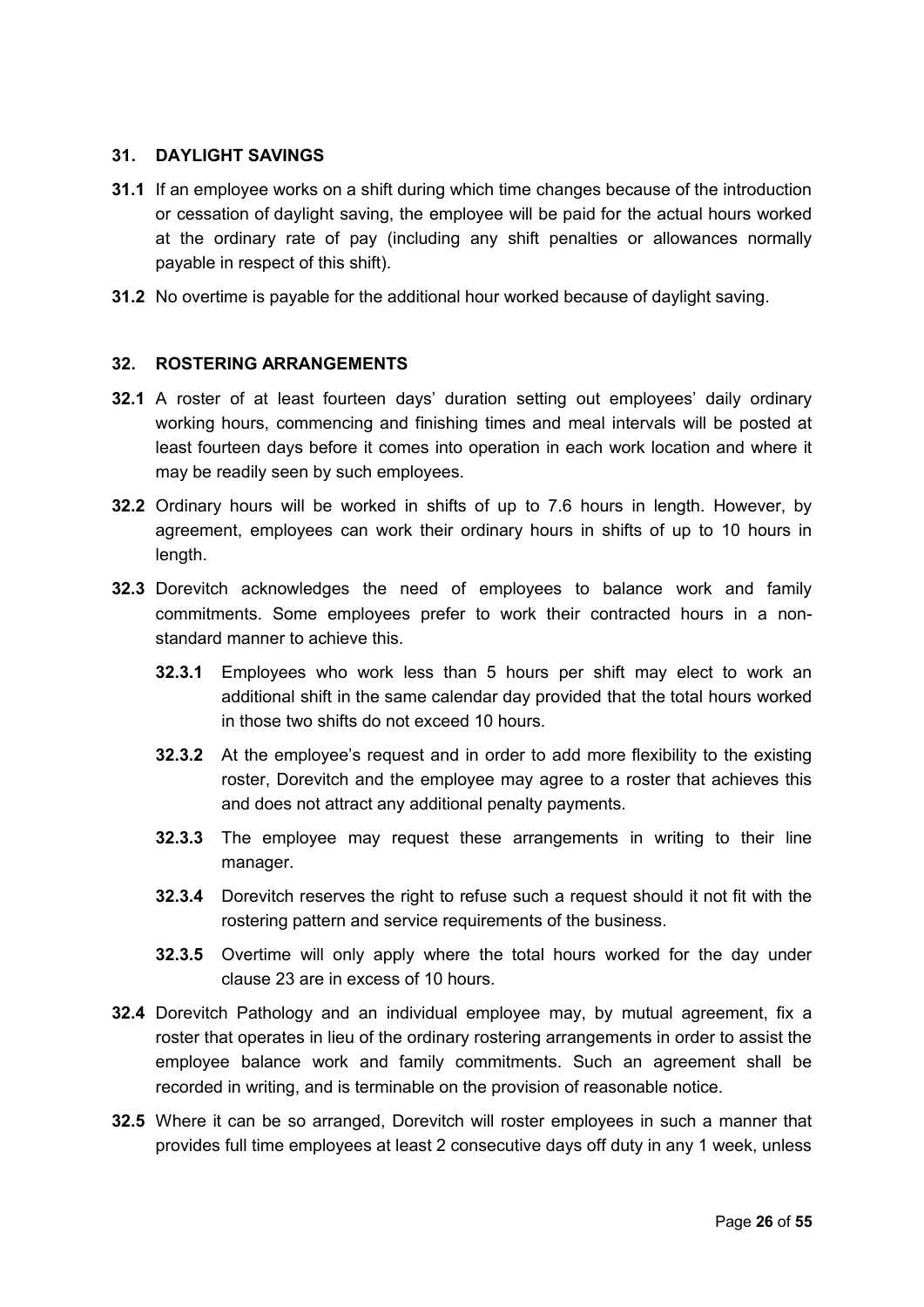#### <span id="page-25-0"></span>**31. DAYLIGHT SAVINGS**

- **31.1** If an employee works on a shift during which time changes because of the introduction or cessation of daylight saving, the employee will be paid for the actual hours worked at the ordinary rate of pay (including any shift penalties or allowances normally payable in respect of this shift).
- **31.2** No overtime is payable for the additional hour worked because of daylight saving.

## **32. ROSTERING ARRANGEMENTS**

- **32.1** A roster of at least fourteen days' duration setting out employees' daily ordinary working hours, commencing and finishing times and meal intervals will be posted at least fourteen days before it comes into operation in each work location and where it may be readily seen by such employees.
- **32.2** Ordinary hours will be worked in shifts of up to 7.6 hours in length. However, by agreement, employees can work their ordinary hours in shifts of up to 10 hours in length.
- **32.3** Dorevitch acknowledges the need of employees to balance work and family commitments. Some employees prefer to work their contracted hours in a nonstandard manner to achieve this.
	- **32.3.1** Employees who work less than 5 hours per shift may elect to work an additional shift in the same calendar day provided that the total hours worked in those two shifts do not exceed 10 hours.
	- **32.3.2** At the employee's request and in order to add more flexibility to the existing roster, Dorevitch and the employee may agree to a roster that achieves this and does not attract any additional penalty payments.
	- **32.3.3** The employee may request these arrangements in writing to their line manager.
	- **32.3.4** Dorevitch reserves the right to refuse such a request should it not fit with the rostering pattern and service requirements of the business.
	- **32.3.5** Overtime will only apply where the total hours worked for the day under clause 23 are in excess of 10 hours.
- **32.4** Dorevitch Pathology and an individual employee may, by mutual agreement, fix a roster that operates in lieu of the ordinary rostering arrangements in order to assist the employee balance work and family commitments. Such an agreement shall be recorded in writing, and is terminable on the provision of reasonable notice.
- **32.5** Where it can be so arranged, Dorevitch will roster employees in such a manner that provides full time employees at least 2 consecutive days off duty in any 1 week, unless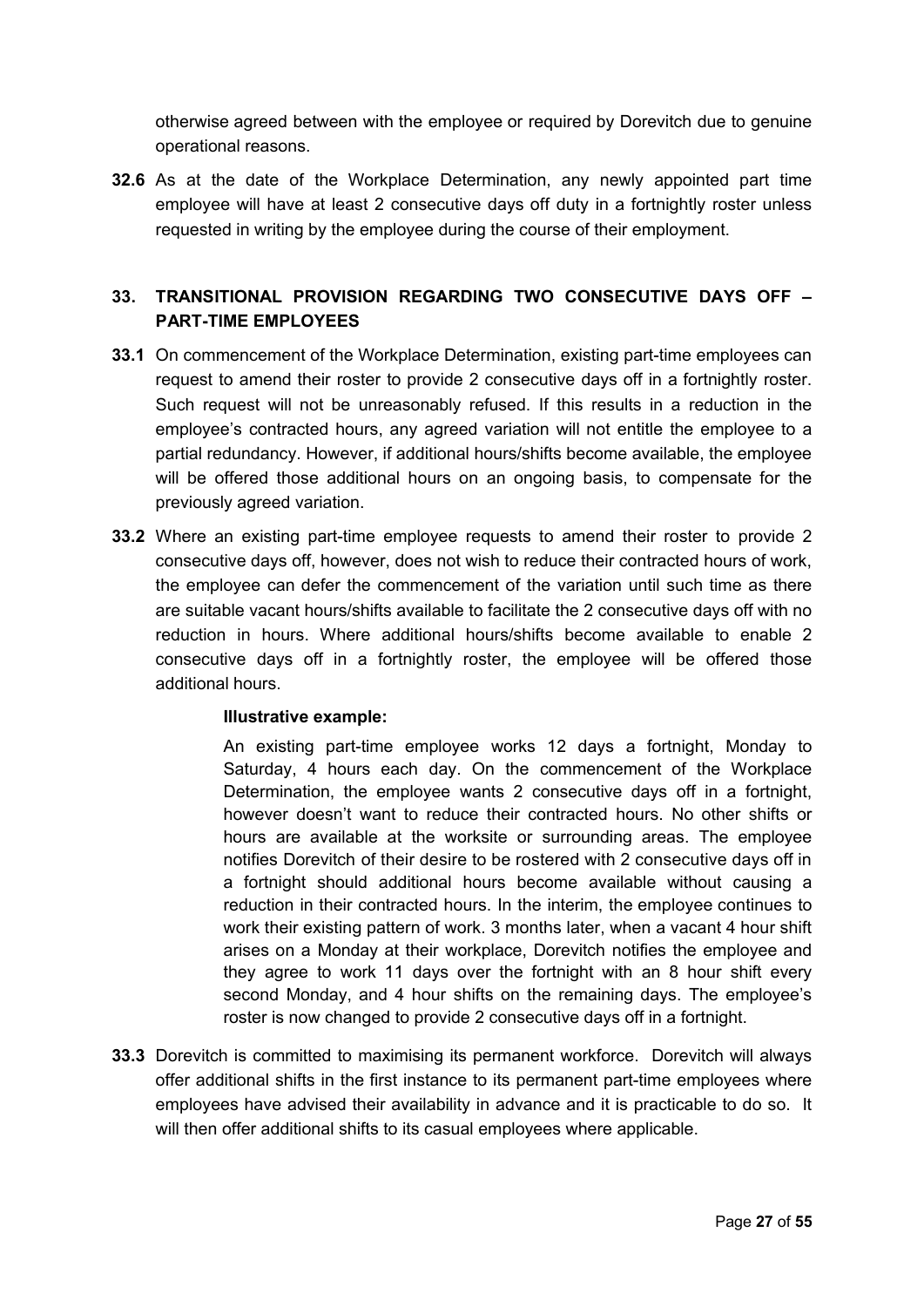otherwise agreed between with the employee or required by Dorevitch due to genuine operational reasons.

**32.6** As at the date of the Workplace Determination, any newly appointed part time employee will have at least 2 consecutive days off duty in a fortnightly roster unless requested in writing by the employee during the course of their employment.

## **33. TRANSITIONAL PROVISION REGARDING TWO CONSECUTIVE DAYS OFF – PART-TIME EMPLOYEES**

- **33.1** On commencement of the Workplace Determination, existing part-time employees can request to amend their roster to provide 2 consecutive days off in a fortnightly roster. Such request will not be unreasonably refused. If this results in a reduction in the employee's contracted hours, any agreed variation will not entitle the employee to a partial redundancy. However, if additional hours/shifts become available, the employee will be offered those additional hours on an ongoing basis, to compensate for the previously agreed variation.
- **33.2** Where an existing part-time employee requests to amend their roster to provide 2 consecutive days off, however, does not wish to reduce their contracted hours of work, the employee can defer the commencement of the variation until such time as there are suitable vacant hours/shifts available to facilitate the 2 consecutive days off with no reduction in hours. Where additional hours/shifts become available to enable 2 consecutive days off in a fortnightly roster, the employee will be offered those additional hours.

## **Illustrative example:**

An existing part-time employee works 12 days a fortnight, Monday to Saturday, 4 hours each day. On the commencement of the Workplace Determination, the employee wants 2 consecutive days off in a fortnight, however doesn't want to reduce their contracted hours. No other shifts or hours are available at the worksite or surrounding areas. The employee notifies Dorevitch of their desire to be rostered with 2 consecutive days off in a fortnight should additional hours become available without causing a reduction in their contracted hours. In the interim, the employee continues to work their existing pattern of work. 3 months later, when a vacant 4 hour shift arises on a Monday at their workplace, Dorevitch notifies the employee and they agree to work 11 days over the fortnight with an 8 hour shift every second Monday, and 4 hour shifts on the remaining days. The employee's roster is now changed to provide 2 consecutive days off in a fortnight.

**33.3** Dorevitch is committed to maximising its permanent workforce. Dorevitch will always offer additional shifts in the first instance to its permanent part-time employees where employees have advised their availability in advance and it is practicable to do so. It will then offer additional shifts to its casual employees where applicable.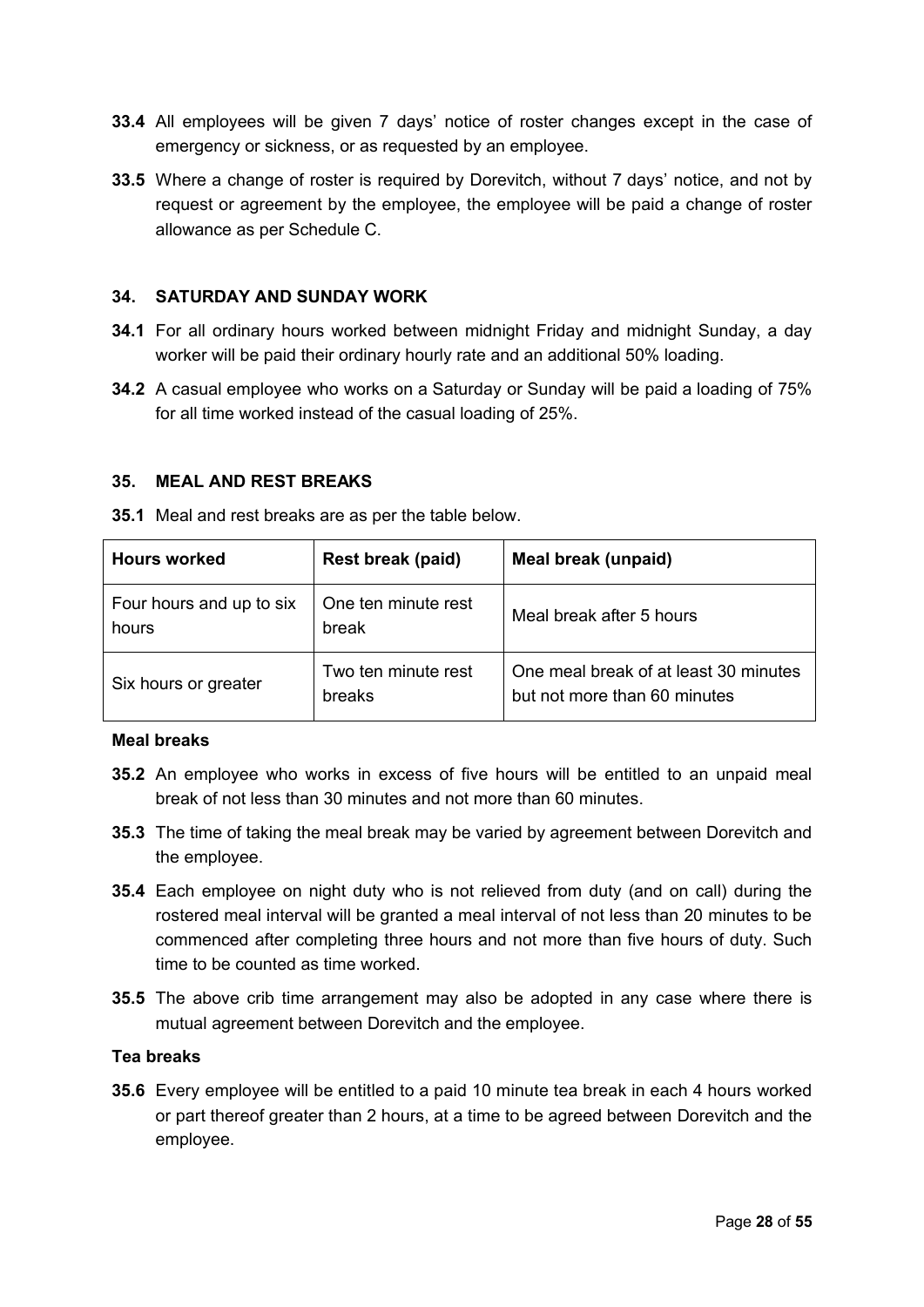- **33.4** All employees will be given 7 days' notice of roster changes except in the case of emergency or sickness, or as requested by an employee.
- **33.5** Where a change of roster is required by Dorevitch, without 7 days' notice, and not by request or agreement by the employee, the employee will be paid a change of roster allowance as per Schedule C.

#### <span id="page-27-1"></span>**34. SATURDAY AND SUNDAY WORK**

- **34.1** For all ordinary hours worked between midnight Friday and midnight Sunday, a day worker will be paid their ordinary hourly rate and an additional 50% loading.
- **34.2** A casual employee who works on a Saturday or Sunday will be paid a loading of 75% for all time worked instead of the casual loading of 25%.

#### <span id="page-27-0"></span>**35. MEAL AND REST BREAKS**

| <b>Hours worked</b>               | Rest break (paid)             | Meal break (unpaid)                                                   |  |
|-----------------------------------|-------------------------------|-----------------------------------------------------------------------|--|
| Four hours and up to six<br>hours | One ten minute rest<br>break  | Meal break after 5 hours                                              |  |
| Six hours or greater              | Two ten minute rest<br>breaks | One meal break of at least 30 minutes<br>but not more than 60 minutes |  |

**35.1** Meal and rest breaks are as per the table below.

#### **Meal breaks**

- **35.2** An employee who works in excess of five hours will be entitled to an unpaid meal break of not less than 30 minutes and not more than 60 minutes.
- **35.3** The time of taking the meal break may be varied by agreement between Dorevitch and the employee.
- **35.4** Each employee on night duty who is not relieved from duty (and on call) during the rostered meal interval will be granted a meal interval of not less than 20 minutes to be commenced after completing three hours and not more than five hours of duty. Such time to be counted as time worked.
- **35.5** The above crib time arrangement may also be adopted in any case where there is mutual agreement between Dorevitch and the employee.

#### **Tea breaks**

**35.6** Every employee will be entitled to a paid 10 minute tea break in each 4 hours worked or part thereof greater than 2 hours, at a time to be agreed between Dorevitch and the employee.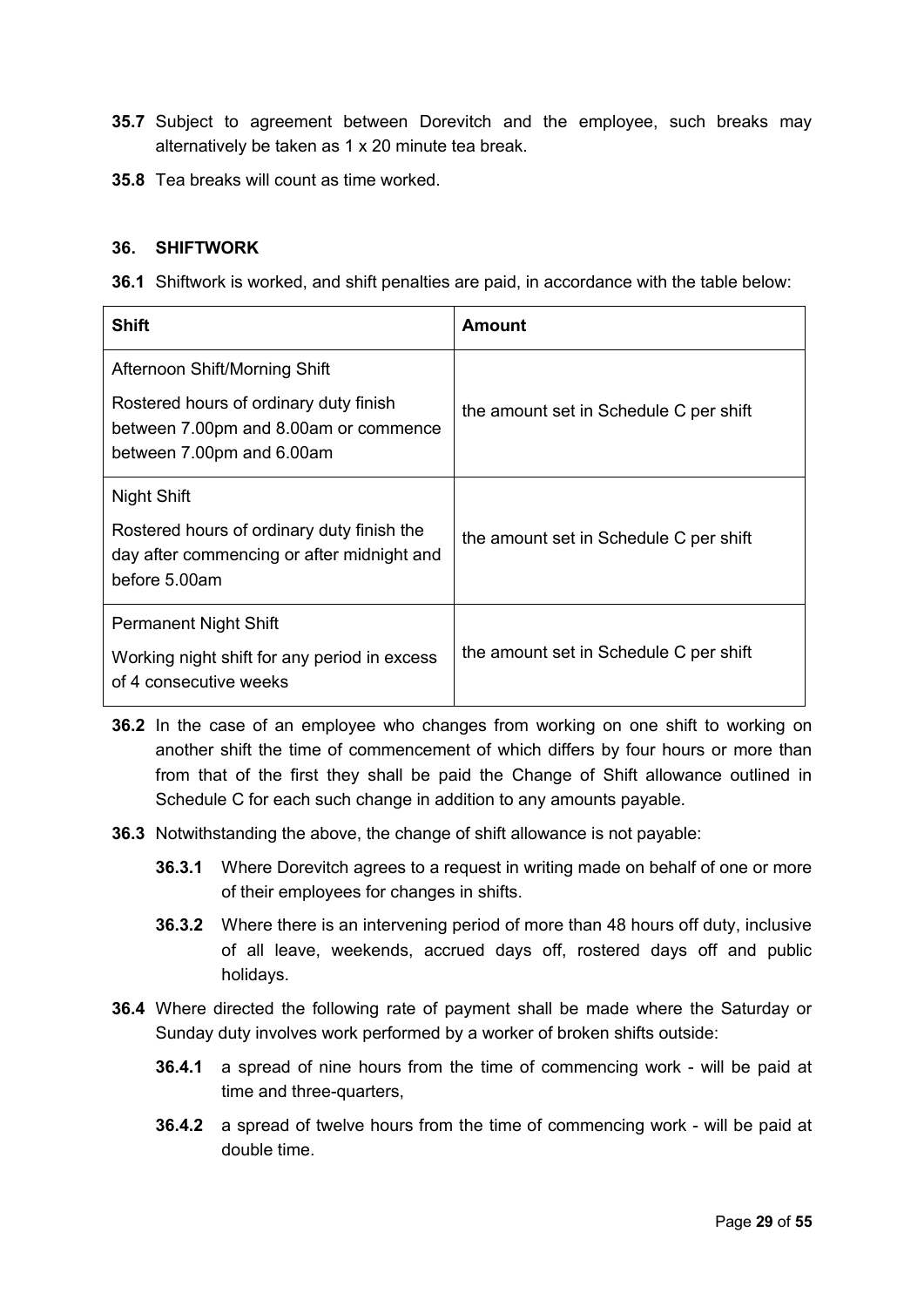- **35.7** Subject to agreement between Dorevitch and the employee, such breaks may alternatively be taken as 1 x 20 minute tea break.
- **35.8** Tea breaks will count as time worked.

#### **36. SHIFTWORK**

**36.1** Shiftwork is worked, and shift penalties are paid, in accordance with the table below:

| Shift                                                                                                        | <b>Amount</b>                          |
|--------------------------------------------------------------------------------------------------------------|----------------------------------------|
| Afternoon Shift/Morning Shift                                                                                |                                        |
| Rostered hours of ordinary duty finish<br>between 7.00pm and 8.00am or commence<br>between 7.00pm and 6.00am | the amount set in Schedule C per shift |
| <b>Night Shift</b>                                                                                           |                                        |
| Rostered hours of ordinary duty finish the<br>day after commencing or after midnight and<br>before 5.00am    | the amount set in Schedule C per shift |
| Permanent Night Shift                                                                                        |                                        |
| Working night shift for any period in excess<br>of 4 consecutive weeks                                       | the amount set in Schedule C per shift |

- **36.2** In the case of an employee who changes from working on one shift to working on another shift the time of commencement of which differs by four hours or more than from that of the first they shall be paid the Change of Shift allowance outlined in Schedule C for each such change in addition to any amounts payable.
- **36.3** Notwithstanding the above, the change of shift allowance is not payable:
	- **36.3.1** Where Dorevitch agrees to a request in writing made on behalf of one or more of their employees for changes in shifts.
	- **36.3.2** Where there is an intervening period of more than 48 hours off duty, inclusive of all leave, weekends, accrued days off, rostered days off and public holidays.
- **36.4** Where directed the following rate of payment shall be made where the Saturday or Sunday duty involves work performed by a worker of broken shifts outside:
	- **36.4.1** a spread of nine hours from the time of commencing work will be paid at time and three-quarters,
	- **36.4.2** a spread of twelve hours from the time of commencing work will be paid at double time.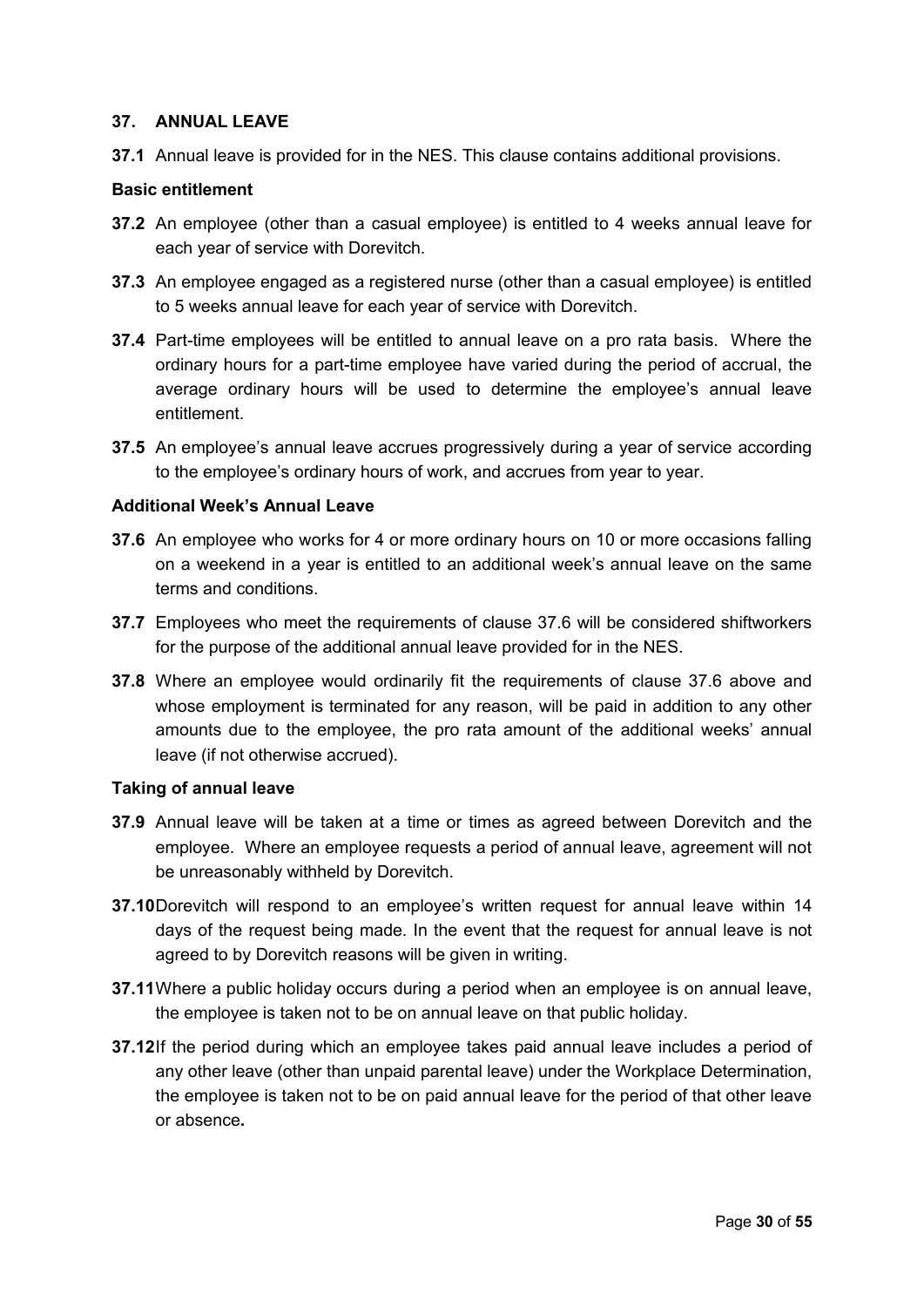#### **37. ANNUAL LEAVE**

**37.1** Annual leave is provided for in the NES. This clause contains additional provisions.

#### **Basic entitlement**

- **37.2** An employee (other than a casual employee) is entitled to 4 weeks annual leave for each year of service with Dorevitch.
- **37.3** An employee engaged as a registered nurse (other than a casual employee) is entitled to 5 weeks annual leave for each year of service with Dorevitch.
- **37.4** Part-time employees will be entitled to annual leave on a pro rata basis. Where the ordinary hours for a part-time employee have varied during the period of accrual, the average ordinary hours will be used to determine the employee's annual leave entitlement.
- **37.5** An employee's annual leave accrues progressively during a year of service according to the employee's ordinary hours of work, and accrues from year to year.

#### **Additional Week's Annual Leave**

- **37.6** An employee who works for 4 or more ordinary hours on 10 or more occasions falling on a weekend in a year is entitled to an additional week's annual leave on the same terms and conditions.
- **37.7** Employees who meet the requirements of clause 37.6 will be considered shiftworkers for the purpose of the additional annual leave provided for in the NES.
- **37.8** Where an employee would ordinarily fit the requirements of clause 37.6 above and whose employment is terminated for any reason, will be paid in addition to any other amounts due to the employee, the pro rata amount of the additional weeks' annual leave (if not otherwise accrued).

#### **Taking of annual leave**

- **37.9** Annual leave will be taken at a time or times as agreed between Dorevitch and the employee. Where an employee requests a period of annual leave, agreement will not be unreasonably withheld by Dorevitch.
- **37.10**Dorevitch will respond to an employee's written request for annual leave within 14 days of the request being made. In the event that the request for annual leave is not agreed to by Dorevitch reasons will be given in writing.
- **37.11**Where a public holiday occurs during a period when an employee is on annual leave, the employee is taken not to be on annual leave on that public holiday.
- **37.12**If the period during which an employee takes paid annual leave includes a period of any other leave (other than unpaid parental leave) under the Workplace Determination, the employee is taken not to be on paid annual leave for the period of that other leave or absence**.**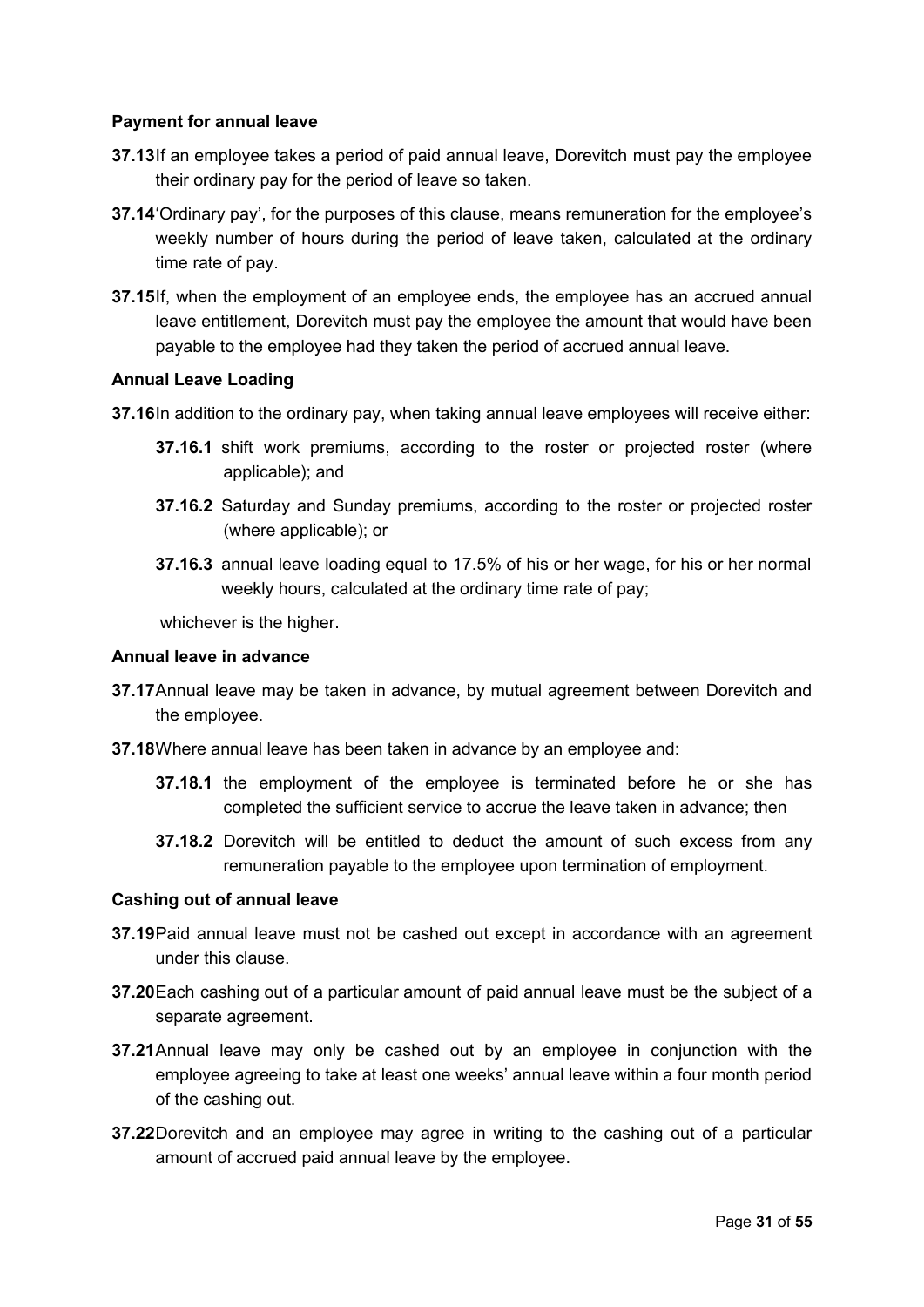### **Payment for annual leave**

- **37.13**If an employee takes a period of paid annual leave, Dorevitch must pay the employee their ordinary pay for the period of leave so taken.
- **37.14**'Ordinary pay', for the purposes of this clause, means remuneration for the employee's weekly number of hours during the period of leave taken, calculated at the ordinary time rate of pay.
- **37.15**If, when the employment of an employee ends, the employee has an accrued annual leave entitlement, Dorevitch must pay the employee the amount that would have been payable to the employee had they taken the period of accrued annual leave.

#### **Annual Leave Loading**

- **37.16**In addition to the ordinary pay, when taking annual leave employees will receive either:
	- **37.16.1** shift work premiums, according to the roster or projected roster (where applicable); and
	- **37.16.2** Saturday and Sunday premiums, according to the roster or projected roster (where applicable); or
	- **37.16.3** annual leave loading equal to 17.5% of his or her wage, for his or her normal weekly hours, calculated at the ordinary time rate of pay;

whichever is the higher.

#### **Annual leave in advance**

- **37.17**Annual leave may be taken in advance, by mutual agreement between Dorevitch and the employee.
- **37.18**Where annual leave has been taken in advance by an employee and:
	- **37.18.1** the employment of the employee is terminated before he or she has completed the sufficient service to accrue the leave taken in advance; then
	- **37.18.2** Dorevitch will be entitled to deduct the amount of such excess from any remuneration payable to the employee upon termination of employment.

#### **Cashing out of annual leave**

- **37.19**Paid annual leave must not be cashed out except in accordance with an agreement under this clause.
- **37.20**Each cashing out of a particular amount of paid annual leave must be the subject of a separate agreement.
- **37.21**Annual leave may only be cashed out by an employee in conjunction with the employee agreeing to take at least one weeks' annual leave within a four month period of the cashing out.
- **37.22**Dorevitch and an employee may agree in writing to the cashing out of a particular amount of accrued paid annual leave by the employee.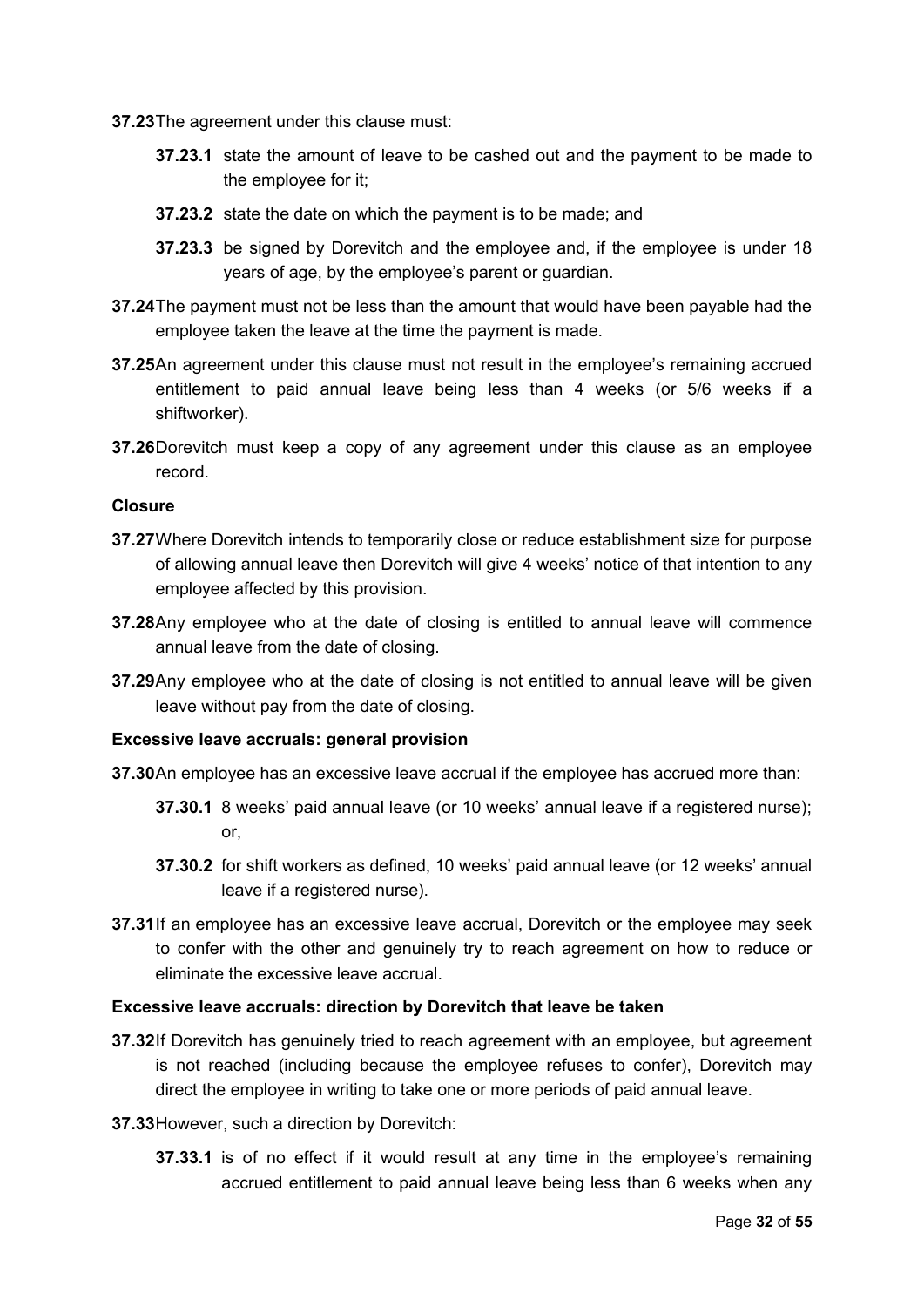**37.23**The agreement under this clause must:

- **37.23.1** state the amount of leave to be cashed out and the payment to be made to the employee for it;
- **37.23.2** state the date on which the payment is to be made; and
- **37.23.3** be signed by Dorevitch and the employee and, if the employee is under 18 years of age, by the employee's parent or guardian.
- **37.24**The payment must not be less than the amount that would have been payable had the employee taken the leave at the time the payment is made.
- **37.25**An agreement under this clause must not result in the employee's remaining accrued entitlement to paid annual leave being less than 4 weeks (or 5/6 weeks if a shiftworker).
- **37.26**Dorevitch must keep a copy of any agreement under this clause as an employee record.

#### **Closure**

- **37.27**Where Dorevitch intends to temporarily close or reduce establishment size for purpose of allowing annual leave then Dorevitch will give 4 weeks' notice of that intention to any employee affected by this provision.
- **37.28**Any employee who at the date of closing is entitled to annual leave will commence annual leave from the date of closing.
- **37.29**Any employee who at the date of closing is not entitled to annual leave will be given leave without pay from the date of closing.

#### **Excessive leave accruals: general provision**

- **37.30**An employee has an excessive leave accrual if the employee has accrued more than:
	- **37.30.1** 8 weeks' paid annual leave (or 10 weeks' annual leave if a registered nurse); or,
	- **37.30.2** for shift workers as defined, 10 weeks' paid annual leave (or 12 weeks' annual leave if a registered nurse).
- **37.31**If an employee has an excessive leave accrual, Dorevitch or the employee may seek to confer with the other and genuinely try to reach agreement on how to reduce or eliminate the excessive leave accrual.

#### **Excessive leave accruals: direction by Dorevitch that leave be taken**

- **37.32**If Dorevitch has genuinely tried to reach agreement with an employee, but agreement is not reached (including because the employee refuses to confer), Dorevitch may direct the employee in writing to take one or more periods of paid annual leave.
- **37.33**However, such a direction by Dorevitch:
	- **37.33.1** is of no effect if it would result at any time in the employee's remaining accrued entitlement to paid annual leave being less than 6 weeks when any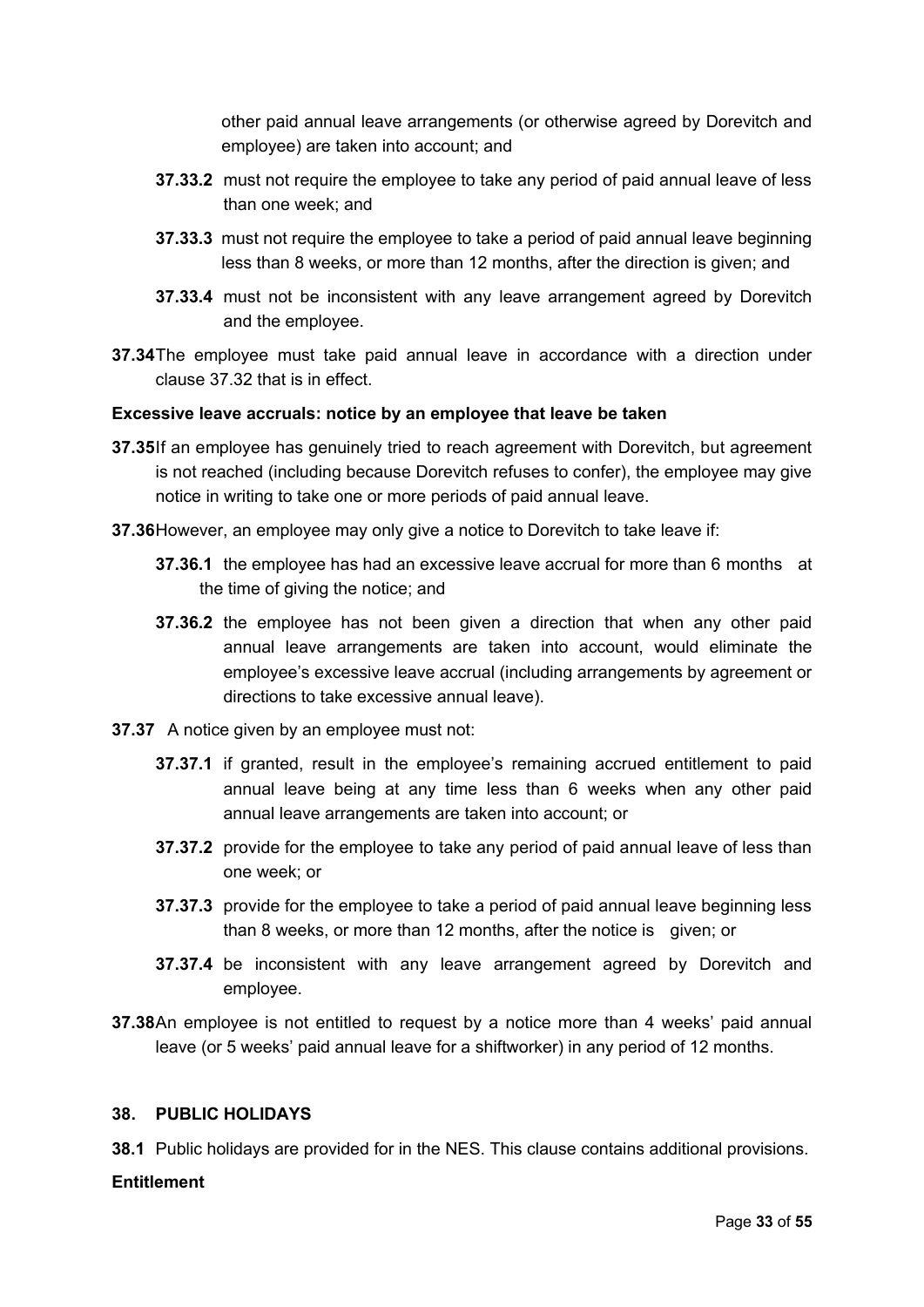other paid annual leave arrangements (or otherwise agreed by Dorevitch and employee) are taken into account; and

- **37.33.2** must not require the employee to take any period of paid annual leave of less than one week; and
- **37.33.3** must not require the employee to take a period of paid annual leave beginning less than 8 weeks, or more than 12 months, after the direction is given; and
- **37.33.4** must not be inconsistent with any leave arrangement agreed by Dorevitch and the employee.
- **37.34**The employee must take paid annual leave in accordance with a direction under clause 37.32 that is in effect.

#### **Excessive leave accruals: notice by an employee that leave be taken**

- **37.35**If an employee has genuinely tried to reach agreement with Dorevitch, but agreement is not reached (including because Dorevitch refuses to confer), the employee may give notice in writing to take one or more periods of paid annual leave.
- **37.36**However, an employee may only give a notice to Dorevitch to take leave if:
	- **37.36.1** the employee has had an excessive leave accrual for more than 6 months at the time of giving the notice; and
	- **37.36.2** the employee has not been given a direction that when any other paid annual leave arrangements are taken into account, would eliminate the employee's excessive leave accrual (including arrangements by agreement or directions to take excessive annual leave).
- **37.37** A notice given by an employee must not:
	- **37.37.1** if granted, result in the employee's remaining accrued entitlement to paid annual leave being at any time less than 6 weeks when any other paid annual leave arrangements are taken into account; or
	- **37.37.2** provide for the employee to take any period of paid annual leave of less than one week; or
	- **37.37.3** provide for the employee to take a period of paid annual leave beginning less than 8 weeks, or more than 12 months, after the notice is given; or
	- **37.37.4** be inconsistent with any leave arrangement agreed by Dorevitch and employee.
- **37.38**An employee is not entitled to request by a notice more than 4 weeks' paid annual leave (or 5 weeks' paid annual leave for a shiftworker) in any period of 12 months.

#### <span id="page-32-0"></span>**38. PUBLIC HOLIDAYS**

**38.1** Public holidays are provided for in the NES. This clause contains additional provisions.

#### **Entitlement**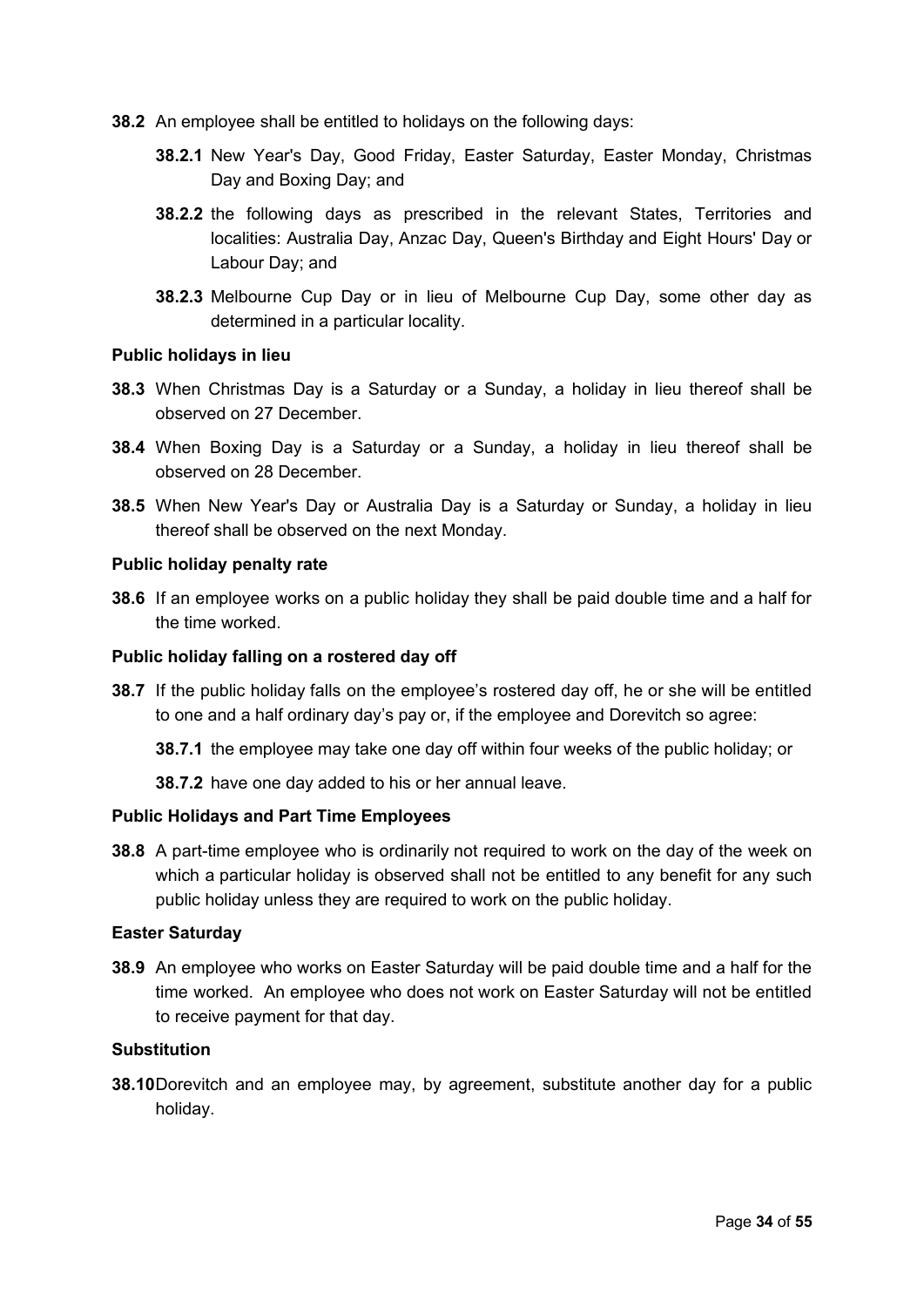- **38.2** An employee shall be entitled to holidays on the following days:
	- **38.2.1** New Year's Day, Good Friday, Easter Saturday, Easter Monday, Christmas Day and Boxing Day; and
	- **38.2.2** the following days as prescribed in the relevant States, Territories and localities: Australia Day, Anzac Day, Queen's Birthday and Eight Hours' Day or Labour Day; and
	- **38.2.3** Melbourne Cup Day or in lieu of Melbourne Cup Day, some other day as determined in a particular locality.

#### **Public holidays in lieu**

- **38.3** When Christmas Day is a Saturday or a Sunday, a holiday in lieu thereof shall be observed on 27 December.
- **38.4** When Boxing Day is a Saturday or a Sunday, a holiday in lieu thereof shall be observed on 28 December.
- **38.5** When New Year's Day or Australia Day is a Saturday or Sunday, a holiday in lieu thereof shall be observed on the next Monday.

#### **Public holiday penalty rate**

**38.6** If an employee works on a public holiday they shall be paid double time and a half for the time worked.

#### **Public holiday falling on a rostered day off**

**38.7** If the public holiday falls on the employee's rostered day off, he or she will be entitled to one and a half ordinary day's pay or, if the employee and Dorevitch so agree:

**38.7.1** the employee may take one day off within four weeks of the public holiday; or

**38.7.2** have one day added to his or her annual leave.

#### **Public Holidays and Part Time Employees**

**38.8** A part-time employee who is ordinarily not required to work on the day of the week on which a particular holiday is observed shall not be entitled to any benefit for any such public holiday unless they are required to work on the public holiday.

#### **Easter Saturday**

**38.9** An employee who works on Easter Saturday will be paid double time and a half for the time worked. An employee who does not work on Easter Saturday will not be entitled to receive payment for that day.

#### **Substitution**

**38.10**Dorevitch and an employee may, by agreement, substitute another day for a public holiday.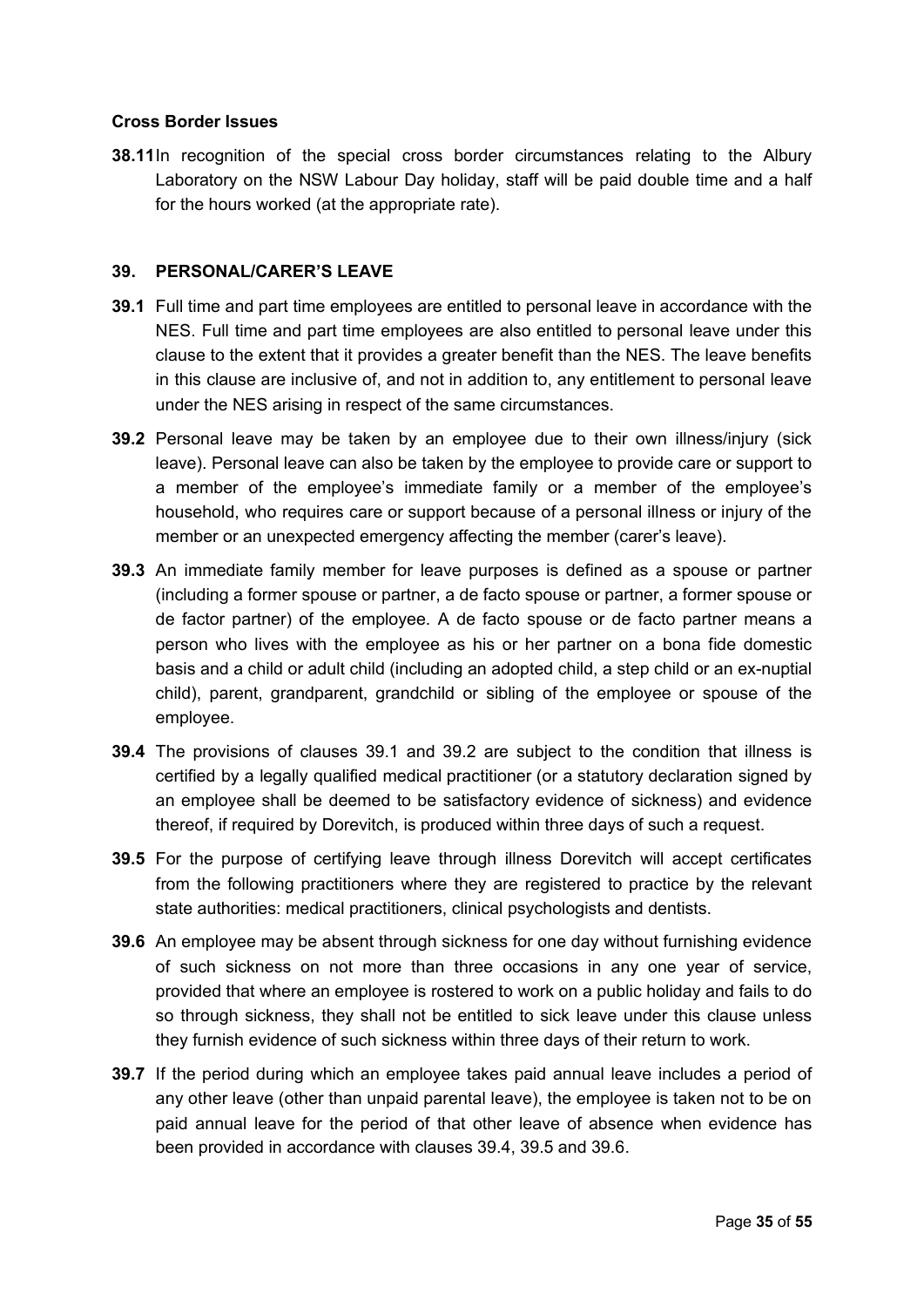#### **Cross Border Issues**

**38.11**In recognition of the special cross border circumstances relating to the Albury Laboratory on the NSW Labour Day holiday, staff will be paid double time and a half for the hours worked (at the appropriate rate).

#### <span id="page-34-0"></span>**39. PERSONAL/CARER'S LEAVE**

- **39.1** Full time and part time employees are entitled to personal leave in accordance with the NES. Full time and part time employees are also entitled to personal leave under this clause to the extent that it provides a greater benefit than the NES. The leave benefits in this clause are inclusive of, and not in addition to, any entitlement to personal leave under the NES arising in respect of the same circumstances.
- **39.2** Personal leave may be taken by an employee due to their own illness/injury (sick leave). Personal leave can also be taken by the employee to provide care or support to a member of the employee's immediate family or a member of the employee's household, who requires care or support because of a personal illness or injury of the member or an unexpected emergency affecting the member (carer's leave).
- **39.3** An immediate family member for leave purposes is defined as a spouse or partner (including a former spouse or partner, a de facto spouse or partner, a former spouse or de factor partner) of the employee. A de facto spouse or de facto partner means a person who lives with the employee as his or her partner on a bona fide domestic basis and a child or adult child (including an adopted child, a step child or an ex-nuptial child), parent, grandparent, grandchild or sibling of the employee or spouse of the employee.
- **39.4** The provisions of clauses 39.1 and 39.2 are subject to the condition that illness is certified by a legally qualified medical practitioner (or a statutory declaration signed by an employee shall be deemed to be satisfactory evidence of sickness) and evidence thereof, if required by Dorevitch, is produced within three days of such a request.
- **39.5** For the purpose of certifying leave through illness Dorevitch will accept certificates from the following practitioners where they are registered to practice by the relevant state authorities: medical practitioners, clinical psychologists and dentists.
- **39.6** An employee may be absent through sickness for one day without furnishing evidence of such sickness on not more than three occasions in any one year of service, provided that where an employee is rostered to work on a public holiday and fails to do so through sickness, they shall not be entitled to sick leave under this clause unless they furnish evidence of such sickness within three days of their return to work.
- **39.7** If the period during which an employee takes paid annual leave includes a period of any other leave (other than unpaid parental leave), the employee is taken not to be on paid annual leave for the period of that other leave of absence when evidence has been provided in accordance with clauses 39.4, 39.5 and 39.6.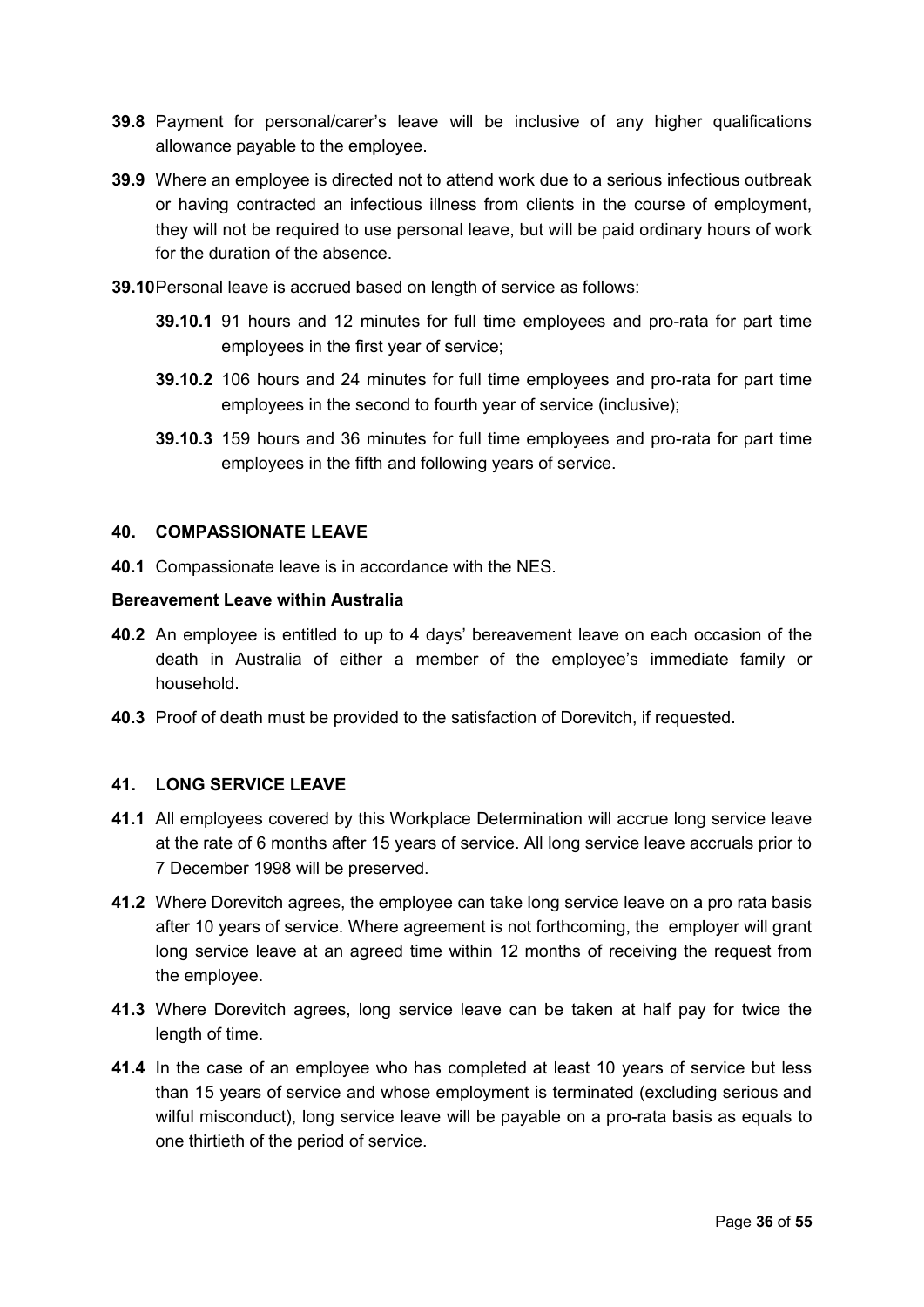- **39.8** Payment for personal/carer's leave will be inclusive of any higher qualifications allowance payable to the employee.
- **39.9** Where an employee is directed not to attend work due to a serious infectious outbreak or having contracted an infectious illness from clients in the course of employment, they will not be required to use personal leave, but will be paid ordinary hours of work for the duration of the absence.
- **39.10**Personal leave is accrued based on length of service as follows:
	- **39.10.1** 91 hours and 12 minutes for full time employees and pro-rata for part time employees in the first year of service;
	- **39.10.2** 106 hours and 24 minutes for full time employees and pro-rata for part time employees in the second to fourth year of service (inclusive);
	- **39.10.3** 159 hours and 36 minutes for full time employees and pro-rata for part time employees in the fifth and following years of service.

#### <span id="page-35-0"></span>**40. COMPASSIONATE LEAVE**

**40.1** Compassionate leave is in accordance with the NES.

#### **Bereavement Leave within Australia**

- **40.2** An employee is entitled to up to 4 days' bereavement leave on each occasion of the death in Australia of either a member of the employee's immediate family or household.
- **40.3** Proof of death must be provided to the satisfaction of Dorevitch, if requested.

#### **41. LONG SERVICE LEAVE**

- **41.1** All employees covered by this Workplace Determination will accrue long service leave at the rate of 6 months after 15 years of service. All long service leave accruals prior to 7 December 1998 will be preserved.
- **41.2** Where Dorevitch agrees, the employee can take long service leave on a pro rata basis after 10 years of service. Where agreement is not forthcoming, the employer will grant long service leave at an agreed time within 12 months of receiving the request from the employee.
- **41.3** Where Dorevitch agrees, long service leave can be taken at half pay for twice the length of time.
- **41.4** In the case of an employee who has completed at least 10 years of service but less than 15 years of service and whose employment is terminated (excluding serious and wilful misconduct), long service leave will be payable on a pro-rata basis as equals to one thirtieth of the period of service.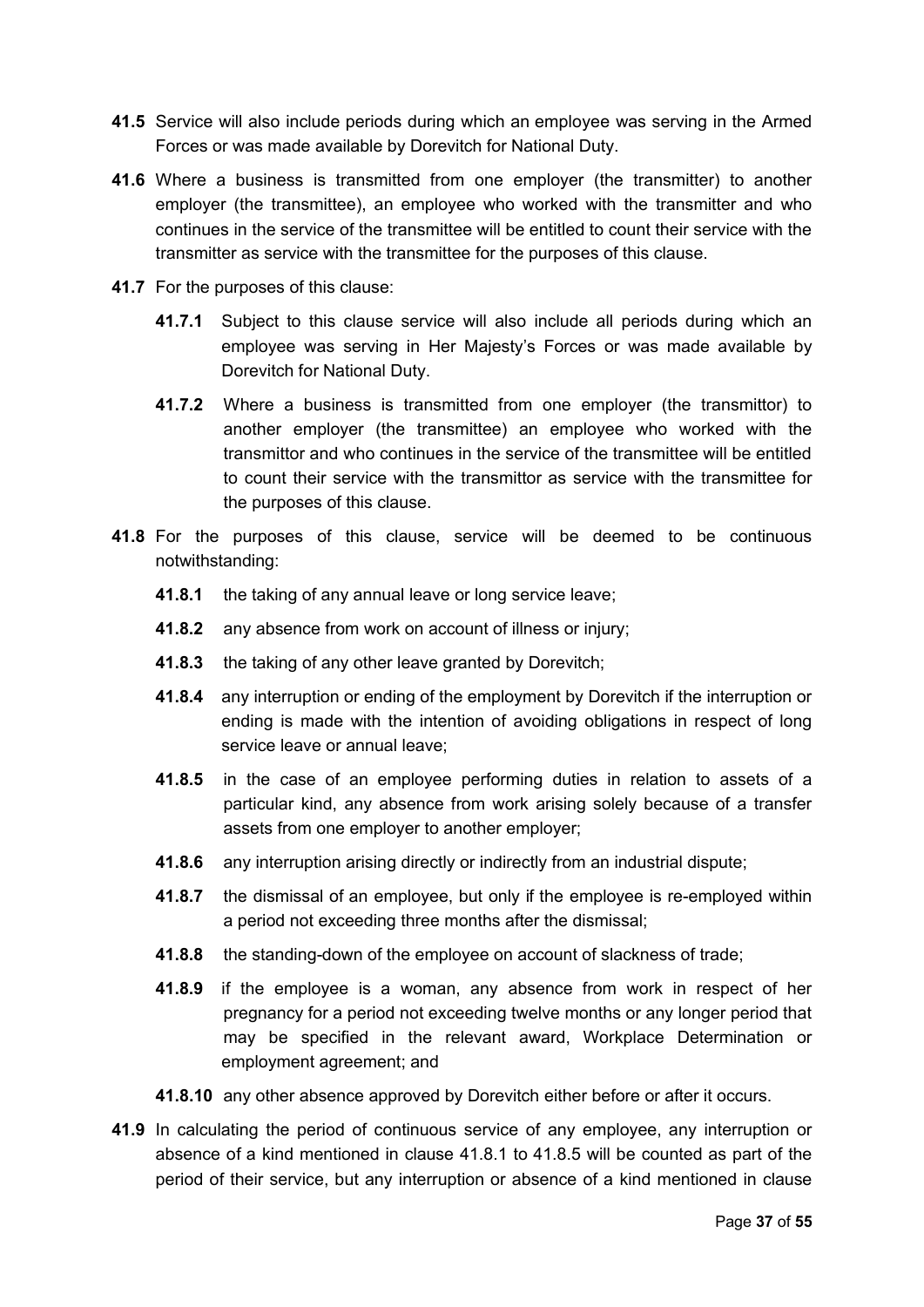- **41.5** Service will also include periods during which an employee was serving in the Armed Forces or was made available by Dorevitch for National Duty.
- **41.6** Where a business is transmitted from one employer (the transmitter) to another employer (the transmittee), an employee who worked with the transmitter and who continues in the service of the transmittee will be entitled to count their service with the transmitter as service with the transmittee for the purposes of this clause.
- **41.7** For the purposes of this clause:
	- **41.7.1** Subject to this clause service will also include all periods during which an employee was serving in Her Majesty's Forces or was made available by Dorevitch for National Duty.
	- **41.7.2** Where a business is transmitted from one employer (the transmittor) to another employer (the transmittee) an employee who worked with the transmittor and who continues in the service of the transmittee will be entitled to count their service with the transmittor as service with the transmittee for the purposes of this clause.
- **41.8** For the purposes of this clause, service will be deemed to be continuous notwithstanding:
	- **41.8.1** the taking of any annual leave or long service leave;
	- **41.8.2** any absence from work on account of illness or injury;
	- **41.8.3** the taking of any other leave granted by Dorevitch;
	- **41.8.4** any interruption or ending of the employment by Dorevitch if the interruption or ending is made with the intention of avoiding obligations in respect of long service leave or annual leave;
	- **41.8.5** in the case of an employee performing duties in relation to assets of a particular kind, any absence from work arising solely because of a transfer assets from one employer to another employer;
	- **41.8.6** any interruption arising directly or indirectly from an industrial dispute;
	- **41.8.7** the dismissal of an employee, but only if the employee is re-employed within a period not exceeding three months after the dismissal;
	- **41.8.8** the standing-down of the employee on account of slackness of trade;
	- **41.8.9** if the employee is a woman, any absence from work in respect of her pregnancy for a period not exceeding twelve months or any longer period that may be specified in the relevant award, Workplace Determination or employment agreement; and
	- **41.8.10** any other absence approved by Dorevitch either before or after it occurs.
- **41.9** In calculating the period of continuous service of any employee, any interruption or absence of a kind mentioned in clause 41.8.1 to 41.8.5 will be counted as part of the period of their service, but any interruption or absence of a kind mentioned in clause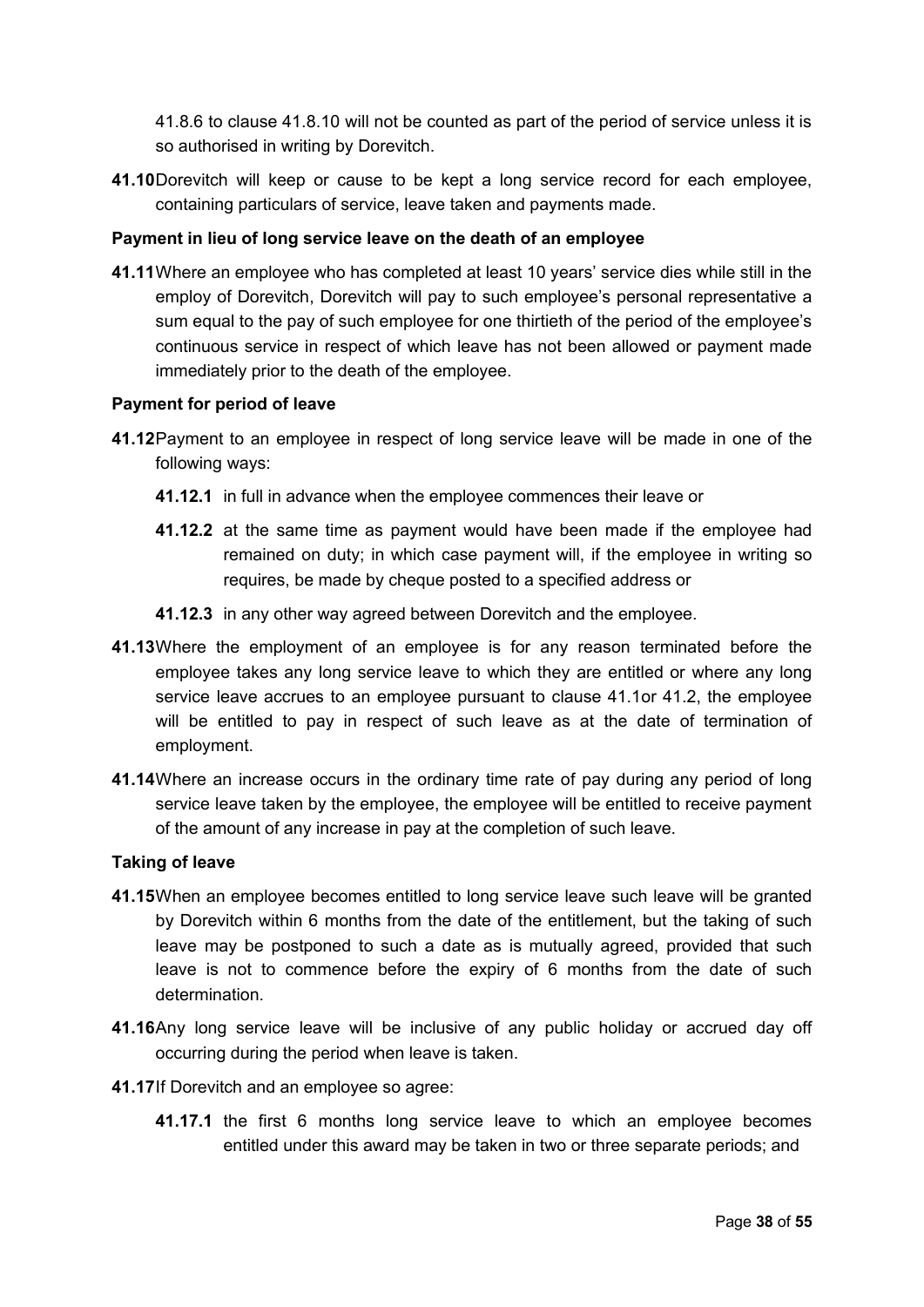41.8.6 to clause 41.8.10 will not be counted as part of the period of service unless it is so authorised in writing by Dorevitch.

**41.10**Dorevitch will keep or cause to be kept a long service record for each employee, containing particulars of service, leave taken and payments made.

## **Payment in lieu of long service leave on the death of an employee**

**41.11**Where an employee who has completed at least 10 years' service dies while still in the employ of Dorevitch, Dorevitch will pay to such employee's personal representative a sum equal to the pay of such employee for one thirtieth of the period of the employee's continuous service in respect of which leave has not been allowed or payment made immediately prior to the death of the employee.

#### **Payment for period of leave**

- **41.12**Payment to an employee in respect of long service leave will be made in one of the following ways:
	- **41.12.1** in full in advance when the employee commences their leave or
	- **41.12.2** at the same time as payment would have been made if the employee had remained on duty; in which case payment will, if the employee in writing so requires, be made by cheque posted to a specified address or
	- **41.12.3** in any other way agreed between Dorevitch and the employee.
- **41.13**Where the employment of an employee is for any reason terminated before the employee takes any long service leave to which they are entitled or where any long service leave accrues to an employee pursuant to clause 41.1or 41.2, the employee will be entitled to pay in respect of such leave as at the date of termination of employment.
- **41.14**Where an increase occurs in the ordinary time rate of pay during any period of long service leave taken by the employee, the employee will be entitled to receive payment of the amount of any increase in pay at the completion of such leave.

#### **Taking of leave**

- **41.15**When an employee becomes entitled to long service leave such leave will be granted by Dorevitch within 6 months from the date of the entitlement, but the taking of such leave may be postponed to such a date as is mutually agreed, provided that such leave is not to commence before the expiry of 6 months from the date of such determination.
- **41.16**Any long service leave will be inclusive of any public holiday or accrued day off occurring during the period when leave is taken.
- **41.17**If Dorevitch and an employee so agree:
	- **41.17.1** the first 6 months long service leave to which an employee becomes entitled under this award may be taken in two or three separate periods; and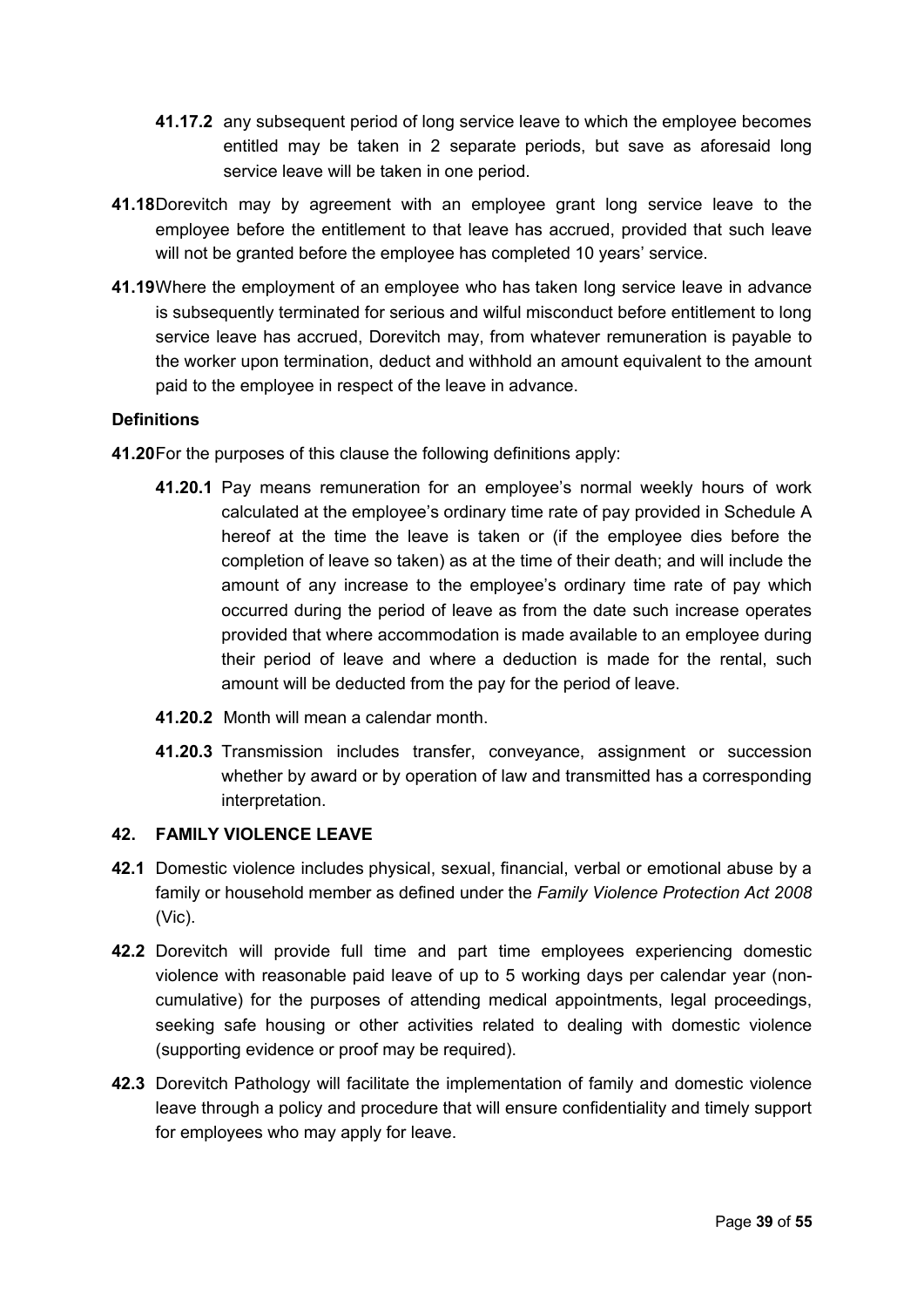- **41.17.2** any subsequent period of long service leave to which the employee becomes entitled may be taken in 2 separate periods, but save as aforesaid long service leave will be taken in one period.
- **41.18**Dorevitch may by agreement with an employee grant long service leave to the employee before the entitlement to that leave has accrued, provided that such leave will not be granted before the employee has completed 10 years' service.
- **41.19**Where the employment of an employee who has taken long service leave in advance is subsequently terminated for serious and wilful misconduct before entitlement to long service leave has accrued, Dorevitch may, from whatever remuneration is payable to the worker upon termination, deduct and withhold an amount equivalent to the amount paid to the employee in respect of the leave in advance.

## **Definitions**

- **41.20**For the purposes of this clause the following definitions apply:
	- **41.20.1** Pay means remuneration for an employee's normal weekly hours of work calculated at the employee's ordinary time rate of pay provided in Schedule A hereof at the time the leave is taken or (if the employee dies before the completion of leave so taken) as at the time of their death; and will include the amount of any increase to the employee's ordinary time rate of pay which occurred during the period of leave as from the date such increase operates provided that where accommodation is made available to an employee during their period of leave and where a deduction is made for the rental, such amount will be deducted from the pay for the period of leave.
	- **41.20.2** Month will mean a calendar month.
	- **41.20.3** Transmission includes transfer, conveyance, assignment or succession whether by award or by operation of law and transmitted has a corresponding interpretation.

## <span id="page-38-0"></span>**42. FAMILY VIOLENCE LEAVE**

- **42.1** Domestic violence includes physical, sexual, financial, verbal or emotional abuse by a family or household member as defined under the *Family Violence Protection Act 2008* (Vic).
- **42.2** Dorevitch will provide full time and part time employees experiencing domestic violence with reasonable paid leave of up to 5 working days per calendar year (noncumulative) for the purposes of attending medical appointments, legal proceedings, seeking safe housing or other activities related to dealing with domestic violence (supporting evidence or proof may be required).
- **42.3** Dorevitch Pathology will facilitate the implementation of family and domestic violence leave through a policy and procedure that will ensure confidentiality and timely support for employees who may apply for leave.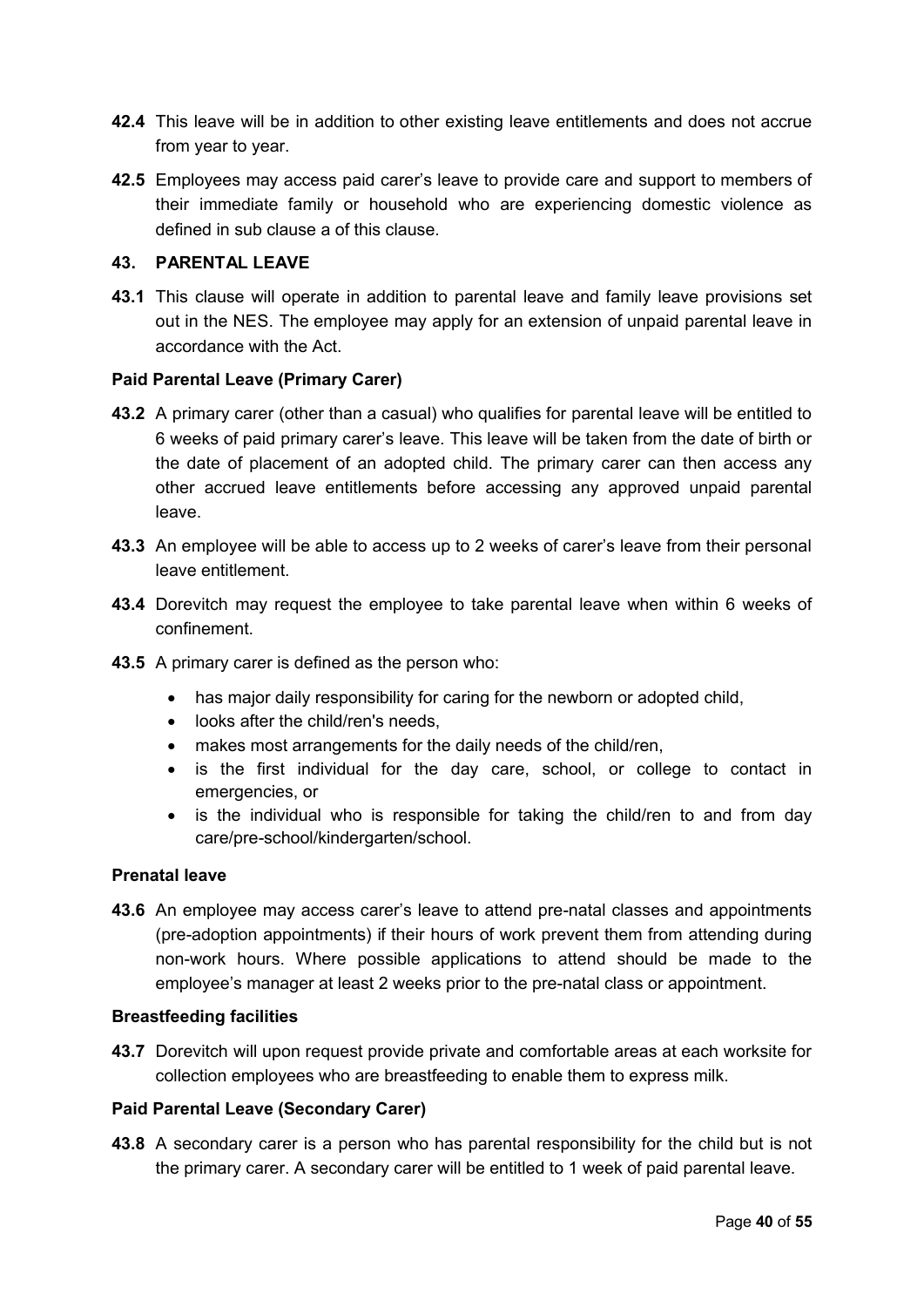- **42.4** This leave will be in addition to other existing leave entitlements and does not accrue from year to year.
- **42.5** Employees may access paid carer's leave to provide care and support to members of their immediate family or household who are experiencing domestic violence as defined in sub clause a of this clause.

## <span id="page-39-0"></span>**43. PARENTAL LEAVE**

**43.1** This clause will operate in addition to parental leave and family leave provisions set out in the NES. The employee may apply for an extension of unpaid parental leave in accordance with the Act.

#### **Paid Parental Leave (Primary Carer)**

- **43.2** A primary carer (other than a casual) who qualifies for parental leave will be entitled to 6 weeks of paid primary carer's leave. This leave will be taken from the date of birth or the date of placement of an adopted child. The primary carer can then access any other accrued leave entitlements before accessing any approved unpaid parental leave.
- **43.3** An employee will be able to access up to 2 weeks of carer's leave from their personal leave entitlement.
- **43.4** Dorevitch may request the employee to take parental leave when within 6 weeks of confinement.
- **43.5** A primary carer is defined as the person who:
	- has major daily responsibility for caring for the newborn or adopted child,
	- looks after the child/ren's needs,
	- makes most arrangements for the daily needs of the child/ren,
	- is the first individual for the day care, school, or college to contact in emergencies, or
	- is the individual who is responsible for taking the child/ren to and from day care/pre-school/kindergarten/school.

#### **Prenatal leave**

**43.6** An employee may access carer's leave to attend pre-natal classes and appointments (pre-adoption appointments) if their hours of work prevent them from attending during non-work hours. Where possible applications to attend should be made to the employee's manager at least 2 weeks prior to the pre-natal class or appointment.

#### **Breastfeeding facilities**

**43.7** Dorevitch will upon request provide private and comfortable areas at each worksite for collection employees who are breastfeeding to enable them to express milk.

#### **Paid Parental Leave (Secondary Carer)**

**43.8** A secondary carer is a person who has parental responsibility for the child but is not the primary carer. A secondary carer will be entitled to 1 week of paid parental leave.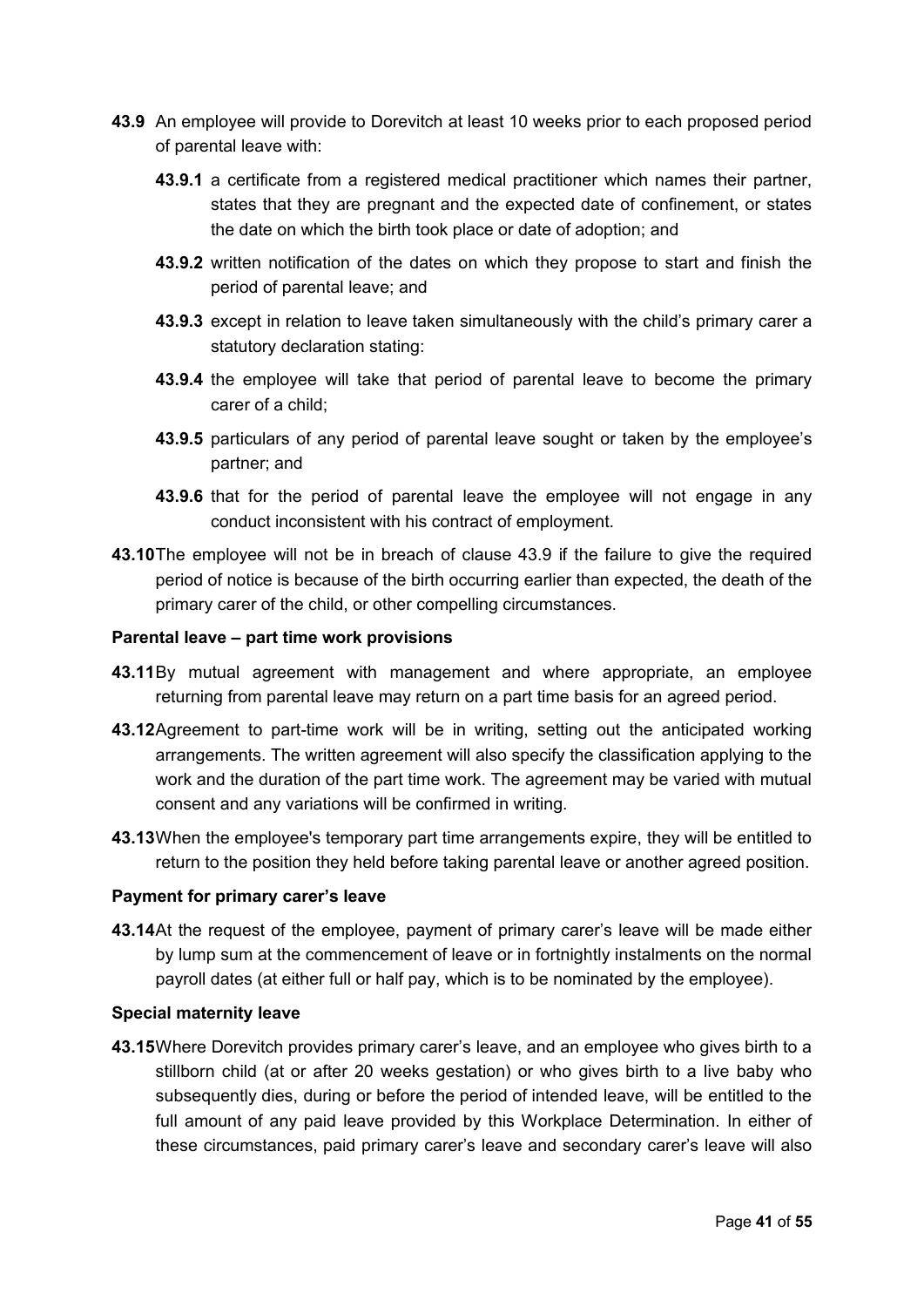- **43.9** An employee will provide to Dorevitch at least 10 weeks prior to each proposed period of parental leave with:
	- **43.9.1** a certificate from a registered medical practitioner which names their partner, states that they are pregnant and the expected date of confinement, or states the date on which the birth took place or date of adoption; and
	- **43.9.2** written notification of the dates on which they propose to start and finish the period of parental leave; and
	- **43.9.3** except in relation to leave taken simultaneously with the child's primary carer a statutory declaration stating:
	- **43.9.4** the employee will take that period of parental leave to become the primary carer of a child;
	- **43.9.5** particulars of any period of parental leave sought or taken by the employee's partner; and
	- **43.9.6** that for the period of parental leave the employee will not engage in any conduct inconsistent with his contract of employment.
- **43.10**The employee will not be in breach of clause 43.9 if the failure to give the required period of notice is because of the birth occurring earlier than expected, the death of the primary carer of the child, or other compelling circumstances.

#### **Parental leave – part time work provisions**

- **43.11**By mutual agreement with management and where appropriate, an employee returning from parental leave may return on a part time basis for an agreed period.
- **43.12**Agreement to part-time work will be in writing, setting out the anticipated working arrangements. The written agreement will also specify the classification applying to the work and the duration of the part time work. The agreement may be varied with mutual consent and any variations will be confirmed in writing.
- **43.13**When the employee's temporary part time arrangements expire, they will be entitled to return to the position they held before taking parental leave or another agreed position.

#### **Payment for primary carer's leave**

**43.14**At the request of the employee, payment of primary carer's leave will be made either by lump sum at the commencement of leave or in fortnightly instalments on the normal payroll dates (at either full or half pay, which is to be nominated by the employee).

#### **Special maternity leave**

**43.15**Where Dorevitch provides primary carer's leave, and an employee who gives birth to a stillborn child (at or after 20 weeks gestation) or who gives birth to a live baby who subsequently dies, during or before the period of intended leave, will be entitled to the full amount of any paid leave provided by this Workplace Determination. In either of these circumstances, paid primary carer's leave and secondary carer's leave will also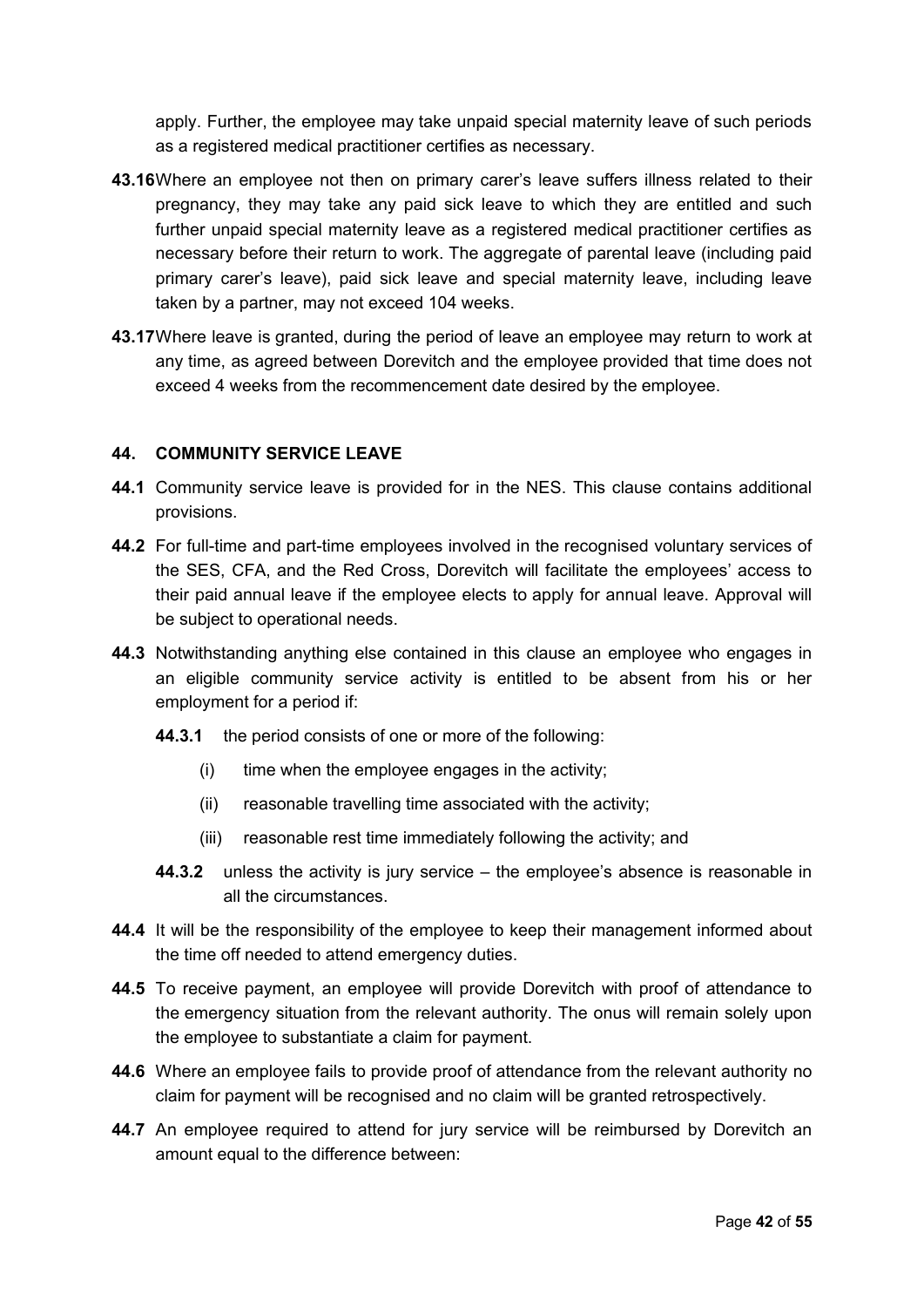apply. Further, the employee may take unpaid special maternity leave of such periods as a registered medical practitioner certifies as necessary.

- **43.16**Where an employee not then on primary carer's leave suffers illness related to their pregnancy, they may take any paid sick leave to which they are entitled and such further unpaid special maternity leave as a registered medical practitioner certifies as necessary before their return to work. The aggregate of parental leave (including paid primary carer's leave), paid sick leave and special maternity leave, including leave taken by a partner, may not exceed 104 weeks.
- **43.17**Where leave is granted, during the period of leave an employee may return to work at any time, as agreed between Dorevitch and the employee provided that time does not exceed 4 weeks from the recommencement date desired by the employee.

## <span id="page-41-0"></span>**44. COMMUNITY SERVICE LEAVE**

- **44.1** Community service leave is provided for in the NES. This clause contains additional provisions.
- **44.2** For full-time and part-time employees involved in the recognised voluntary services of the SES, CFA, and the Red Cross, Dorevitch will facilitate the employees' access to their paid annual leave if the employee elects to apply for annual leave. Approval will be subject to operational needs.
- **44.3** Notwithstanding anything else contained in this clause an employee who engages in an eligible community service activity is entitled to be absent from his or her employment for a period if:
	- **44.3.1** the period consists of one or more of the following:
		- (i) time when the employee engages in the activity;
		- (ii) reasonable travelling time associated with the activity;
		- (iii) reasonable rest time immediately following the activity; and
	- **44.3.2** unless the activity is jury service the employee's absence is reasonable in all the circumstances.
- **44.4** It will be the responsibility of the employee to keep their management informed about the time off needed to attend emergency duties.
- **44.5** To receive payment, an employee will provide Dorevitch with proof of attendance to the emergency situation from the relevant authority. The onus will remain solely upon the employee to substantiate a claim for payment.
- **44.6** Where an employee fails to provide proof of attendance from the relevant authority no claim for payment will be recognised and no claim will be granted retrospectively.
- **44.7** An employee required to attend for jury service will be reimbursed by Dorevitch an amount equal to the difference between: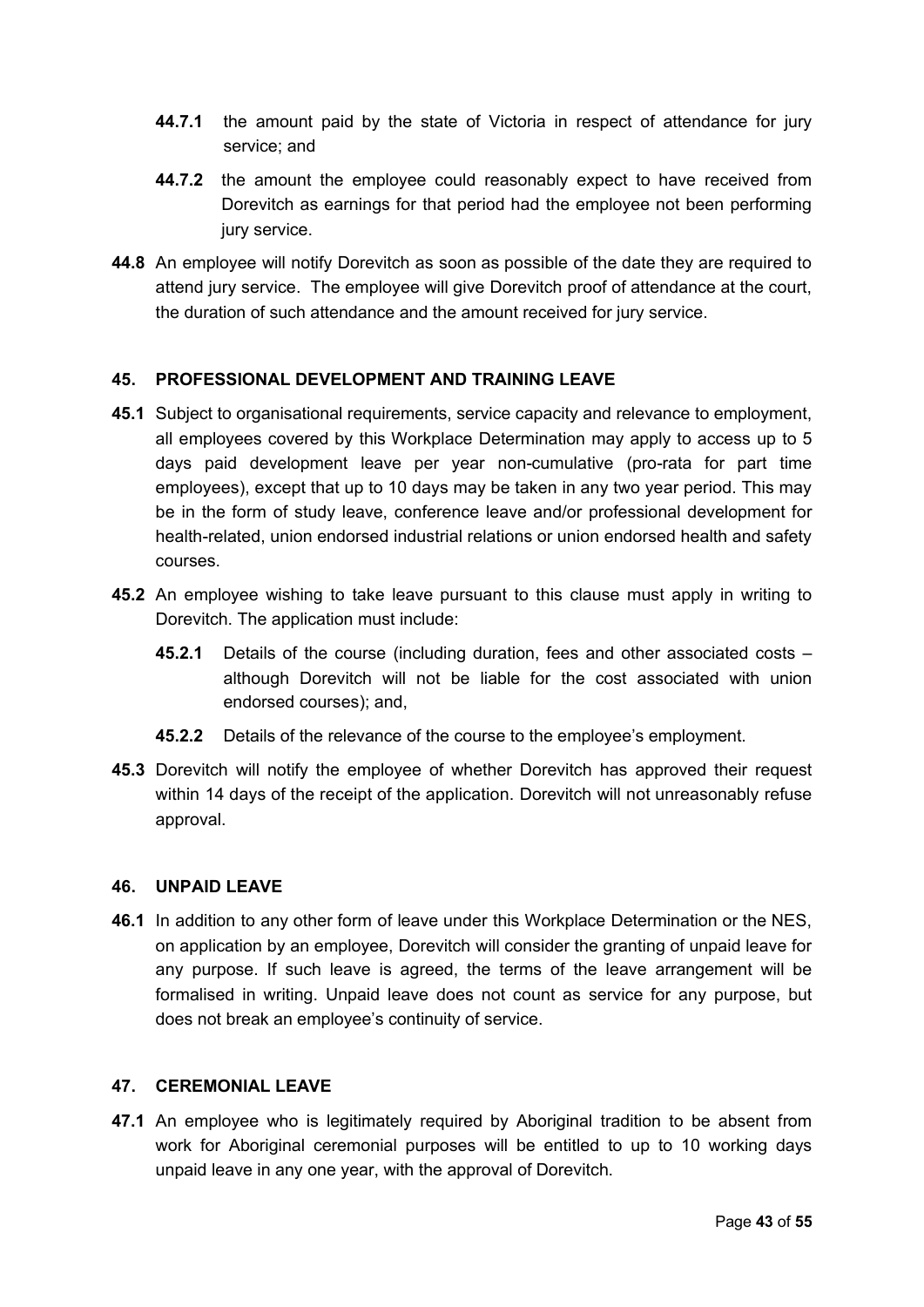- **44.7.1** the amount paid by the state of Victoria in respect of attendance for jury service; and
- **44.7.2** the amount the employee could reasonably expect to have received from Dorevitch as earnings for that period had the employee not been performing jury service.
- **44.8** An employee will notify Dorevitch as soon as possible of the date they are required to attend jury service. The employee will give Dorevitch proof of attendance at the court, the duration of such attendance and the amount received for jury service.

## <span id="page-42-2"></span>**45. PROFESSIONAL DEVELOPMENT AND TRAINING LEAVE**

- **45.1** Subject to organisational requirements, service capacity and relevance to employment, all employees covered by this Workplace Determination may apply to access up to 5 days paid development leave per year non-cumulative (pro-rata for part time employees), except that up to 10 days may be taken in any two year period. This may be in the form of study leave, conference leave and/or professional development for health-related, union endorsed industrial relations or union endorsed health and safety courses.
- **45.2** An employee wishing to take leave pursuant to this clause must apply in writing to Dorevitch. The application must include:
	- **45.2.1** Details of the course (including duration, fees and other associated costs although Dorevitch will not be liable for the cost associated with union endorsed courses); and,
	- **45.2.2** Details of the relevance of the course to the employee's employment.
- **45.3** Dorevitch will notify the employee of whether Dorevitch has approved their request within 14 days of the receipt of the application. Dorevitch will not unreasonably refuse approval.

#### <span id="page-42-1"></span>**46. UNPAID LEAVE**

**46.1** In addition to any other form of leave under this Workplace Determination or the NES, on application by an employee, Dorevitch will consider the granting of unpaid leave for any purpose. If such leave is agreed, the terms of the leave arrangement will be formalised in writing. Unpaid leave does not count as service for any purpose, but does not break an employee's continuity of service.

#### <span id="page-42-0"></span>**47. CEREMONIAL LEAVE**

**47.1** An employee who is legitimately required by Aboriginal tradition to be absent from work for Aboriginal ceremonial purposes will be entitled to up to 10 working days unpaid leave in any one year, with the approval of Dorevitch.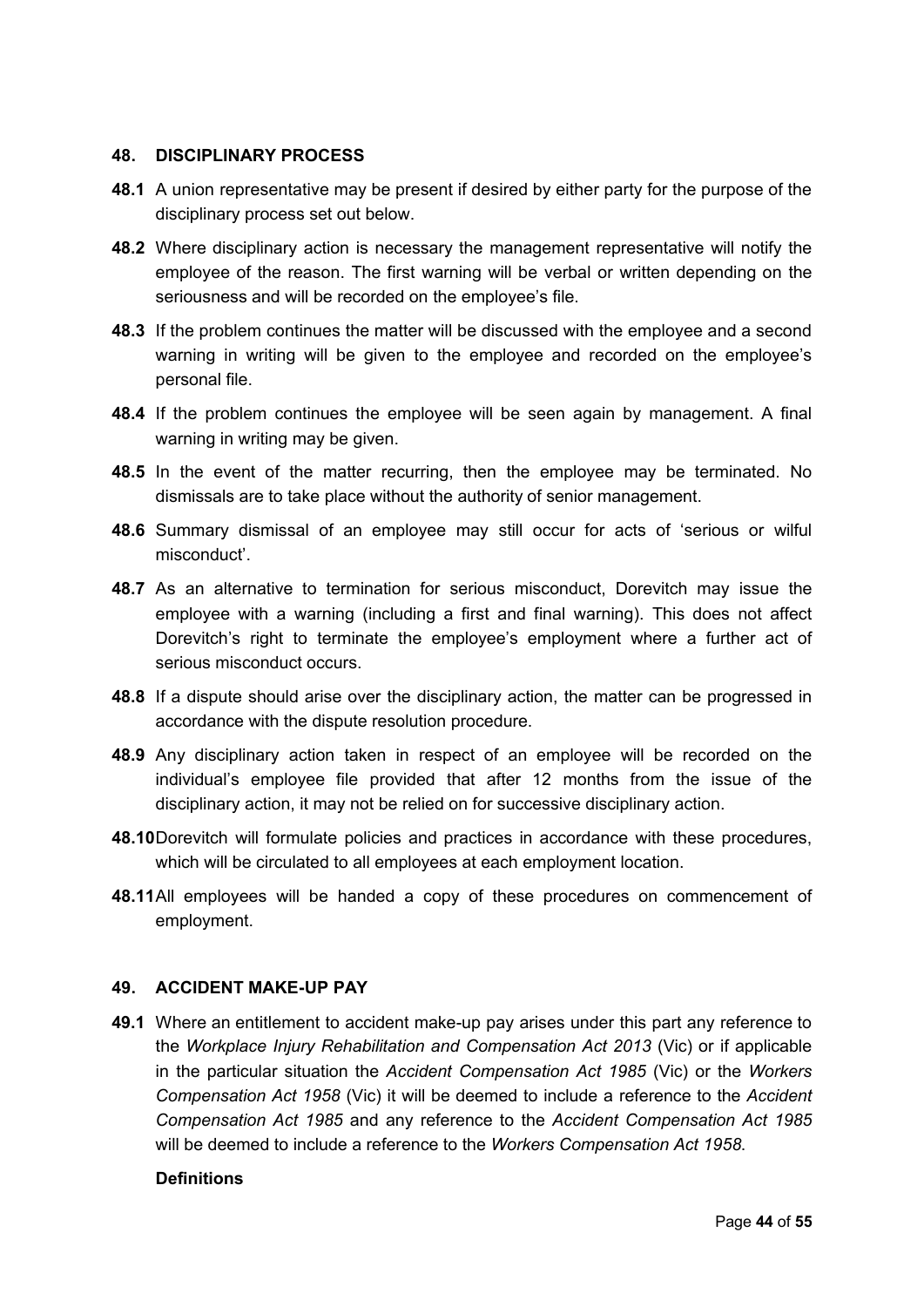#### **48. DISCIPLINARY PROCESS**

- **48.1** A union representative may be present if desired by either party for the purpose of the disciplinary process set out below.
- **48.2** Where disciplinary action is necessary the management representative will notify the employee of the reason. The first warning will be verbal or written depending on the seriousness and will be recorded on the employee's file.
- **48.3** If the problem continues the matter will be discussed with the employee and a second warning in writing will be given to the employee and recorded on the employee's personal file.
- **48.4** If the problem continues the employee will be seen again by management. A final warning in writing may be given.
- **48.5** In the event of the matter recurring, then the employee may be terminated. No dismissals are to take place without the authority of senior management.
- **48.6** Summary dismissal of an employee may still occur for acts of 'serious or wilful misconduct'.
- **48.7** As an alternative to termination for serious misconduct, Dorevitch may issue the employee with a warning (including a first and final warning). This does not affect Dorevitch's right to terminate the employee's employment where a further act of serious misconduct occurs.
- **48.8** If a dispute should arise over the disciplinary action, the matter can be progressed in accordance with the dispute resolution procedure.
- **48.9** Any disciplinary action taken in respect of an employee will be recorded on the individual's employee file provided that after 12 months from the issue of the disciplinary action, it may not be relied on for successive disciplinary action.
- **48.10**Dorevitch will formulate policies and practices in accordance with these procedures, which will be circulated to all employees at each employment location.
- **48.11**All employees will be handed a copy of these procedures on commencement of employment.

#### **49. ACCIDENT MAKE-UP PAY**

**49.1** Where an entitlement to accident make-up pay arises under this part any reference to the *Workplace Injury Rehabilitation and Compensation Act 2013* (Vic) or if applicable in the particular situation the *Accident Compensation Act 1985* (Vic) or the *Workers Compensation Act 1958* (Vic) it will be deemed to include a reference to the *Accident Compensation Act 1985* and any reference to the *Accident Compensation Act 1985* will be deemed to include a reference to the *Workers Compensation Act 1958*.

#### **Definitions**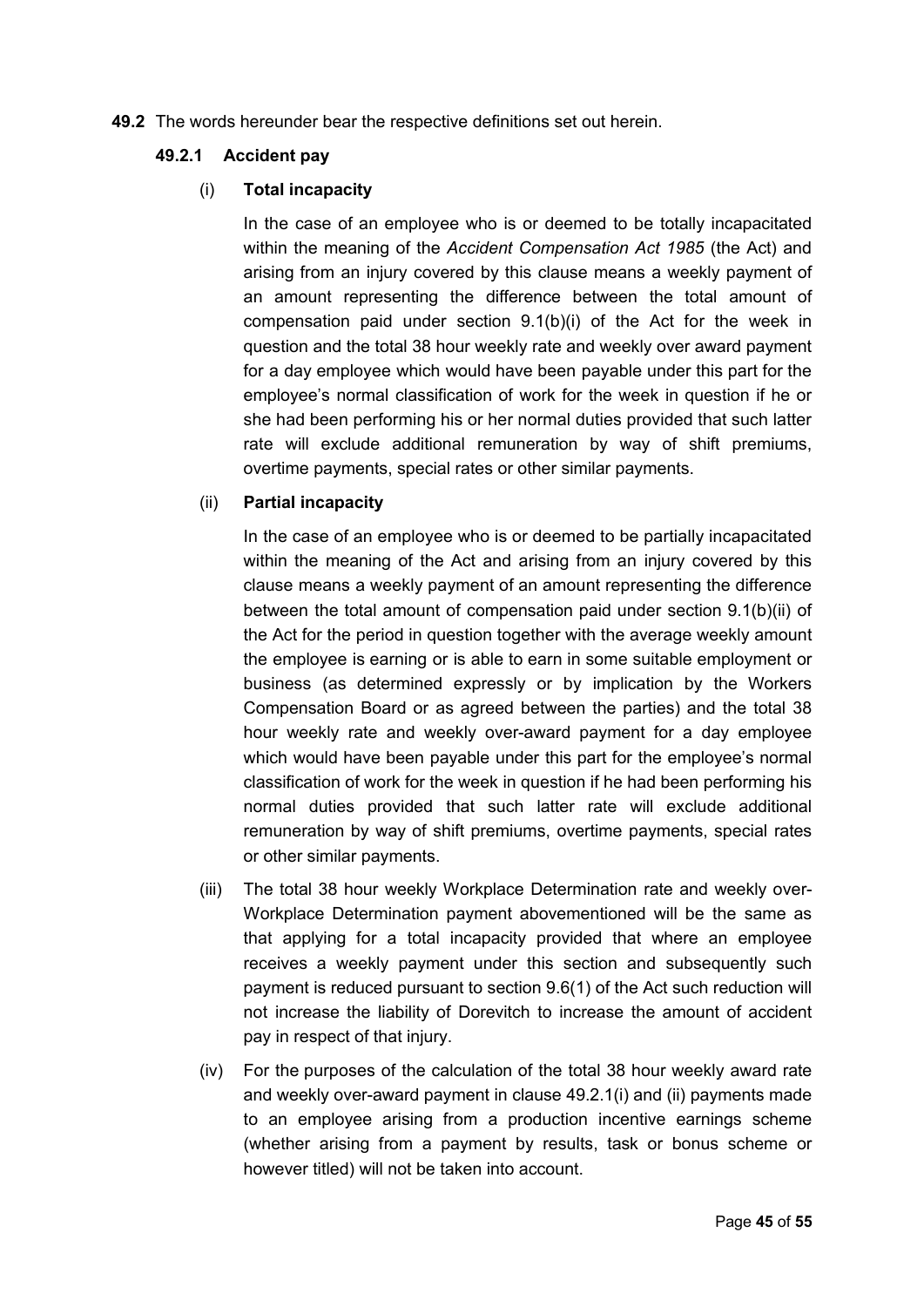**49.2** The words hereunder bear the respective definitions set out herein.

#### **49.2.1 Accident pay**

### (i) **Total incapacity**

In the case of an employee who is or deemed to be totally incapacitated within the meaning of the *Accident Compensation Act 1985* (the Act) and arising from an injury covered by this clause means a weekly payment of an amount representing the difference between the total amount of compensation paid under section 9.1(b)(i) of the Act for the week in question and the total 38 hour weekly rate and weekly over award payment for a day employee which would have been payable under this part for the employee's normal classification of work for the week in question if he or she had been performing his or her normal duties provided that such latter rate will exclude additional remuneration by way of shift premiums, overtime payments, special rates or other similar payments.

## (ii) **Partial incapacity**

In the case of an employee who is or deemed to be partially incapacitated within the meaning of the Act and arising from an injury covered by this clause means a weekly payment of an amount representing the difference between the total amount of compensation paid under section 9.1(b)(ii) of the Act for the period in question together with the average weekly amount the employee is earning or is able to earn in some suitable employment or business (as determined expressly or by implication by the Workers Compensation Board or as agreed between the parties) and the total 38 hour weekly rate and weekly over-award payment for a day employee which would have been payable under this part for the employee's normal classification of work for the week in question if he had been performing his normal duties provided that such latter rate will exclude additional remuneration by way of shift premiums, overtime payments, special rates or other similar payments.

- (iii) The total 38 hour weekly Workplace Determination rate and weekly over-Workplace Determination payment abovementioned will be the same as that applying for a total incapacity provided that where an employee receives a weekly payment under this section and subsequently such payment is reduced pursuant to section 9.6(1) of the Act such reduction will not increase the liability of Dorevitch to increase the amount of accident pay in respect of that injury.
- (iv) For the purposes of the calculation of the total 38 hour weekly award rate and weekly over-award payment in clause 49.2.1(i) and (ii) payments made to an employee arising from a production incentive earnings scheme (whether arising from a payment by results, task or bonus scheme or however titled) will not be taken into account.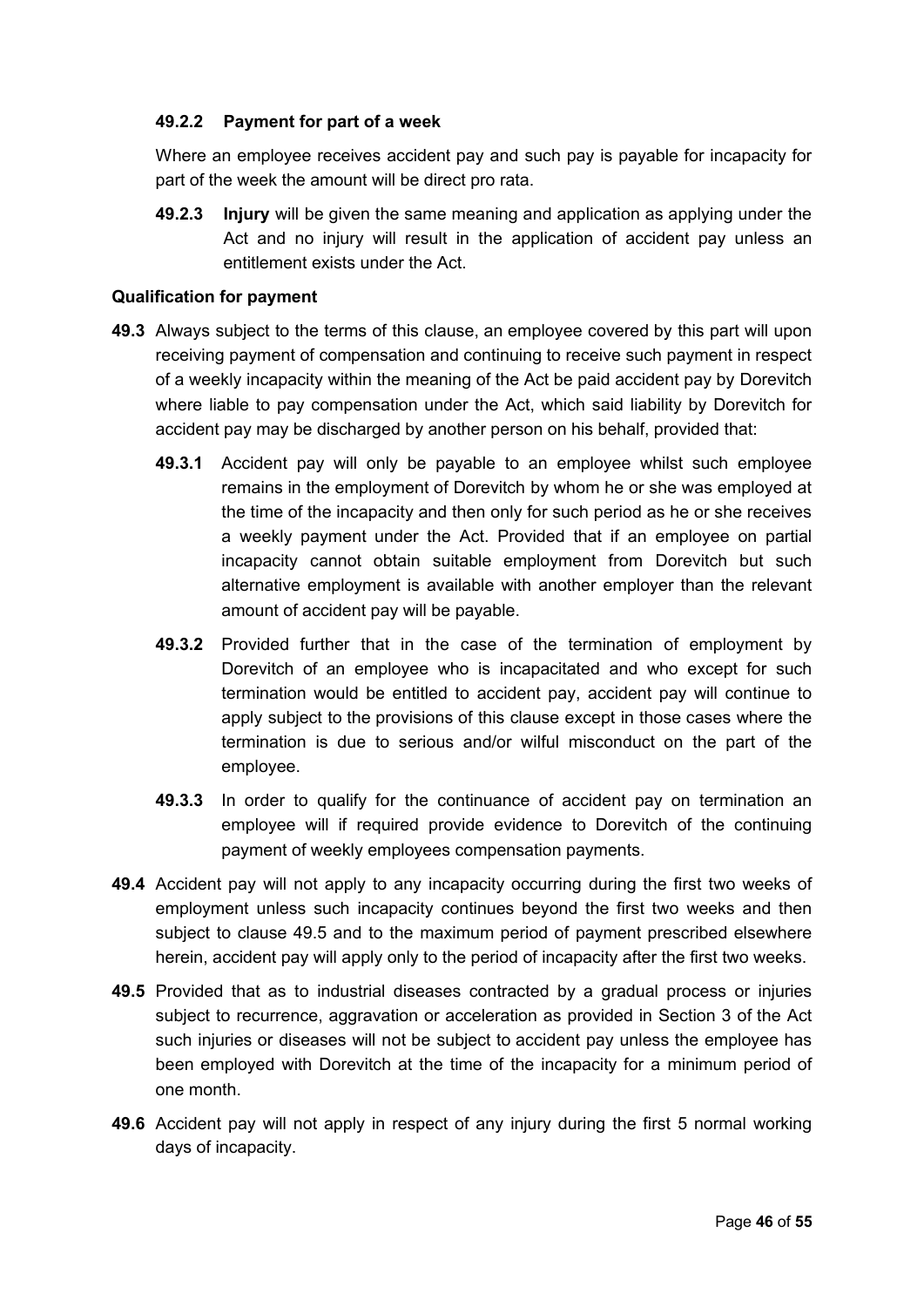## **49.2.2 Payment for part of a week**

Where an employee receives accident pay and such pay is payable for incapacity for part of the week the amount will be direct pro rata.

**49.2.3 Injury** will be given the same meaning and application as applying under the Act and no injury will result in the application of accident pay unless an entitlement exists under the Act.

### **Qualification for payment**

- **49.3** Always subject to the terms of this clause, an employee covered by this part will upon receiving payment of compensation and continuing to receive such payment in respect of a weekly incapacity within the meaning of the Act be paid accident pay by Dorevitch where liable to pay compensation under the Act, which said liability by Dorevitch for accident pay may be discharged by another person on his behalf, provided that:
	- **49.3.1** Accident pay will only be payable to an employee whilst such employee remains in the employment of Dorevitch by whom he or she was employed at the time of the incapacity and then only for such period as he or she receives a weekly payment under the Act. Provided that if an employee on partial incapacity cannot obtain suitable employment from Dorevitch but such alternative employment is available with another employer than the relevant amount of accident pay will be payable.
	- **49.3.2** Provided further that in the case of the termination of employment by Dorevitch of an employee who is incapacitated and who except for such termination would be entitled to accident pay, accident pay will continue to apply subject to the provisions of this clause except in those cases where the termination is due to serious and/or wilful misconduct on the part of the employee.
	- **49.3.3** In order to qualify for the continuance of accident pay on termination an employee will if required provide evidence to Dorevitch of the continuing payment of weekly employees compensation payments.
- **49.4** Accident pay will not apply to any incapacity occurring during the first two weeks of employment unless such incapacity continues beyond the first two weeks and then subject to clause 49.5 and to the maximum period of payment prescribed elsewhere herein, accident pay will apply only to the period of incapacity after the first two weeks.
- **49.5** Provided that as to industrial diseases contracted by a gradual process or injuries subject to recurrence, aggravation or acceleration as provided in Section 3 of the Act such injuries or diseases will not be subject to accident pay unless the employee has been employed with Dorevitch at the time of the incapacity for a minimum period of one month.
- **49.6** Accident pay will not apply in respect of any injury during the first 5 normal working days of incapacity.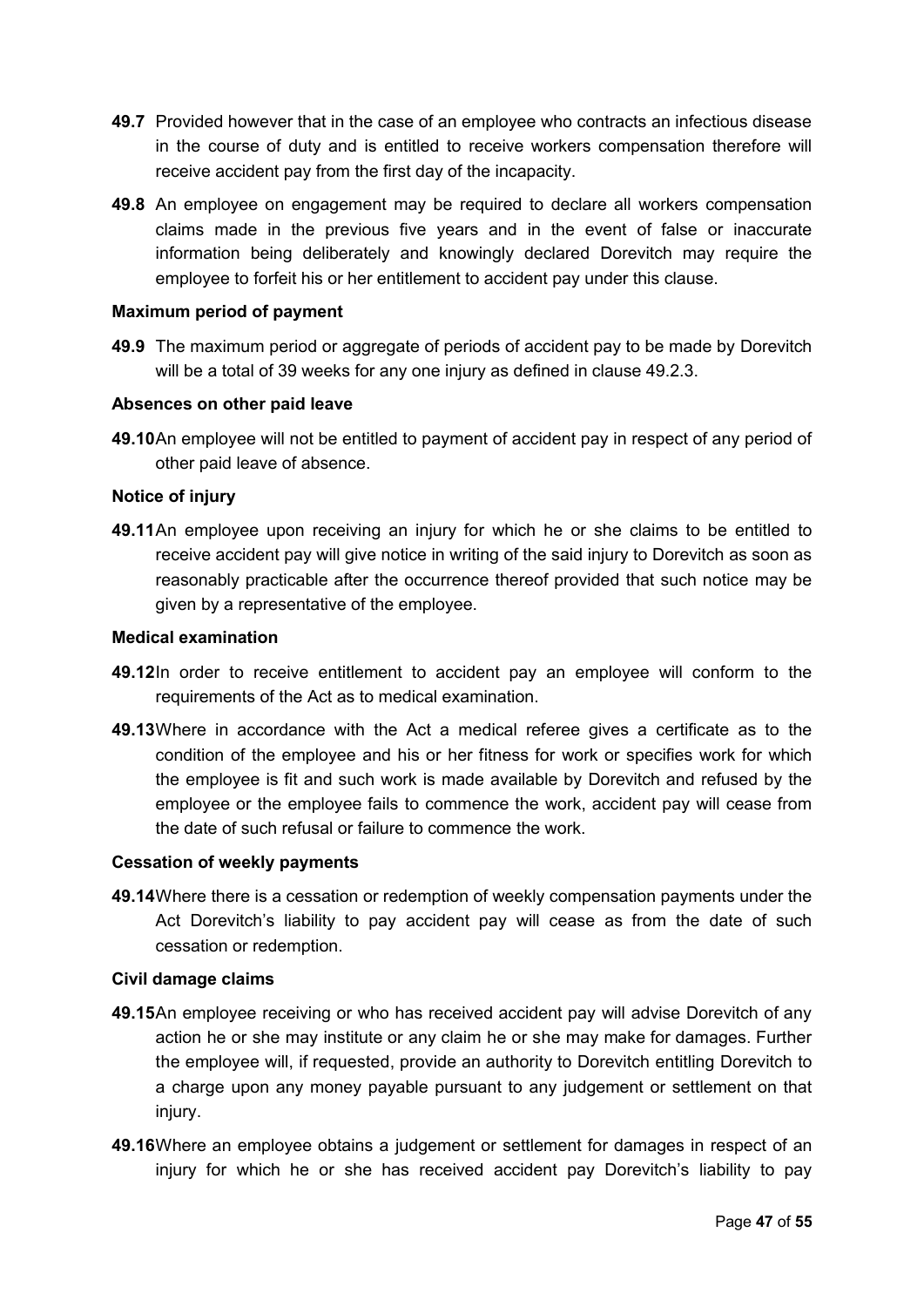- **49.7** Provided however that in the case of an employee who contracts an infectious disease in the course of duty and is entitled to receive workers compensation therefore will receive accident pay from the first day of the incapacity.
- **49.8** An employee on engagement may be required to declare all workers compensation claims made in the previous five years and in the event of false or inaccurate information being deliberately and knowingly declared Dorevitch may require the employee to forfeit his or her entitlement to accident pay under this clause.

#### **Maximum period of payment**

**49.9** The maximum period or aggregate of periods of accident pay to be made by Dorevitch will be a total of 39 weeks for any one injury as defined in clause 49.2.3.

#### **Absences on other paid leave**

**49.10**An employee will not be entitled to payment of accident pay in respect of any period of other paid leave of absence.

#### **Notice of injury**

**49.11**An employee upon receiving an injury for which he or she claims to be entitled to receive accident pay will give notice in writing of the said injury to Dorevitch as soon as reasonably practicable after the occurrence thereof provided that such notice may be given by a representative of the employee.

### **Medical examination**

- **49.12**In order to receive entitlement to accident pay an employee will conform to the requirements of the Act as to medical examination.
- **49.13**Where in accordance with the Act a medical referee gives a certificate as to the condition of the employee and his or her fitness for work or specifies work for which the employee is fit and such work is made available by Dorevitch and refused by the employee or the employee fails to commence the work, accident pay will cease from the date of such refusal or failure to commence the work.

#### **Cessation of weekly payments**

**49.14**Where there is a cessation or redemption of weekly compensation payments under the Act Dorevitch's liability to pay accident pay will cease as from the date of such cessation or redemption.

#### **Civil damage claims**

- **49.15**An employee receiving or who has received accident pay will advise Dorevitch of any action he or she may institute or any claim he or she may make for damages. Further the employee will, if requested, provide an authority to Dorevitch entitling Dorevitch to a charge upon any money payable pursuant to any judgement or settlement on that injury.
- **49.16**Where an employee obtains a judgement or settlement for damages in respect of an injury for which he or she has received accident pay Dorevitch's liability to pay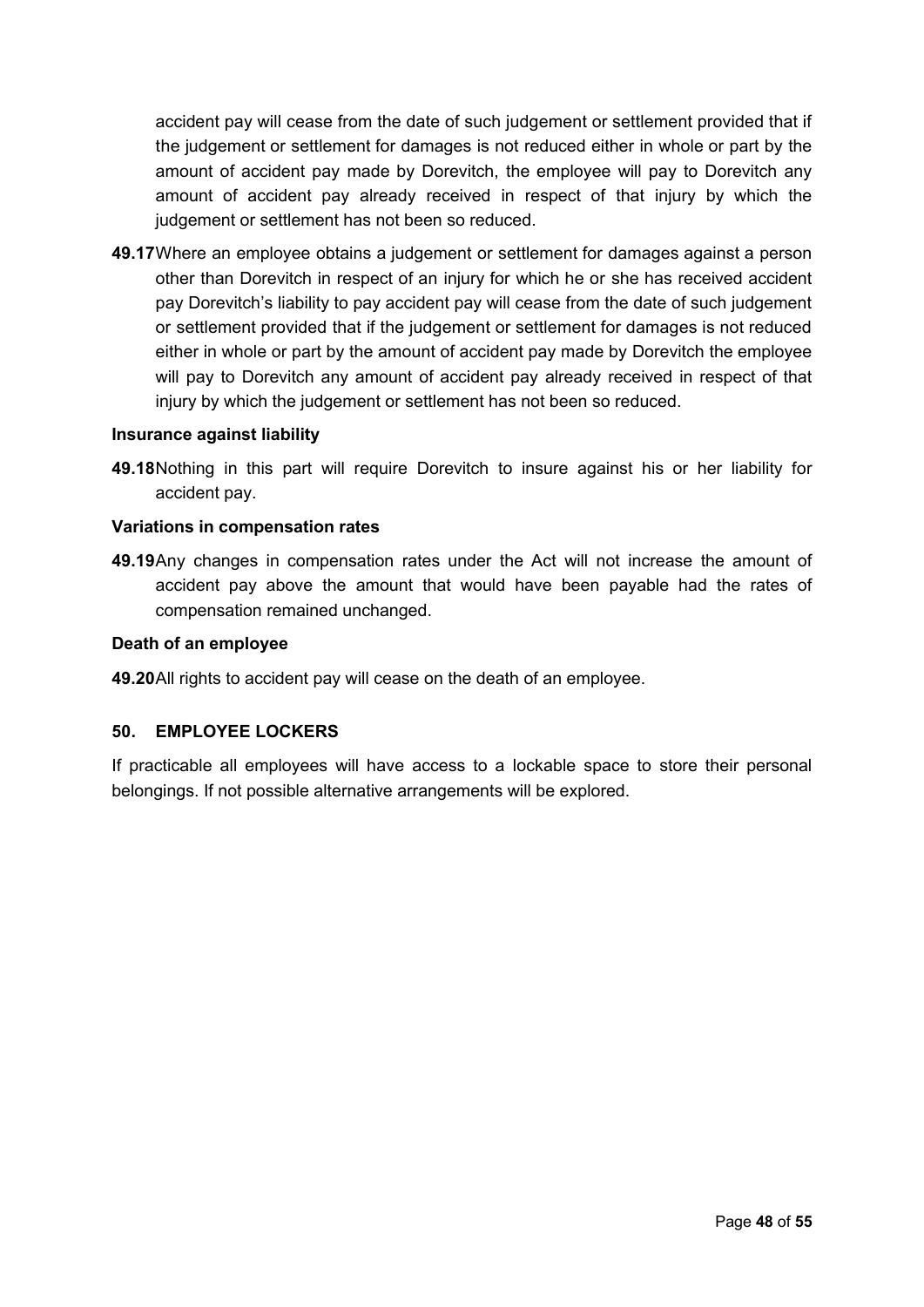accident pay will cease from the date of such judgement or settlement provided that if the judgement or settlement for damages is not reduced either in whole or part by the amount of accident pay made by Dorevitch, the employee will pay to Dorevitch any amount of accident pay already received in respect of that injury by which the judgement or settlement has not been so reduced.

**49.17**Where an employee obtains a judgement or settlement for damages against a person other than Dorevitch in respect of an injury for which he or she has received accident pay Dorevitch's liability to pay accident pay will cease from the date of such judgement or settlement provided that if the judgement or settlement for damages is not reduced either in whole or part by the amount of accident pay made by Dorevitch the employee will pay to Dorevitch any amount of accident pay already received in respect of that injury by which the judgement or settlement has not been so reduced.

#### **Insurance against liability**

**49.18**Nothing in this part will require Dorevitch to insure against his or her liability for accident pay.

#### **Variations in compensation rates**

**49.19**Any changes in compensation rates under the Act will not increase the amount of accident pay above the amount that would have been payable had the rates of compensation remained unchanged.

#### **Death of an employee**

**49.20**All rights to accident pay will cease on the death of an employee.

#### <span id="page-47-0"></span>**50. EMPLOYEE LOCKERS**

If practicable all employees will have access to a lockable space to store their personal belongings. If not possible alternative arrangements will be explored.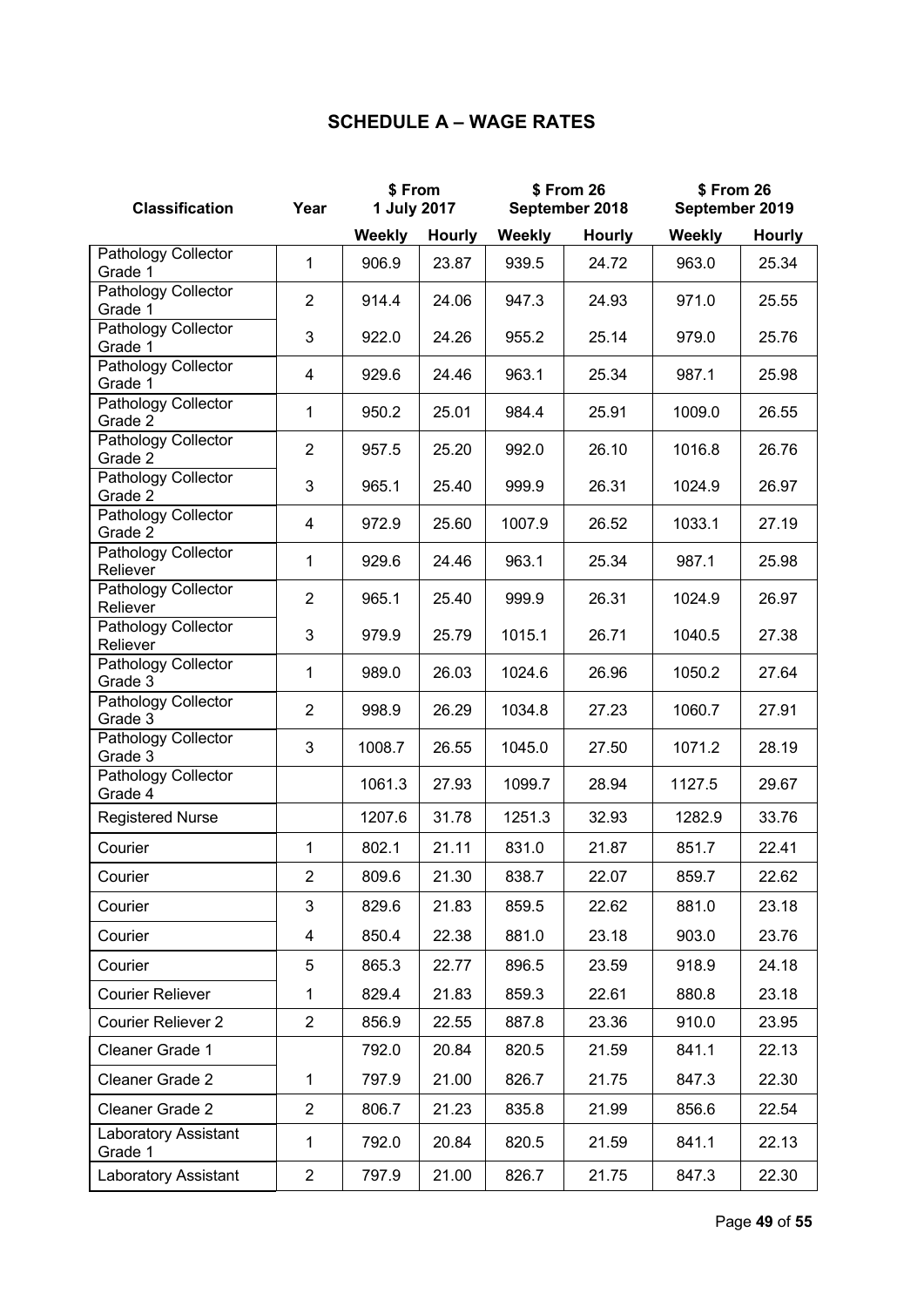## **SCHEDULE A – WAGE RATES**

| <b>Classification</b>                 | Year           | \$From<br>1 July 2017 |               | \$ From 26<br>September 2018 |               | \$ From 26<br>September 2019 |               |
|---------------------------------------|----------------|-----------------------|---------------|------------------------------|---------------|------------------------------|---------------|
|                                       |                | Weekly                | <b>Hourly</b> | Weekly                       | <b>Hourly</b> | <b>Weekly</b>                | <b>Hourly</b> |
| Pathology Collector<br>Grade 1        | $\mathbf{1}$   | 906.9                 | 23.87         | 939.5                        | 24.72         | 963.0                        | 25.34         |
| Pathology Collector<br>Grade 1        | $\overline{2}$ | 914.4                 | 24.06         | 947.3                        | 24.93         | 971.0                        | 25.55         |
| Pathology Collector<br>Grade 1        | 3              | 922.0                 | 24.26         | 955.2                        | 25.14         | 979.0                        | 25.76         |
| <b>Pathology Collector</b><br>Grade 1 | 4              | 929.6                 | 24.46         | 963.1                        | 25.34         | 987.1                        | 25.98         |
| <b>Pathology Collector</b><br>Grade 2 | 1              | 950.2                 | 25.01         | 984.4                        | 25.91         | 1009.0                       | 26.55         |
| Pathology Collector<br>Grade 2        | $\overline{2}$ | 957.5                 | 25.20         | 992.0                        | 26.10         | 1016.8                       | 26.76         |
| Pathology Collector<br>Grade 2        | 3              | 965.1                 | 25.40         | 999.9                        | 26.31         | 1024.9                       | 26.97         |
| Pathology Collector<br>Grade 2        | 4              | 972.9                 | 25.60         | 1007.9                       | 26.52         | 1033.1                       | 27.19         |
| Pathology Collector<br>Reliever       | 1              | 929.6                 | 24.46         | 963.1                        | 25.34         | 987.1                        | 25.98         |
| Pathology Collector<br>Reliever       | $\overline{2}$ | 965.1                 | 25.40         | 999.9                        | 26.31         | 1024.9                       | 26.97         |
| Pathology Collector<br>Reliever       | 3              | 979.9                 | 25.79         | 1015.1                       | 26.71         | 1040.5                       | 27.38         |
| Pathology Collector<br>Grade 3        | 1              | 989.0                 | 26.03         | 1024.6                       | 26.96         | 1050.2                       | 27.64         |
| Pathology Collector<br>Grade 3        | $\overline{2}$ | 998.9                 | 26.29         | 1034.8                       | 27.23         | 1060.7                       | 27.91         |
| Pathology Collector<br>Grade 3        | 3              | 1008.7                | 26.55         | 1045.0                       | 27.50         | 1071.2                       | 28.19         |
| Pathology Collector<br>Grade 4        |                | 1061.3                | 27.93         | 1099.7                       | 28.94         | 1127.5                       | 29.67         |
| <b>Registered Nurse</b>               |                | 1207.6                | 31.78         | 1251.3                       | 32.93         | 1282.9                       | 33.76         |
| Courier                               | $\mathbf{1}$   | 802.1                 | 21.11         | 831.0                        | 21.87         | 851.7                        | 22.41         |
| Courier                               | $\overline{2}$ | 809.6                 | 21.30         | 838.7                        | 22.07         | 859.7                        | 22.62         |
| Courier                               | 3              | 829.6                 | 21.83         | 859.5                        | 22.62         | 881.0                        | 23.18         |
| Courier                               | 4              | 850.4                 | 22.38         | 881.0                        | 23.18         | 903.0                        | 23.76         |
| Courier                               | 5              | 865.3                 | 22.77         | 896.5                        | 23.59         | 918.9                        | 24.18         |
| <b>Courier Reliever</b>               | 1              | 829.4                 | 21.83         | 859.3                        | 22.61         | 880.8                        | 23.18         |
| Courier Reliever 2                    | $\overline{2}$ | 856.9                 | 22.55         | 887.8                        | 23.36         | 910.0                        | 23.95         |
| Cleaner Grade 1                       |                | 792.0                 | 20.84         | 820.5                        | 21.59         | 841.1                        | 22.13         |
| Cleaner Grade 2                       | $\mathbf{1}$   | 797.9                 | 21.00         | 826.7                        | 21.75         | 847.3                        | 22.30         |
| Cleaner Grade 2                       | $\overline{2}$ | 806.7                 | 21.23         | 835.8                        | 21.99         | 856.6                        | 22.54         |
| Laboratory Assistant<br>Grade 1       | 1              | 792.0                 | 20.84         | 820.5                        | 21.59         | 841.1                        | 22.13         |
| Laboratory Assistant                  | $\overline{2}$ | 797.9                 | 21.00         | 826.7                        | 21.75         | 847.3                        | 22.30         |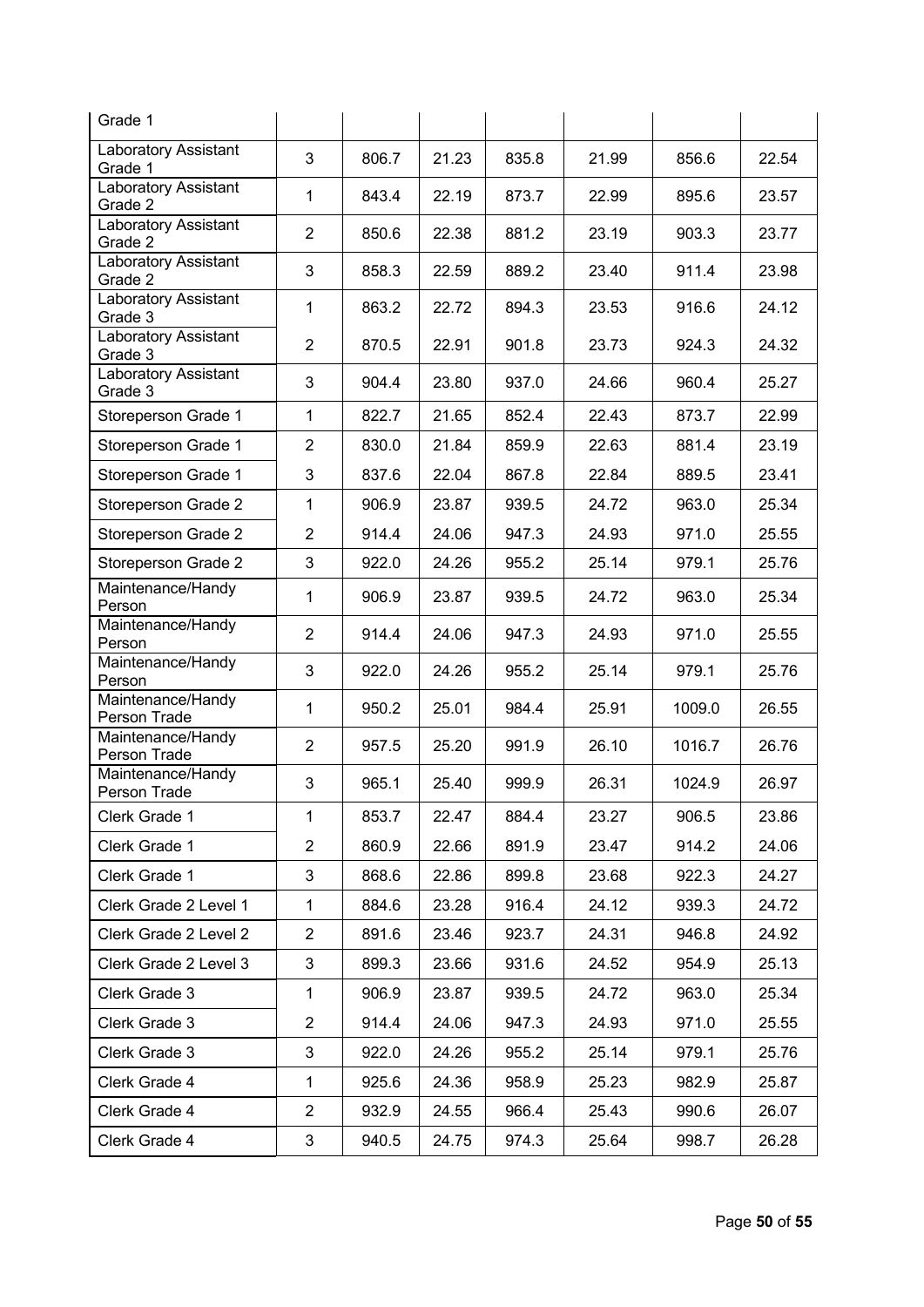| Grade 1                           |                |       |       |       |       |        |       |
|-----------------------------------|----------------|-------|-------|-------|-------|--------|-------|
| Laboratory Assistant<br>Grade 1   | 3              | 806.7 | 21.23 | 835.8 | 21.99 | 856.6  | 22.54 |
| Laboratory Assistant<br>Grade 2   | 1              | 843.4 | 22.19 | 873.7 | 22.99 | 895.6  | 23.57 |
| Laboratory Assistant<br>Grade 2   | $\overline{2}$ | 850.6 | 22.38 | 881.2 | 23.19 | 903.3  | 23.77 |
| Laboratory Assistant<br>Grade 2   | 3              | 858.3 | 22.59 | 889.2 | 23.40 | 911.4  | 23.98 |
| Laboratory Assistant<br>Grade 3   | 1              | 863.2 | 22.72 | 894.3 | 23.53 | 916.6  | 24.12 |
| Laboratory Assistant<br>Grade 3   | $\overline{2}$ | 870.5 | 22.91 | 901.8 | 23.73 | 924.3  | 24.32 |
| Laboratory Assistant<br>Grade 3   | 3              | 904.4 | 23.80 | 937.0 | 24.66 | 960.4  | 25.27 |
| Storeperson Grade 1               | $\mathbf{1}$   | 822.7 | 21.65 | 852.4 | 22.43 | 873.7  | 22.99 |
| Storeperson Grade 1               | $\overline{2}$ | 830.0 | 21.84 | 859.9 | 22.63 | 881.4  | 23.19 |
| Storeperson Grade 1               | 3              | 837.6 | 22.04 | 867.8 | 22.84 | 889.5  | 23.41 |
| Storeperson Grade 2               | 1              | 906.9 | 23.87 | 939.5 | 24.72 | 963.0  | 25.34 |
| Storeperson Grade 2               | $\overline{2}$ | 914.4 | 24.06 | 947.3 | 24.93 | 971.0  | 25.55 |
| Storeperson Grade 2               | 3              | 922.0 | 24.26 | 955.2 | 25.14 | 979.1  | 25.76 |
| Maintenance/Handy<br>Person       | 1              | 906.9 | 23.87 | 939.5 | 24.72 | 963.0  | 25.34 |
| Maintenance/Handy<br>Person       | $\overline{2}$ | 914.4 | 24.06 | 947.3 | 24.93 | 971.0  | 25.55 |
| Maintenance/Handy<br>Person       | 3              | 922.0 | 24.26 | 955.2 | 25.14 | 979.1  | 25.76 |
| Maintenance/Handy<br>Person Trade | 1              | 950.2 | 25.01 | 984.4 | 25.91 | 1009.0 | 26.55 |
| Maintenance/Handy<br>Person Trade | $\overline{2}$ | 957.5 | 25.20 | 991.9 | 26.10 | 1016.7 | 26.76 |
| Maintenance/Handy<br>Person Trade | 3              | 965.1 | 25.40 | 999.9 | 26.31 | 1024.9 | 26.97 |
| Clerk Grade 1                     | 1              | 853.7 | 22.47 | 884.4 | 23.27 | 906.5  | 23.86 |
| Clerk Grade 1                     | $\overline{2}$ | 860.9 | 22.66 | 891.9 | 23.47 | 914.2  | 24.06 |
| Clerk Grade 1                     | 3              | 868.6 | 22.86 | 899.8 | 23.68 | 922.3  | 24.27 |
| Clerk Grade 2 Level 1             | 1              | 884.6 | 23.28 | 916.4 | 24.12 | 939.3  | 24.72 |
| Clerk Grade 2 Level 2             | $\overline{2}$ | 891.6 | 23.46 | 923.7 | 24.31 | 946.8  | 24.92 |
| Clerk Grade 2 Level 3             | 3              | 899.3 | 23.66 | 931.6 | 24.52 | 954.9  | 25.13 |
| Clerk Grade 3                     | $\mathbf{1}$   | 906.9 | 23.87 | 939.5 | 24.72 | 963.0  | 25.34 |
| Clerk Grade 3                     | $\overline{c}$ | 914.4 | 24.06 | 947.3 | 24.93 | 971.0  | 25.55 |
| Clerk Grade 3                     | 3              | 922.0 | 24.26 | 955.2 | 25.14 | 979.1  | 25.76 |
| Clerk Grade 4                     | 1              | 925.6 | 24.36 | 958.9 | 25.23 | 982.9  | 25.87 |
| Clerk Grade 4                     | 2              | 932.9 | 24.55 | 966.4 | 25.43 | 990.6  | 26.07 |
| Clerk Grade 4                     | 3              | 940.5 | 24.75 | 974.3 | 25.64 | 998.7  | 26.28 |
|                                   |                |       |       |       |       |        |       |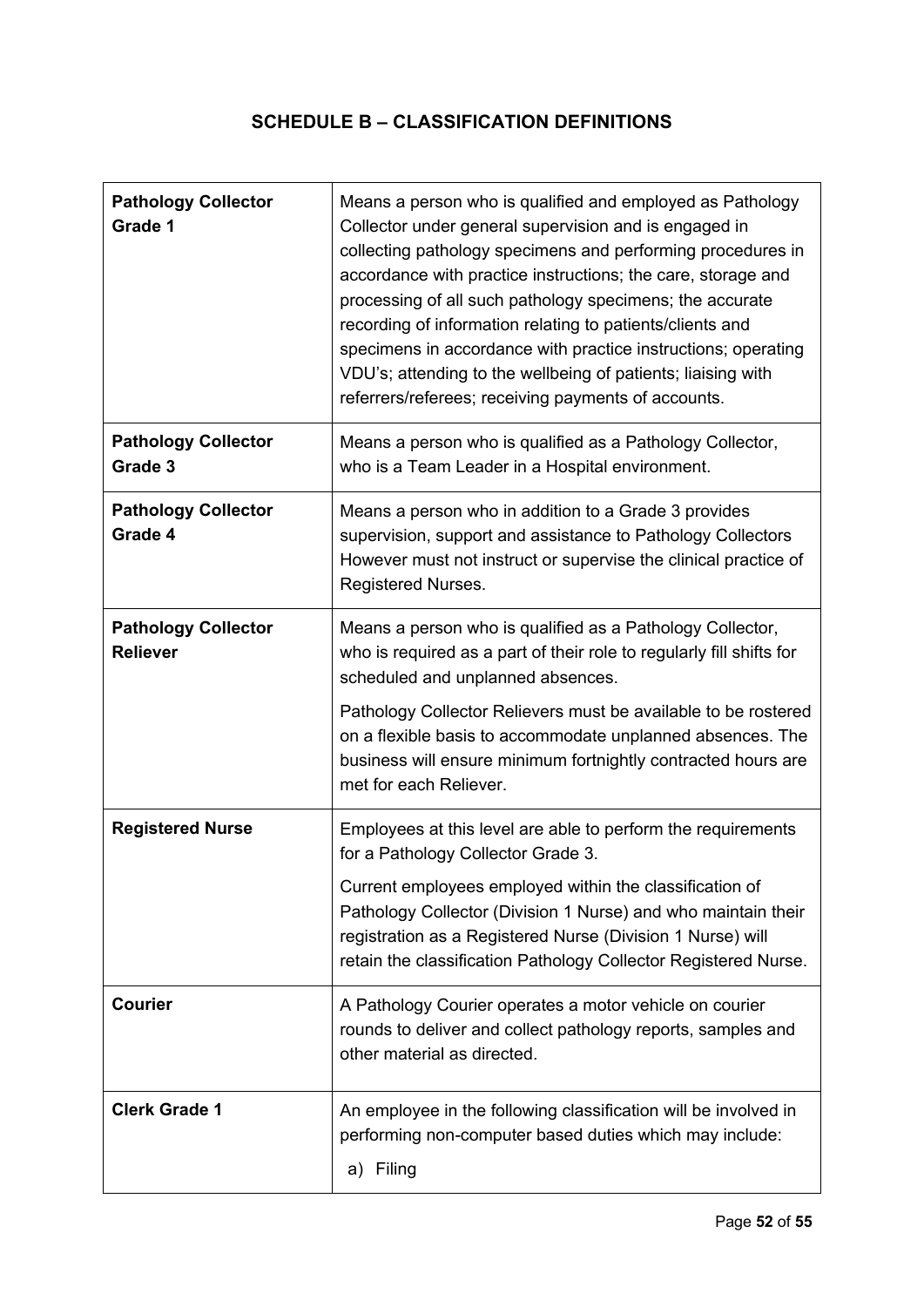## **SCHEDULE B – CLASSIFICATION DEFINITIONS**

| <b>Pathology Collector</b><br>Grade 1         | Means a person who is qualified and employed as Pathology<br>Collector under general supervision and is engaged in<br>collecting pathology specimens and performing procedures in<br>accordance with practice instructions; the care, storage and<br>processing of all such pathology specimens; the accurate<br>recording of information relating to patients/clients and<br>specimens in accordance with practice instructions; operating<br>VDU's; attending to the wellbeing of patients; liaising with<br>referrers/referees; receiving payments of accounts. |
|-----------------------------------------------|--------------------------------------------------------------------------------------------------------------------------------------------------------------------------------------------------------------------------------------------------------------------------------------------------------------------------------------------------------------------------------------------------------------------------------------------------------------------------------------------------------------------------------------------------------------------|
| <b>Pathology Collector</b><br>Grade 3         | Means a person who is qualified as a Pathology Collector,<br>who is a Team Leader in a Hospital environment.                                                                                                                                                                                                                                                                                                                                                                                                                                                       |
| <b>Pathology Collector</b><br>Grade 4         | Means a person who in addition to a Grade 3 provides<br>supervision, support and assistance to Pathology Collectors<br>However must not instruct or supervise the clinical practice of<br>Registered Nurses.                                                                                                                                                                                                                                                                                                                                                       |
| <b>Pathology Collector</b><br><b>Reliever</b> | Means a person who is qualified as a Pathology Collector,<br>who is required as a part of their role to regularly fill shifts for<br>scheduled and unplanned absences.                                                                                                                                                                                                                                                                                                                                                                                             |
|                                               | Pathology Collector Relievers must be available to be rostered<br>on a flexible basis to accommodate unplanned absences. The<br>business will ensure minimum fortnightly contracted hours are<br>met for each Reliever.                                                                                                                                                                                                                                                                                                                                            |
| <b>Registered Nurse</b>                       | Employees at this level are able to perform the requirements<br>for a Pathology Collector Grade 3.                                                                                                                                                                                                                                                                                                                                                                                                                                                                 |
|                                               | Current employees employed within the classification of<br>Pathology Collector (Division 1 Nurse) and who maintain their<br>registration as a Registered Nurse (Division 1 Nurse) will<br>retain the classification Pathology Collector Registered Nurse.                                                                                                                                                                                                                                                                                                          |
| <b>Courier</b>                                | A Pathology Courier operates a motor vehicle on courier<br>rounds to deliver and collect pathology reports, samples and<br>other material as directed.                                                                                                                                                                                                                                                                                                                                                                                                             |
| <b>Clerk Grade 1</b>                          | An employee in the following classification will be involved in<br>performing non-computer based duties which may include:<br>a) Filing                                                                                                                                                                                                                                                                                                                                                                                                                            |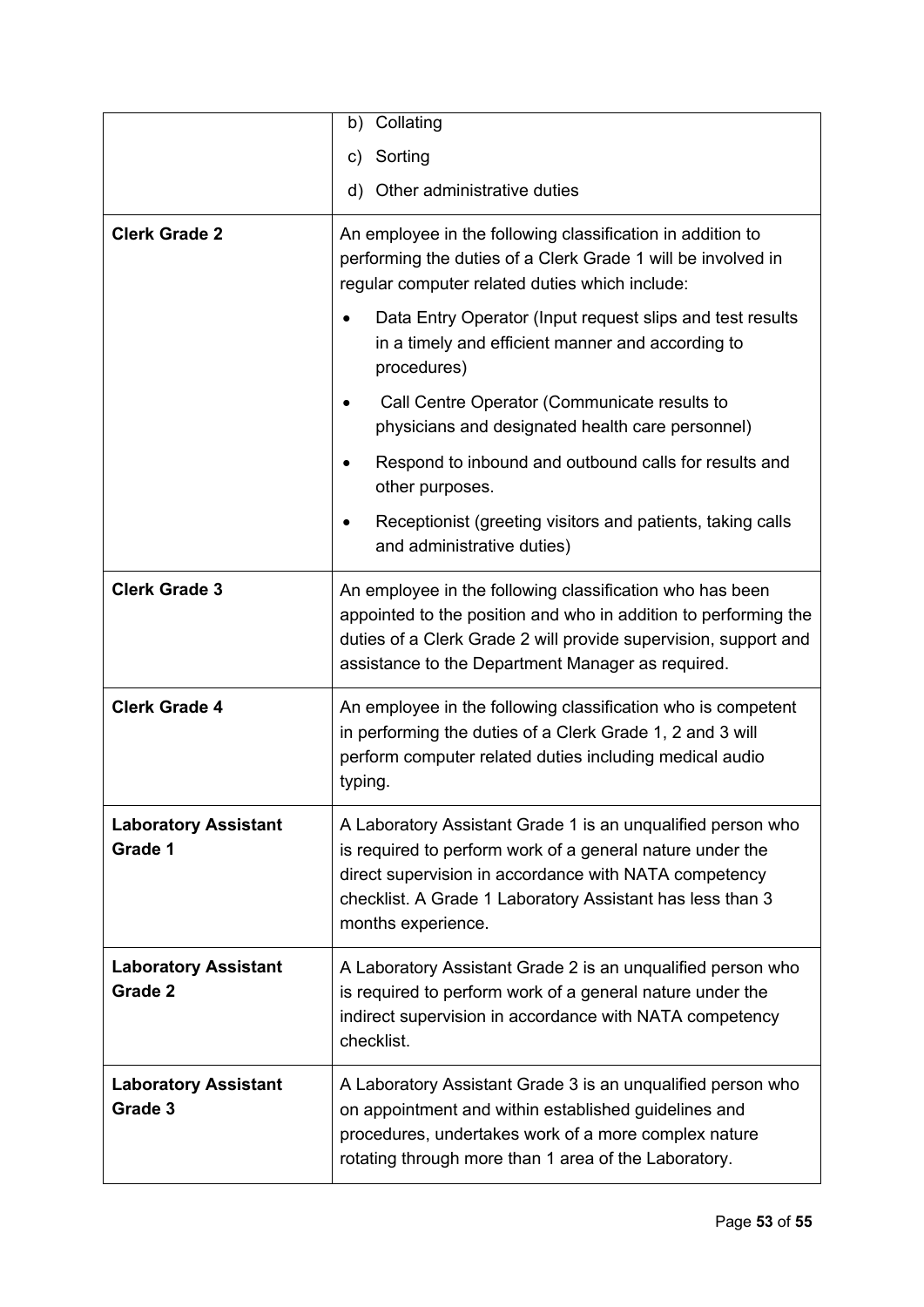|                                        | Collating<br>b)                                                                                                                                                                                                                                                      |
|----------------------------------------|----------------------------------------------------------------------------------------------------------------------------------------------------------------------------------------------------------------------------------------------------------------------|
|                                        | Sorting<br>C)                                                                                                                                                                                                                                                        |
|                                        | d) Other administrative duties                                                                                                                                                                                                                                       |
| <b>Clerk Grade 2</b>                   | An employee in the following classification in addition to<br>performing the duties of a Clerk Grade 1 will be involved in<br>regular computer related duties which include:                                                                                         |
|                                        | Data Entry Operator (Input request slips and test results<br>in a timely and efficient manner and according to<br>procedures)                                                                                                                                        |
|                                        | Call Centre Operator (Communicate results to<br>physicians and designated health care personnel)                                                                                                                                                                     |
|                                        | Respond to inbound and outbound calls for results and<br>other purposes.                                                                                                                                                                                             |
|                                        | Receptionist (greeting visitors and patients, taking calls<br>and administrative duties)                                                                                                                                                                             |
| <b>Clerk Grade 3</b>                   | An employee in the following classification who has been<br>appointed to the position and who in addition to performing the<br>duties of a Clerk Grade 2 will provide supervision, support and<br>assistance to the Department Manager as required.                  |
| <b>Clerk Grade 4</b>                   | An employee in the following classification who is competent<br>in performing the duties of a Clerk Grade 1, 2 and 3 will<br>perform computer related duties including medical audio<br>typing.                                                                      |
| <b>Laboratory Assistant</b><br>Grade 1 | A Laboratory Assistant Grade 1 is an unqualified person who<br>is required to perform work of a general nature under the<br>direct supervision in accordance with NATA competency<br>checklist. A Grade 1 Laboratory Assistant has less than 3<br>months experience. |
| <b>Laboratory Assistant</b><br>Grade 2 | A Laboratory Assistant Grade 2 is an unqualified person who<br>is required to perform work of a general nature under the<br>indirect supervision in accordance with NATA competency<br>checklist.                                                                    |
| <b>Laboratory Assistant</b><br>Grade 3 | A Laboratory Assistant Grade 3 is an unqualified person who<br>on appointment and within established guidelines and<br>procedures, undertakes work of a more complex nature<br>rotating through more than 1 area of the Laboratory.                                  |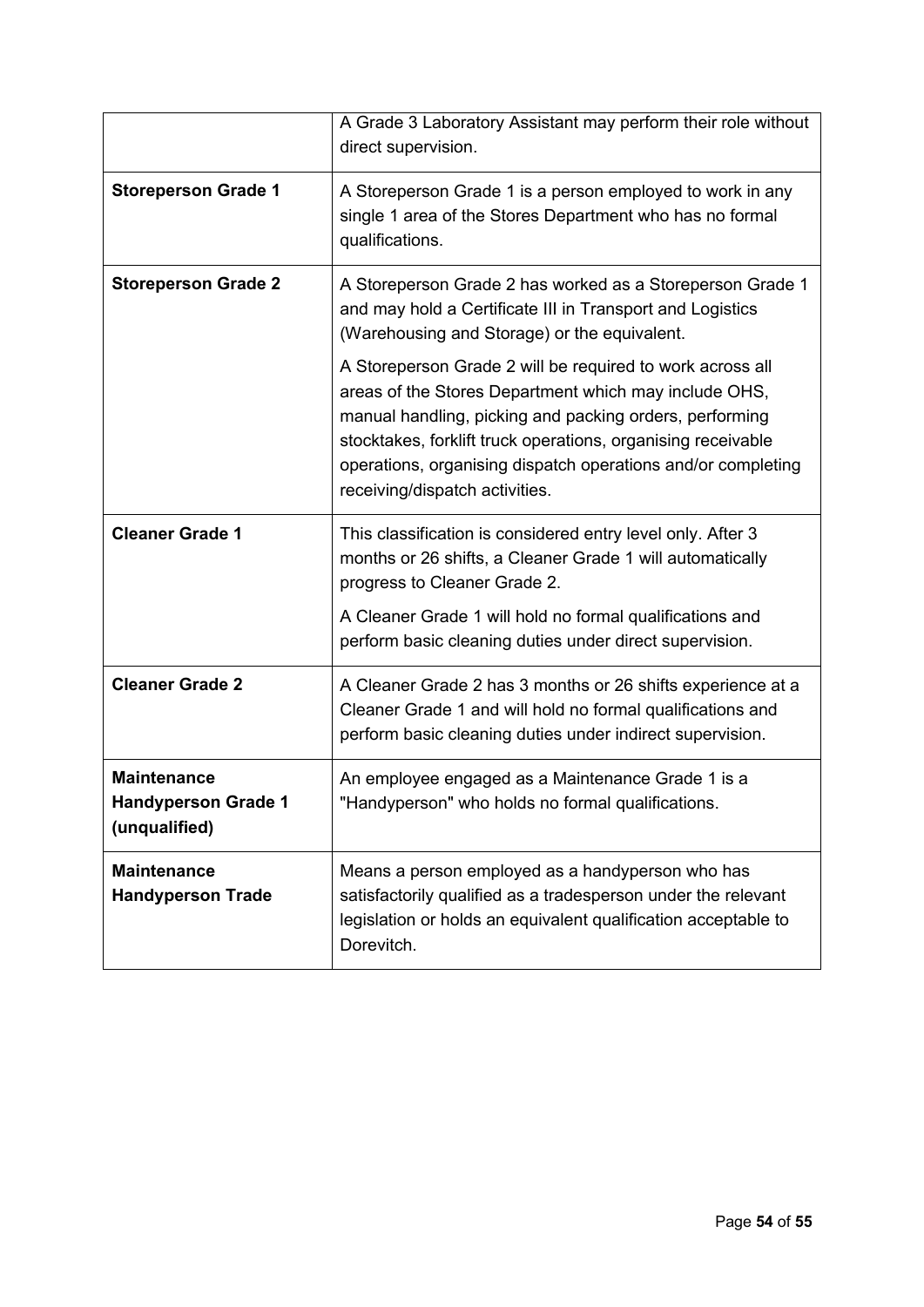|                                                                   | A Grade 3 Laboratory Assistant may perform their role without<br>direct supervision.                                                                                                                                                                                                                                                            |  |  |
|-------------------------------------------------------------------|-------------------------------------------------------------------------------------------------------------------------------------------------------------------------------------------------------------------------------------------------------------------------------------------------------------------------------------------------|--|--|
| <b>Storeperson Grade 1</b>                                        | A Storeperson Grade 1 is a person employed to work in any<br>single 1 area of the Stores Department who has no formal<br>qualifications.                                                                                                                                                                                                        |  |  |
| <b>Storeperson Grade 2</b>                                        | A Storeperson Grade 2 has worked as a Storeperson Grade 1<br>and may hold a Certificate III in Transport and Logistics<br>(Warehousing and Storage) or the equivalent.                                                                                                                                                                          |  |  |
|                                                                   | A Storeperson Grade 2 will be required to work across all<br>areas of the Stores Department which may include OHS,<br>manual handling, picking and packing orders, performing<br>stocktakes, forklift truck operations, organising receivable<br>operations, organising dispatch operations and/or completing<br>receiving/dispatch activities. |  |  |
| <b>Cleaner Grade 1</b>                                            | This classification is considered entry level only. After 3<br>months or 26 shifts, a Cleaner Grade 1 will automatically<br>progress to Cleaner Grade 2.                                                                                                                                                                                        |  |  |
|                                                                   | A Cleaner Grade 1 will hold no formal qualifications and<br>perform basic cleaning duties under direct supervision.                                                                                                                                                                                                                             |  |  |
| <b>Cleaner Grade 2</b>                                            | A Cleaner Grade 2 has 3 months or 26 shifts experience at a<br>Cleaner Grade 1 and will hold no formal qualifications and<br>perform basic cleaning duties under indirect supervision.                                                                                                                                                          |  |  |
| <b>Maintenance</b><br><b>Handyperson Grade 1</b><br>(unqualified) | An employee engaged as a Maintenance Grade 1 is a<br>"Handyperson" who holds no formal qualifications.                                                                                                                                                                                                                                          |  |  |
| <b>Maintenance</b><br><b>Handyperson Trade</b>                    | Means a person employed as a handyperson who has<br>satisfactorily qualified as a tradesperson under the relevant<br>legislation or holds an equivalent qualification acceptable to<br>Dorevitch.                                                                                                                                               |  |  |